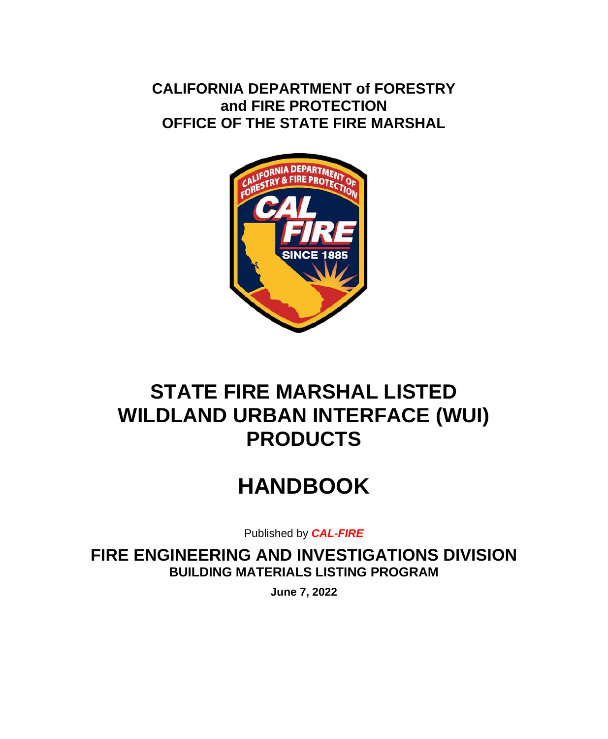**CALIFORNIA DEPARTMENT of FORESTRY and FIRE PROTECTION OFFICE OF THE STATE FIRE MARSHAL**



## **STATE FIRE MARSHAL LISTED WILDLAND URBAN INTERFACE (WUI) PRODUCTS**

# **HANDBOOK**

Published by *CAL-FIRE*

**FIRE ENGINEERING AND INVESTIGATIONS DIVISION BUILDING MATERIALS LISTING PROGRAM**

**June 7, 2022**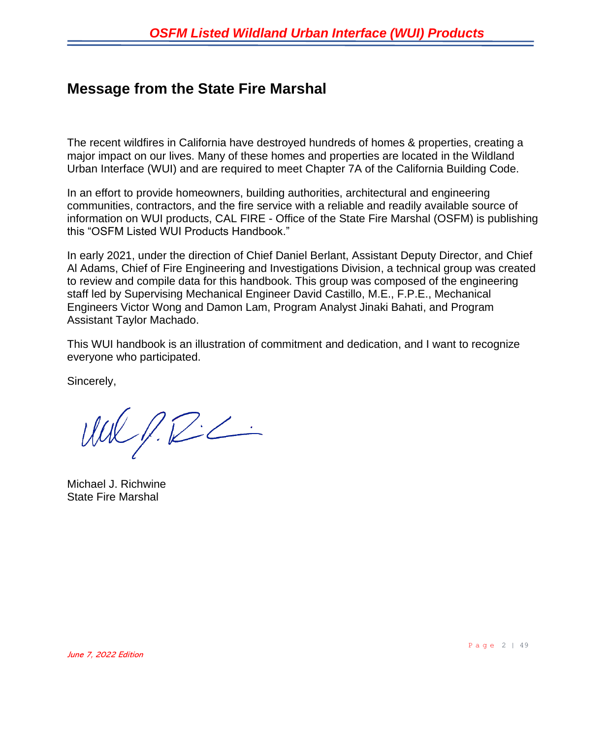### **Message from the State Fire Marshal**

The recent wildfires in California have destroyed hundreds of homes & properties, creating a major impact on our lives. Many of these homes and properties are located in the Wildland Urban Interface (WUI) and are required to meet Chapter 7A of the California Building Code.

In an effort to provide homeowners, building authorities, architectural and engineering communities, contractors, and the fire service with a reliable and readily available source of information on WUI products, CAL FIRE - Office of the State Fire Marshal (OSFM) is publishing this "OSFM Listed WUI Products Handbook."

In early 2021, under the direction of Chief Daniel Berlant, Assistant Deputy Director, and Chief Al Adams, Chief of Fire Engineering and Investigations Division, a technical group was created to review and compile data for this handbook. This group was composed of the engineering staff led by Supervising Mechanical Engineer David Castillo, M.E., F.P.E., Mechanical Engineers Victor Wong and Damon Lam, Program Analyst Jinaki Bahati, and Program Assistant Taylor Machado.

This WUI handbook is an illustration of commitment and dedication, and I want to recognize everyone who participated.

Sincerely,

 $UULPLC2$ 

Michael J. Richwine State Fire Marshal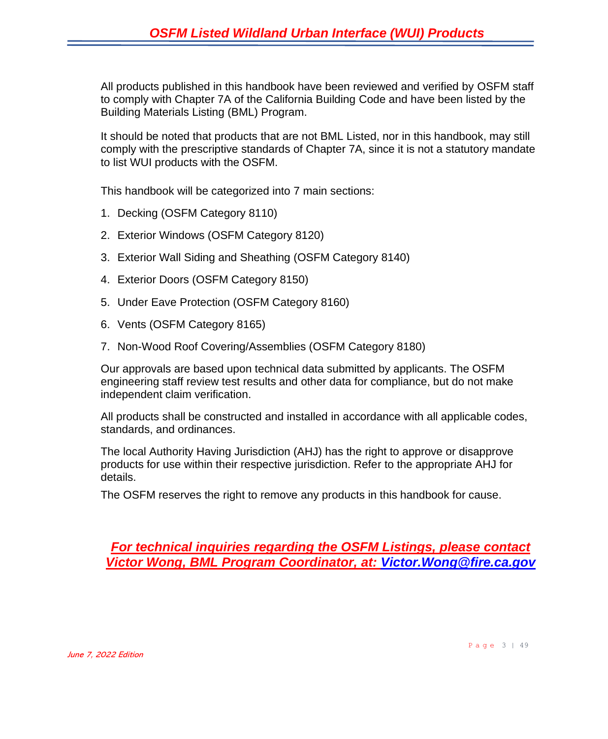All products published in this handbook have been reviewed and verified by OSFM staff to comply with Chapter 7A of the California Building Code and have been listed by the Building Materials Listing (BML) Program.

It should be noted that products that are not BML Listed, nor in this handbook, may still comply with the prescriptive standards of Chapter 7A, since it is not a statutory mandate to list WUI products with the OSFM.

This handbook will be categorized into 7 main sections:

- 1. Decking (OSFM Category 8110)
- 2. Exterior Windows (OSFM Category 8120)
- 3. Exterior Wall Siding and Sheathing (OSFM Category 8140)
- 4. Exterior Doors (OSFM Category 8150)
- 5. Under Eave Protection (OSFM Category 8160)
- 6. Vents (OSFM Category 8165)
- 7. Non-Wood Roof Covering/Assemblies (OSFM Category 8180)

Our approvals are based upon technical data submitted by applicants. The OSFM engineering staff review test results and other data for compliance, but do not make independent claim verification.

All products shall be constructed and installed in accordance with all applicable codes, standards, and ordinances.

The local Authority Having Jurisdiction (AHJ) has the right to approve or disapprove products for use within their respective jurisdiction. Refer to the appropriate AHJ for details.

The OSFM reserves the right to remove any products in this handbook for cause.

*For technical inquiries regarding the OSFM Listings, please contact Victor Wong, BML Program Coordinator, at: [Victor.Wong@fire.ca.gov](mailto:Victor.Wong@fire.ca.gov)*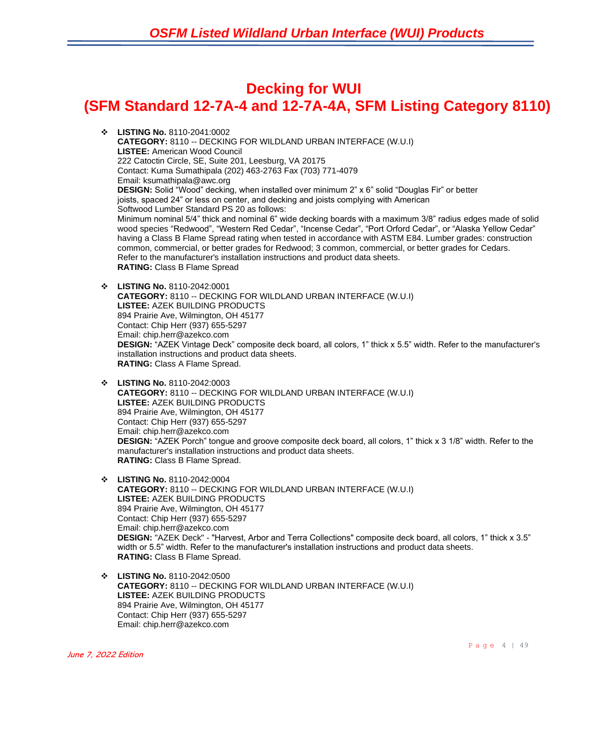### **Decking for WUI (SFM Standard 12-7A-4 and 12-7A-4A, SFM Listing Category 8110)**

- ❖ **LISTING No.** 8110-2041:0002 **CATEGORY:** 8110 -- DECKING FOR WILDLAND URBAN INTERFACE (W.U.I) **LISTEE:** American Wood Council 222 Catoctin Circle, SE, Suite 201, Leesburg, VA 20175 Contact: Kuma Sumathipala (202) 463-2763 Fax (703) 771-4079 Email: ksumathipala@awc.org **DESIGN:** Solid "Wood" decking, when installed over minimum 2" x 6" solid "Douglas Fir" or better joists, spaced 24" or less on center, and decking and joists complying with American Softwood Lumber Standard PS 20 as follows: Minimum nominal 5/4" thick and nominal 6" wide decking boards with a maximum 3/8" radius edges made of solid wood species "Redwood", "Western Red Cedar", "Incense Cedar", "Port Orford Cedar", or "Alaska Yellow Cedar" having a Class B Flame Spread rating when tested in accordance with ASTM E84. Lumber grades: construction common, commercial, or better grades for Redwood; 3 common, commercial, or better grades for Cedars. Refer to the manufacturer's installation instructions and product data sheets. **RATING:** Class B Flame Spread
- ❖ **LISTING No.** 8110-2042:0001 **CATEGORY:** 8110 -- DECKING FOR WILDLAND URBAN INTERFACE (W.U.I) **LISTEE:** AZEK BUILDING PRODUCTS 894 Prairie Ave, Wilmington, OH 45177 Contact: Chip Herr (937) 655-5297 Email: chip.herr@azekco.com **DESIGN:** "AZEK Vintage Deck" composite deck board, all colors, 1" thick x 5.5" width. Refer to the manufacturer's installation instructions and product data sheets. **RATING:** Class A Flame Spread.
- ❖ **LISTING No.** 8110-2042:0003 **CATEGORY:** 8110 -- DECKING FOR WILDLAND URBAN INTERFACE (W.U.I) **LISTEE:** AZEK BUILDING PRODUCTS 894 Prairie Ave, Wilmington, OH 45177 Contact: Chip Herr (937) 655-5297 Email: chip.herr@azekco.com **DESIGN:** "AZEK Porch" tongue and groove composite deck board, all colors, 1" thick x 3 1/8" width. Refer to the manufacturer's installation instructions and product data sheets. **RATING:** Class B Flame Spread.
- ❖ **LISTING No.** 8110-2042:0004 **CATEGORY:** 8110 -- DECKING FOR WILDLAND URBAN INTERFACE (W.U.I) **LISTEE:** AZEK BUILDING PRODUCTS 894 Prairie Ave, Wilmington, OH 45177 Contact: Chip Herr (937) 655-5297 Email: chip.herr@azekco.com **DESIGN:** "AZEK Deck" - "Harvest, Arbor and Terra Collections" composite deck board, all colors, 1" thick x 3.5" width or 5.5" width. Refer to the manufacturer's installation instructions and product data sheets. **RATING:** Class B Flame Spread.
- ❖ **LISTING No.** 8110-2042:0500 **CATEGORY:** 8110 -- DECKING FOR WILDLAND URBAN INTERFACE (W.U.I) **LISTEE:** AZEK BUILDING PRODUCTS 894 Prairie Ave, Wilmington, OH 45177 Contact: Chip Herr (937) 655-5297 Email: chip.herr@azekco.com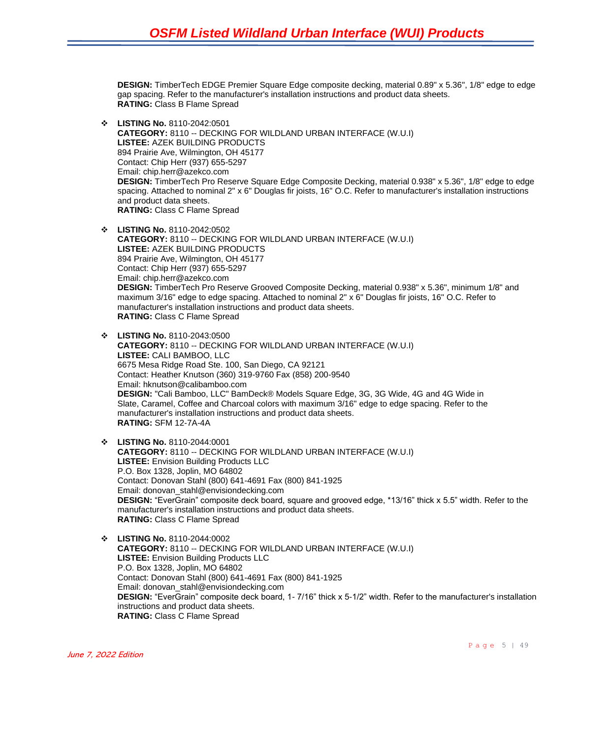**DESIGN:** TimberTech EDGE Premier Square Edge composite decking, material 0.89" x 5.36", 1/8" edge to edge gap spacing. Refer to the manufacturer's installation instructions and product data sheets. **RATING:** Class B Flame Spread

- ❖ **LISTING No.** 8110-2042:0501 **CATEGORY:** 8110 -- DECKING FOR WILDLAND URBAN INTERFACE (W.U.I) **LISTEE:** AZEK BUILDING PRODUCTS 894 Prairie Ave, Wilmington, OH 45177 Contact: Chip Herr (937) 655-5297 Email: chip.herr@azekco.com **DESIGN:** TimberTech Pro Reserve Square Edge Composite Decking, material 0.938" x 5.36", 1/8" edge to edge spacing. Attached to nominal 2" x 6" Douglas fir joists, 16" O.C. Refer to manufacturer's installation instructions and product data sheets. **RATING:** Class C Flame Spread
- ❖ **LISTING No.** 8110-2042:0502 **CATEGORY:** 8110 -- DECKING FOR WILDLAND URBAN INTERFACE (W.U.I) **LISTEE:** AZEK BUILDING PRODUCTS 894 Prairie Ave, Wilmington, OH 45177 Contact: Chip Herr (937) 655-5297 Email: chip.herr@azekco.com **DESIGN:** TimberTech Pro Reserve Grooved Composite Decking, material 0.938" x 5.36", minimum 1/8" and maximum 3/16" edge to edge spacing. Attached to nominal 2" x 6" Douglas fir joists, 16" O.C. Refer to manufacturer's installation instructions and product data sheets. **RATING:** Class C Flame Spread
- ❖ **LISTING No.** 8110-2043:0500 **CATEGORY:** 8110 -- DECKING FOR WILDLAND URBAN INTERFACE (W.U.I) **LISTEE:** CALI BAMBOO, LLC 6675 Mesa Ridge Road Ste. 100, San Diego, CA 92121 Contact: Heather Knutson (360) 319-9760 Fax (858) 200-9540 Email: hknutson@calibamboo.com **DESIGN:** "Cali Bamboo, LLC" BamDeck® Models Square Edge, 3G, 3G Wide, 4G and 4G Wide in Slate, Caramel, Coffee and Charcoal colors with maximum 3/16" edge to edge spacing. Refer to the manufacturer's installation instructions and product data sheets. **RATING:** SFM 12-7A-4A
- ❖ **LISTING No.** 8110-2044:0001 **CATEGORY:** 8110 -- DECKING FOR WILDLAND URBAN INTERFACE (W.U.I) **LISTEE:** Envision Building Products LLC P.O. Box 1328, Joplin, MO 64802 Contact: Donovan Stahl (800) 641-4691 Fax (800) 841-1925 Email: donovan\_stahl@envisiondecking.com **DESIGN:** "EverGrain" composite deck board, square and grooved edge, \*13/16" thick x 5.5" width. Refer to the manufacturer's installation instructions and product data sheets. **RATING:** Class C Flame Spread
- ❖ **LISTING No.** 8110-2044:0002 **CATEGORY:** 8110 -- DECKING FOR WILDLAND URBAN INTERFACE (W.U.I) **LISTEE:** Envision Building Products LLC P.O. Box 1328, Joplin, MO 64802 Contact: Donovan Stahl (800) 641-4691 Fax (800) 841-1925 Email: donovan\_stahl@envisiondecking.com **DESIGN:** "EverGrain" composite deck board, 1- 7/16" thick x 5-1/2" width. Refer to the manufacturer's installation instructions and product data sheets. **RATING:** Class C Flame Spread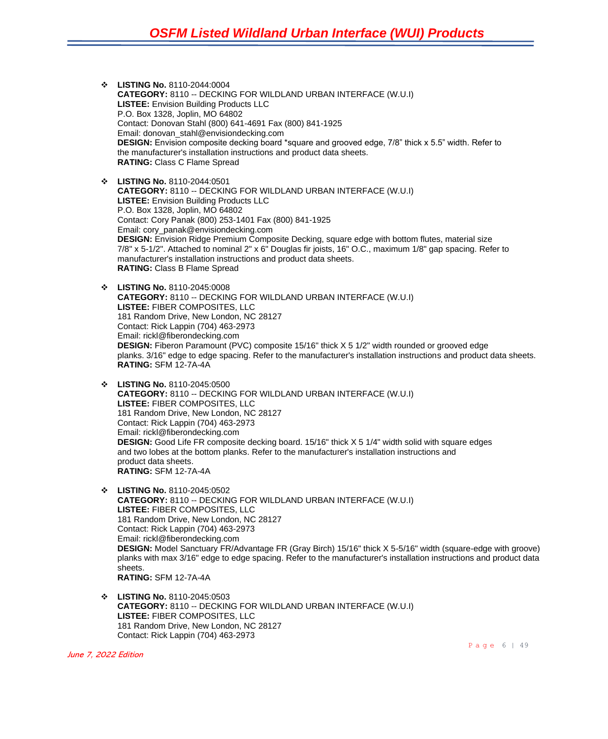- ❖ **LISTING No.** 8110-2044:0004 **CATEGORY:** 8110 -- DECKING FOR WILDLAND URBAN INTERFACE (W.U.I) **LISTEE:** Envision Building Products LLC P.O. Box 1328, Joplin, MO 64802 Contact: Donovan Stahl (800) 641-4691 Fax (800) 841-1925 Email: donovan\_stahl@envisiondecking.com **DESIGN:** Envision composite decking board \*square and grooved edge, 7/8" thick x 5.5" width. Refer to the manufacturer's installation instructions and product data sheets. **RATING:** Class C Flame Spread
- ❖ **LISTING No.** 8110-2044:0501 **CATEGORY:** 8110 -- DECKING FOR WILDLAND URBAN INTERFACE (W.U.I) **LISTEE:** Envision Building Products LLC P.O. Box 1328, Joplin, MO 64802 Contact: Cory Panak (800) 253-1401 Fax (800) 841-1925 Email: cory\_panak@envisiondecking.com **DESIGN:** Envision Ridge Premium Composite Decking, square edge with bottom flutes, material size 7/8" x 5-1/2". Attached to nominal 2" x 6" Douglas fir joists, 16" O.C., maximum 1/8" gap spacing. Refer to manufacturer's installation instructions and product data sheets. **RATING:** Class B Flame Spread
- ❖ **LISTING No.** 8110-2045:0008 **CATEGORY:** 8110 -- DECKING FOR WILDLAND URBAN INTERFACE (W.U.I) **LISTEE:** FIBER COMPOSITES, LLC 181 Random Drive, New London, NC 28127 Contact: Rick Lappin (704) 463-2973 Email: rickl@fiberondecking.com **DESIGN:** Fiberon Paramount (PVC) composite 15/16" thick X 5 1/2" width rounded or grooved edge planks. 3/16" edge to edge spacing. Refer to the manufacturer's installation instructions and product data sheets. **RATING:** SFM 12-7A-4A
- ❖ **LISTING No.** 8110-2045:0500 **CATEGORY:** 8110 -- DECKING FOR WILDLAND URBAN INTERFACE (W.U.I) **LISTEE:** FIBER COMPOSITES, LLC 181 Random Drive, New London, NC 28127 Contact: Rick Lappin (704) 463-2973 Email: rickl@fiberondecking.com **DESIGN:** Good Life FR composite decking board. 15/16" thick X 5 1/4" width solid with square edges and two lobes at the bottom planks. Refer to the manufacturer's installation instructions and product data sheets. **RATING:** SFM 12-7A-4A
- ❖ **LISTING No.** 8110-2045:0502 **CATEGORY:** 8110 -- DECKING FOR WILDLAND URBAN INTERFACE (W.U.I) **LISTEE:** FIBER COMPOSITES, LLC 181 Random Drive, New London, NC 28127 Contact: Rick Lappin (704) 463-2973 Email: rickl@fiberondecking.com **DESIGN:** Model Sanctuary FR/Advantage FR (Gray Birch) 15/16" thick X 5-5/16" width (square-edge with groove) planks with max 3/16" edge to edge spacing. Refer to the manufacturer's installation instructions and product data sheets. **RATING:** SFM 12-7A-4A
- ❖ **LISTING No.** 8110-2045:0503 **CATEGORY:** 8110 -- DECKING FOR WILDLAND URBAN INTERFACE (W.U.I) **LISTEE:** FIBER COMPOSITES, LLC 181 Random Drive, New London, NC 28127 Contact: Rick Lappin (704) 463-2973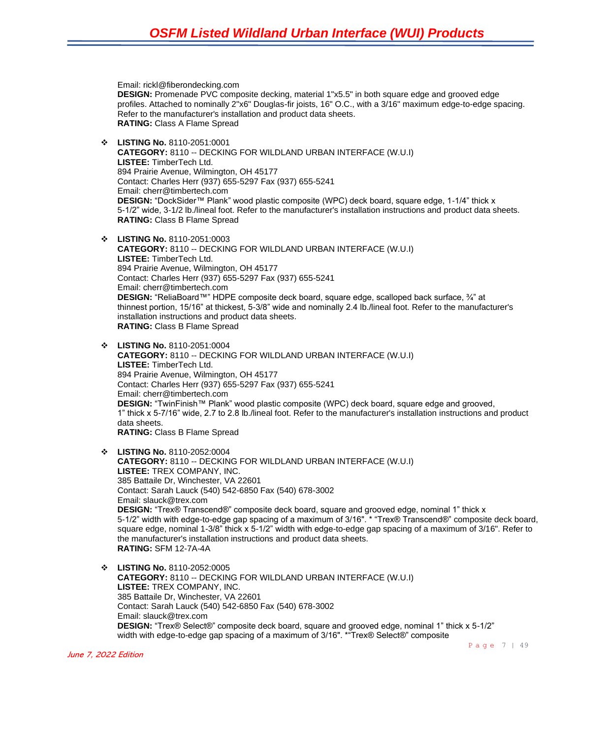Email: rickl@fiberondecking.com **DESIGN:** Promenade PVC composite decking, material 1"x5.5" in both square edge and grooved edge profiles. Attached to nominally 2"x6" Douglas-fir joists, 16" O.C., with a 3/16" maximum edge-to-edge spacing. Refer to the manufacturer's installation and product data sheets. **RATING:** Class A Flame Spread ❖ **LISTING No.** 8110-2051:0001 **CATEGORY:** 8110 -- DECKING FOR WILDLAND URBAN INTERFACE (W.U.I) **LISTEE:** TimberTech Ltd. 894 Prairie Avenue, Wilmington, OH 45177 Contact: Charles Herr (937) 655-5297 Fax (937) 655-5241 Email: cherr@timbertech.com **DESIGN:** "DockSider™ Plank" wood plastic composite (WPC) deck board, square edge, 1-1/4" thick x 5-1/2" wide, 3-1/2 lb./lineal foot. Refer to the manufacturer's installation instructions and product data sheets. **RATING:** Class B Flame Spread ❖ **LISTING No.** 8110-2051:0003 **CATEGORY:** 8110 -- DECKING FOR WILDLAND URBAN INTERFACE (W.U.I) **LISTEE:** TimberTech Ltd. 894 Prairie Avenue, Wilmington, OH 45177 Contact: Charles Herr (937) 655-5297 Fax (937) 655-5241 Email: cherr@timbertech.com **DESIGN:** "ReliaBoard™" HDPE composite deck board, square edge, scalloped back surface, ¾" at thinnest portion, 15/16" at thickest, 5-3/8" wide and nominally 2.4 lb./lineal foot. Refer to the manufacturer's installation instructions and product data sheets. **RATING:** Class B Flame Spread ❖ **LISTING No.** 8110-2051:0004 **CATEGORY:** 8110 -- DECKING FOR WILDLAND URBAN INTERFACE (W.U.I) **LISTEE:** TimberTech Ltd. 894 Prairie Avenue, Wilmington, OH 45177 Contact: Charles Herr (937) 655-5297 Fax (937) 655-5241 Email: cherr@timbertech.com **DESIGN:** "TwinFinish™ Plank" wood plastic composite (WPC) deck board, square edge and grooved, 1" thick x 5-7/16" wide, 2.7 to 2.8 lb./lineal foot. Refer to the manufacturer's installation instructions and product data sheets. **RATING:** Class B Flame Spread ❖ **LISTING No.** 8110-2052:0004 **CATEGORY:** 8110 -- DECKING FOR WILDLAND URBAN INTERFACE (W.U.I) **LISTEE:** TREX COMPANY, INC. 385 Battaile Dr, Winchester, VA 22601 Contact: Sarah Lauck (540) 542-6850 Fax (540) 678-3002 Email: slauck@trex.com **DESIGN:** "Trex® Transcend®" composite deck board, square and grooved edge, nominal 1" thick x 5-1/2" width with edge-to-edge gap spacing of a maximum of 3/16". \* "Trex® Transcend®" composite deck board, square edge, nominal 1-3/8" thick x 5-1/2" width with edge-to-edge gap spacing of a maximum of 3/16". Refer to the manufacturer's installation instructions and product data sheets. **RATING:** SFM 12-7A-4A ❖ **LISTING No.** 8110-2052:0005 **CATEGORY:** 8110 -- DECKING FOR WILDLAND URBAN INTERFACE (W.U.I) **LISTEE:** TREX COMPANY, INC. 385 Battaile Dr, Winchester, VA 22601 Contact: Sarah Lauck (540) 542-6850 Fax (540) 678-3002 Email: slauck@trex.com **DESIGN:** "Trex® Select®" composite deck board, square and grooved edge, nominal 1" thick x 5-1/2" width with edge-to-edge gap spacing of a maximum of 3/16". \*"Trex® Select®" composite

June 7, 2022 Edition

Page 7 | 49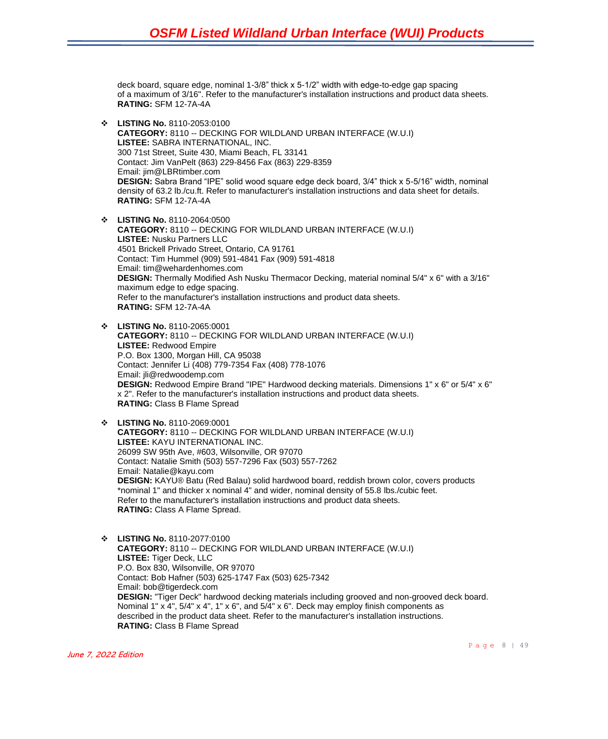deck board, square edge, nominal 1-3/8" thick x 5-1/2" width with edge-to-edge gap spacing of a maximum of 3/16". Refer to the manufacturer's installation instructions and product data sheets. **RATING:** SFM 12-7A-4A

- ❖ **LISTING No.** 8110-2053:0100 **CATEGORY:** 8110 -- DECKING FOR WILDLAND URBAN INTERFACE (W.U.I) **LISTEE:** SABRA INTERNATIONAL, INC. 300 71st Street, Suite 430, Miami Beach, FL 33141 Contact: Jim VanPelt (863) 229-8456 Fax (863) 229-8359 Email: jim@LBRtimber.com **DESIGN:** Sabra Brand "IPE" solid wood square edge deck board, 3/4" thick x 5-5/16" width, nominal density of 63.2 lb./cu.ft. Refer to manufacturer's installation instructions and data sheet for details. **RATING:** SFM 12-7A-4A
- ❖ **LISTING No.** 8110-2064:0500 **CATEGORY:** 8110 -- DECKING FOR WILDLAND URBAN INTERFACE (W.U.I) **LISTEE:** Nusku Partners LLC 4501 Brickell Privado Street, Ontario, CA 91761 Contact: Tim Hummel (909) 591-4841 Fax (909) 591-4818 Email: tim@wehardenhomes.com **DESIGN:** Thermally Modified Ash Nusku Thermacor Decking, material nominal 5/4" x 6" with a 3/16" maximum edge to edge spacing. Refer to the manufacturer's installation instructions and product data sheets. **RATING:** SFM 12-7A-4A
- ❖ **LISTING No.** 8110-2065:0001 **CATEGORY:** 8110 -- DECKING FOR WILDLAND URBAN INTERFACE (W.U.I) **LISTEE:** Redwood Empire P.O. Box 1300, Morgan Hill, CA 95038 Contact: Jennifer Li (408) 779-7354 Fax (408) 778-1076 Email: jli@redwoodemp.com **DESIGN:** Redwood Empire Brand "IPE" Hardwood decking materials. Dimensions 1" x 6" or 5/4" x 6" x 2". Refer to the manufacturer's installation instructions and product data sheets. **RATING:** Class B Flame Spread
- ❖ **LISTING No.** 8110-2069:0001 **CATEGORY:** 8110 -- DECKING FOR WILDLAND URBAN INTERFACE (W.U.I) **LISTEE:** KAYU INTERNATIONAL INC. 26099 SW 95th Ave, #603, Wilsonville, OR 97070 Contact: Natalie Smith (503) 557-7296 Fax (503) 557-7262 Email: Natalie@kayu.com **DESIGN:** KAYU® Batu (Red Balau) solid hardwood board, reddish brown color, covers products \*nominal 1" and thicker x nominal 4" and wider, nominal density of 55.8 lbs./cubic feet. Refer to the manufacturer's installation instructions and product data sheets. **RATING:** Class A Flame Spread.
- ❖ **LISTING No.** 8110-2077:0100 **CATEGORY:** 8110 -- DECKING FOR WILDLAND URBAN INTERFACE (W.U.I) **LISTEE:** Tiger Deck, LLC P.O. Box 830, Wilsonville, OR 97070 Contact: Bob Hafner (503) 625-1747 Fax (503) 625-7342 Email: bob@tigerdeck.com **DESIGN:** "Tiger Deck" hardwood decking materials including grooved and non-grooved deck board. Nominal 1" x 4", 5/4" x 4", 1" x 6", and 5/4" x 6". Deck may employ finish components as described in the product data sheet. Refer to the manufacturer's installation instructions. **RATING:** Class B Flame Spread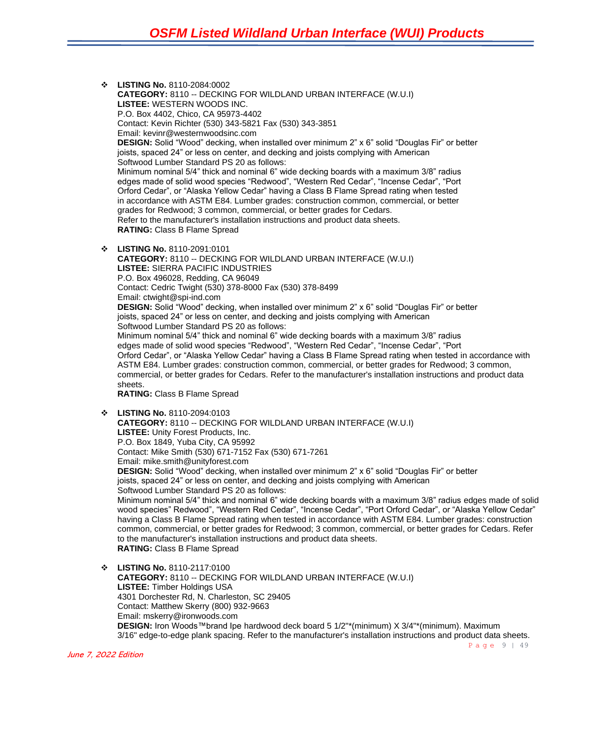❖ **LISTING No.** 8110-2084:0002 **CATEGORY:** 8110 -- DECKING FOR WILDLAND URBAN INTERFACE (W.U.I) **LISTEE:** WESTERN WOODS INC. P.O. Box 4402, Chico, CA 95973-4402 Contact: Kevin Richter (530) 343-5821 Fax (530) 343-3851 Email: kevinr@westernwoodsinc.com **DESIGN:** Solid "Wood" decking, when installed over minimum 2" x 6" solid "Douglas Fir" or better joists, spaced 24" or less on center, and decking and joists complying with American Softwood Lumber Standard PS 20 as follows: Minimum nominal 5/4" thick and nominal 6" wide decking boards with a maximum 3/8" radius edges made of solid wood species "Redwood", "Western Red Cedar", "Incense Cedar", "Port Orford Cedar", or "Alaska Yellow Cedar" having a Class B Flame Spread rating when tested in accordance with ASTM E84. Lumber grades: construction common, commercial, or better grades for Redwood; 3 common, commercial, or better grades for Cedars. Refer to the manufacturer's installation instructions and product data sheets. **RATING:** Class B Flame Spread

❖ **LISTING No.** 8110-2091:0101 **CATEGORY:** 8110 -- DECKING FOR WILDLAND URBAN INTERFACE (W.U.I) **LISTEE:** SIERRA PACIFIC INDUSTRIES P.O. Box 496028, Redding, CA 96049 Contact: Cedric Twight (530) 378-8000 Fax (530) 378-8499 Email: ctwight@spi-ind.com **DESIGN:** Solid "Wood" decking, when installed over minimum 2" x 6" solid "Douglas Fir" or better joists, spaced 24" or less on center, and decking and joists complying with American Softwood Lumber Standard PS 20 as follows: Minimum nominal 5/4" thick and nominal 6" wide decking boards with a maximum 3/8" radius edges made of solid wood species "Redwood", "Western Red Cedar", "Incense Cedar", "Port Orford Cedar", or "Alaska Yellow Cedar" having a Class B Flame Spread rating when tested in accordance with ASTM E84. Lumber grades: construction common, commercial, or better grades for Redwood; 3 common, commercial, or better grades for Cedars. Refer to the manufacturer's installation instructions and product data sheets. **RATING:** Class B Flame Spread

❖ **LISTING No.** 8110-2094:0103 **CATEGORY:** 8110 -- DECKING FOR WILDLAND URBAN INTERFACE (W.U.I) **LISTEE:** Unity Forest Products, Inc. P.O. Box 1849, Yuba City, CA 95992 Contact: Mike Smith (530) 671-7152 Fax (530) 671-7261 Email: mike.smith@unityforest.com **DESIGN:** Solid "Wood" decking, when installed over minimum 2" x 6" solid "Douglas Fir" or better ioists. spaced 24" or less on center, and decking and joists complying with American Softwood Lumber Standard PS 20 as follows: Minimum nominal 5/4" thick and nominal 6" wide decking boards with a maximum 3/8" radius edges made of solid wood species" Redwood", "Western Red Cedar", "Incense Cedar", "Port Orford Cedar", or "Alaska Yellow Cedar" having a Class B Flame Spread rating when tested in accordance with ASTM E84. Lumber grades: construction common, commercial, or better grades for Redwood; 3 common, commercial, or better grades for Cedars. Refer to the manufacturer's installation instructions and product data sheets. **RATING:** Class B Flame Spread

❖ **LISTING No.** 8110-2117:0100 **CATEGORY:** 8110 -- DECKING FOR WILDLAND URBAN INTERFACE (W.U.I) **LISTEE:** Timber Holdings USA 4301 Dorchester Rd, N. Charleston, SC 29405 Contact: Matthew Skerry (800) 932-9663 Email: mskerry@ironwoods.com **DESIGN:** Iron Woods™brand Ipe hardwood deck board 5 1/2"\*(minimum) X 3/4"\*(minimum). Maximum 3/16" edge-to-edge plank spacing. Refer to the manufacturer's installation instructions and product data sheets.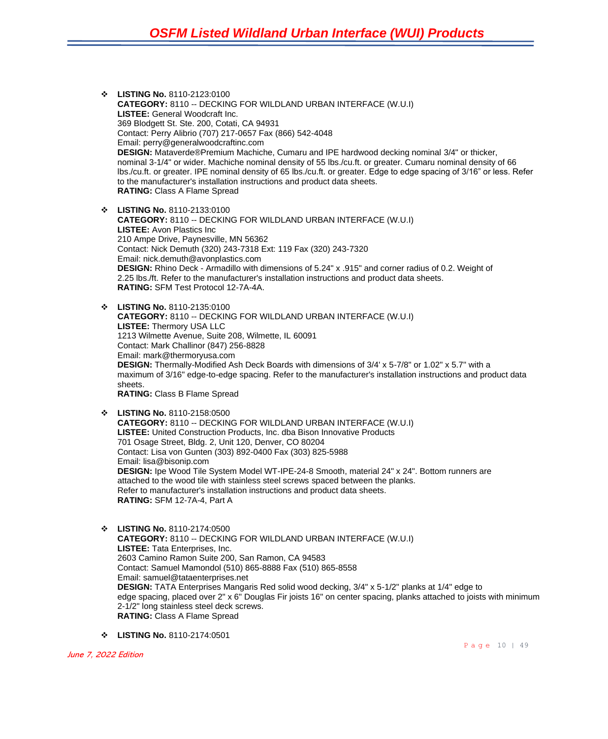❖ **LISTING No.** 8110-2123:0100 **CATEGORY:** 8110 -- DECKING FOR WILDLAND URBAN INTERFACE (W.U.I) **LISTEE:** General Woodcraft Inc. 369 Blodgett St. Ste. 200, Cotati, CA 94931 Contact: Perry Alibrio (707) 217-0657 Fax (866) 542-4048 Email: perry@generalwoodcraftinc.com **DESIGN:** Mataverde®Premium Machiche, Cumaru and IPE hardwood decking nominal 3/4" or thicker, nominal 3-1/4" or wider. Machiche nominal density of 55 lbs./cu.ft. or greater. Cumaru nominal density of 66 lbs./cu.ft. or greater. IPE nominal density of 65 lbs./cu.ft. or greater. Edge to edge spacing of 3/16" or less. Refer to the manufacturer's installation instructions and product data sheets. **RATING:** Class A Flame Spread

❖ **LISTING No.** 8110-2133:0100 **CATEGORY:** 8110 -- DECKING FOR WILDLAND URBAN INTERFACE (W.U.I) **LISTEE:** Avon Plastics Inc 210 Ampe Drive, Paynesville, MN 56362 Contact: Nick Demuth (320) 243-7318 Ext: 119 Fax (320) 243-7320 Email: nick.demuth@avonplastics.com **DESIGN:** Rhino Deck - Armadillo with dimensions of 5.24" x .915" and corner radius of 0.2. Weight of 2.25 lbs./ft. Refer to the manufacturer's installation instructions and product data sheets. **RATING:** SFM Test Protocol 12-7A-4A.

- ❖ **LISTING No.** 8110-2135:0100 **CATEGORY:** 8110 -- DECKING FOR WILDLAND URBAN INTERFACE (W.U.I) **LISTEE:** Thermory USA LLC 1213 Wilmette Avenue, Suite 208, Wilmette, IL 60091 Contact: Mark Challinor (847) 256-8828 Email: mark@thermoryusa.com **DESIGN:** Thermally-Modified Ash Deck Boards with dimensions of 3/4' x 5-7/8" or 1.02" x 5.7" with a maximum of 3/16" edge-to-edge spacing. Refer to the manufacturer's installation instructions and product data sheets. **RATING:** Class B Flame Spread
- ❖ **LISTING No.** 8110-2158:0500 **CATEGORY:** 8110 -- DECKING FOR WILDLAND URBAN INTERFACE (W.U.I) **LISTEE:** United Construction Products, Inc. dba Bison Innovative Products 701 Osage Street, Bldg. 2, Unit 120, Denver, CO 80204 Contact: Lisa von Gunten (303) 892-0400 Fax (303) 825-5988 Email: lisa@bisonip.com **DESIGN:** Ipe Wood Tile System Model WT-IPE-24-8 Smooth, material 24" x 24". Bottom runners are attached to the wood tile with stainless steel screws spaced between the planks. Refer to manufacturer's installation instructions and product data sheets. **RATING:** SFM 12-7A-4, Part A
- ❖ **LISTING No.** 8110-2174:0500 **CATEGORY:** 8110 -- DECKING FOR WILDLAND URBAN INTERFACE (W.U.I) **LISTEE:** Tata Enterprises, Inc. 2603 Camino Ramon Suite 200, San Ramon, CA 94583 Contact: Samuel Mamondol (510) 865-8888 Fax (510) 865-8558 Email: samuel@tataenterprises.net **DESIGN:** TATA Enterprises Mangaris Red solid wood decking, 3/4" x 5-1/2" planks at 1/4" edge to edge spacing, placed over 2" x 6" Douglas Fir joists 16" on center spacing, planks attached to joists with minimum 2-1/2" long stainless steel deck screws. **RATING:** Class A Flame Spread
- ❖ **LISTING No.** 8110-2174:0501

June 7, 2022 Edition

Page 10 | 49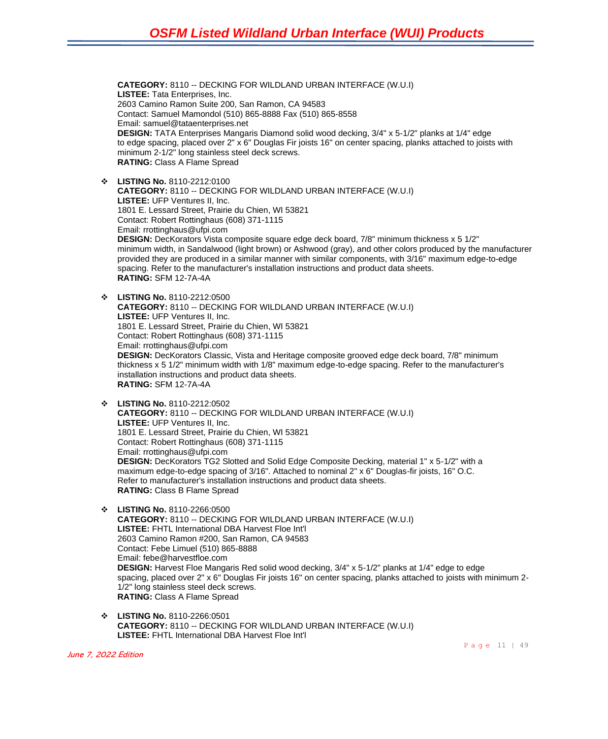**CATEGORY:** 8110 -- DECKING FOR WILDLAND URBAN INTERFACE (W.U.I) **LISTEE:** Tata Enterprises, Inc. 2603 Camino Ramon Suite 200, San Ramon, CA 94583 Contact: Samuel Mamondol (510) 865-8888 Fax (510) 865-8558 Email: samuel@tataenterprises.net **DESIGN:** TATA Enterprises Mangaris Diamond solid wood decking, 3/4" x 5-1/2" planks at 1/4" edge to edge spacing, placed over 2" x 6" Douglas Fir joists 16" on center spacing, planks attached to joists with minimum 2-1/2" long stainless steel deck screws. **RATING:** Class A Flame Spread

❖ **LISTING No.** 8110-2212:0100 **CATEGORY:** 8110 -- DECKING FOR WILDLAND URBAN INTERFACE (W.U.I) **LISTEE:** UFP Ventures II, Inc. 1801 E. Lessard Street, Prairie du Chien, WI 53821 Contact: Robert Rottinghaus (608) 371-1115 Email: rrottinghaus@ufpi.com **DESIGN:** DecKorators Vista composite square edge deck board, 7/8" minimum thickness x 5 1/2" minimum width, in Sandalwood (light brown) or Ashwood (gray), and other colors produced by the manufacturer provided they are produced in a similar manner with similar components, with 3/16" maximum edge-to-edge spacing. Refer to the manufacturer's installation instructions and product data sheets. **RATING:** SFM 12-7A-4A

❖ **LISTING No.** 8110-2212:0500 **CATEGORY:** 8110 -- DECKING FOR WILDLAND URBAN INTERFACE (W.U.I) **LISTEE:** UFP Ventures II, Inc. 1801 E. Lessard Street, Prairie du Chien, WI 53821 Contact: Robert Rottinghaus (608) 371-1115 Email: rrottinghaus@ufpi.com **DESIGN:** DecKorators Classic, Vista and Heritage composite grooved edge deck board, 7/8" minimum thickness x 5 1/2" minimum width with 1/8" maximum edge-to-edge spacing. Refer to the manufacturer's installation instructions and product data sheets. **RATING:** SFM 12-7A-4A

- ❖ **LISTING No.** 8110-2212:0502 **CATEGORY:** 8110 -- DECKING FOR WILDLAND URBAN INTERFACE (W.U.I) **LISTEE:** UFP Ventures II, Inc. 1801 E. Lessard Street, Prairie du Chien, WI 53821 Contact: Robert Rottinghaus (608) 371-1115 Email: rrottinghaus@ufpi.com **DESIGN:** DecKorators TG2 Slotted and Solid Edge Composite Decking, material 1" x 5-1/2" with a maximum edge-to-edge spacing of 3/16". Attached to nominal 2" x 6" Douglas-fir joists, 16" O.C. Refer to manufacturer's installation instructions and product data sheets. **RATING:** Class B Flame Spread
- ❖ **LISTING No.** 8110-2266:0500 **CATEGORY:** 8110 -- DECKING FOR WILDLAND URBAN INTERFACE (W.U.I) **LISTEE:** FHTL International DBA Harvest Floe Int'l 2603 Camino Ramon #200, San Ramon, CA 94583 Contact: Febe Limuel (510) 865-8888 Email: febe@harvestfloe.com **DESIGN:** Harvest Floe Mangaris Red solid wood decking, 3/4" x 5-1/2" planks at 1/4" edge to edge spacing, placed over 2" x 6" Douglas Fir joists 16" on center spacing, planks attached to joists with minimum 2-1/2" long stainless steel deck screws. **RATING:** Class A Flame Spread
- ❖ **LISTING No.** 8110-2266:0501 **CATEGORY:** 8110 -- DECKING FOR WILDLAND URBAN INTERFACE (W.U.I) **LISTEE:** FHTL International DBA Harvest Floe Int'l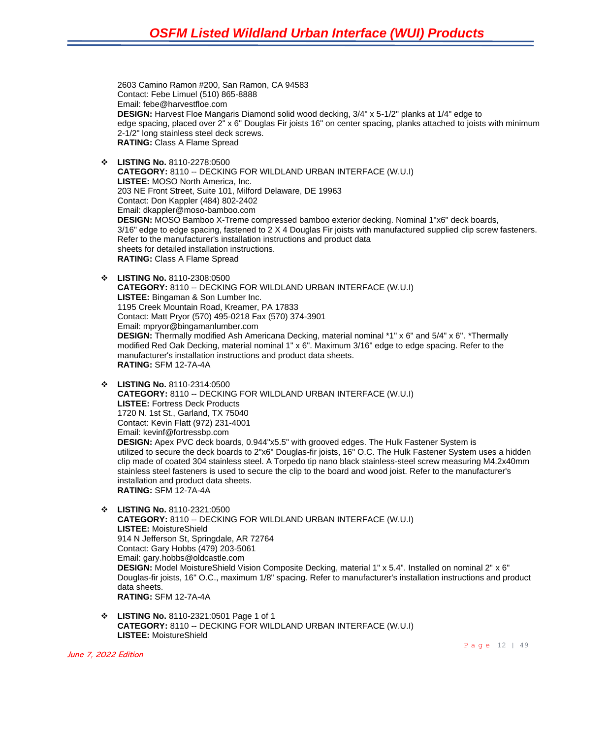2603 Camino Ramon #200, San Ramon, CA 94583 Contact: Febe Limuel (510) 865-8888 Email: febe@harvestfloe.com **DESIGN:** Harvest Floe Mangaris Diamond solid wood decking, 3/4" x 5-1/2" planks at 1/4" edge to edge spacing, placed over 2" x 6" Douglas Fir joists 16" on center spacing, planks attached to joists with minimum 2-1/2" long stainless steel deck screws. **RATING:** Class A Flame Spread

❖ **LISTING No.** 8110-2278:0500

**CATEGORY:** 8110 -- DECKING FOR WILDLAND URBAN INTERFACE (W.U.I) **LISTEE:** MOSO North America, Inc. 203 NE Front Street, Suite 101, Milford Delaware, DE 19963 Contact: Don Kappler (484) 802-2402 Email: dkappler@moso-bamboo.com **DESIGN:** MOSO Bamboo X-Treme compressed bamboo exterior decking. Nominal 1"x6" deck boards, 3/16" edge to edge spacing, fastened to 2 X 4 Douglas Fir joists with manufactured supplied clip screw fasteners. Refer to the manufacturer's installation instructions and product data sheets for detailed installation instructions. **RATING:** Class A Flame Spread

- ❖ **LISTING No.** 8110-2308:0500 **CATEGORY:** 8110 -- DECKING FOR WILDLAND URBAN INTERFACE (W.U.I) **LISTEE:** Bingaman & Son Lumber Inc. 1195 Creek Mountain Road, Kreamer, PA 17833 Contact: Matt Pryor (570) 495-0218 Fax (570) 374-3901 Email: mpryor@bingamanlumber.com **DESIGN:** Thermally modified Ash Americana Decking, material nominal \*1" x 6" and 5/4" x 6". \*Thermally modified Red Oak Decking, material nominal 1" x 6". Maximum 3/16" edge to edge spacing. Refer to the manufacturer's installation instructions and product data sheets. **RATING:** SFM 12-7A-4A
- ❖ **LISTING No.** 8110-2314:0500 **CATEGORY:** 8110 -- DECKING FOR WILDLAND URBAN INTERFACE (W.U.I) **LISTEE:** Fortress Deck Products 1720 N. 1st St., Garland, TX 75040 Contact: Kevin Flatt (972) 231-4001 Email: kevinf@fortressbp.com **DESIGN:** Apex PVC deck boards, 0.944"x5.5" with grooved edges. The Hulk Fastener System is utilized to secure the deck boards to 2"x6" Douglas-fir joists, 16" O.C. The Hulk Fastener System uses a hidden clip made of coated 304 stainless steel. A Torpedo tip nano black stainless-steel screw measuring M4.2x40mm stainless steel fasteners is used to secure the clip to the board and wood joist. Refer to the manufacturer's installation and product data sheets. **RATING:** SFM 12-7A-4A
- ❖ **LISTING No.** 8110-2321:0500 **CATEGORY:** 8110 -- DECKING FOR WILDLAND URBAN INTERFACE (W.U.I) **LISTEE:** MoistureShield 914 N Jefferson St, Springdale, AR 72764 Contact: Gary Hobbs (479) 203-5061 Email: gary.hobbs@oldcastle.com **DESIGN:** Model MoistureShield Vision Composite Decking, material 1" x 5.4". Installed on nominal 2" x 6" Douglas-fir joists, 16" O.C., maximum 1/8" spacing. Refer to manufacturer's installation instructions and product data sheets. **RATING:** SFM 12-7A-4A
- ❖ **LISTING No.** 8110-2321:0501 Page 1 of 1 **CATEGORY:** 8110 -- DECKING FOR WILDLAND URBAN INTERFACE (W.U.I) **LISTEE:** MoistureShield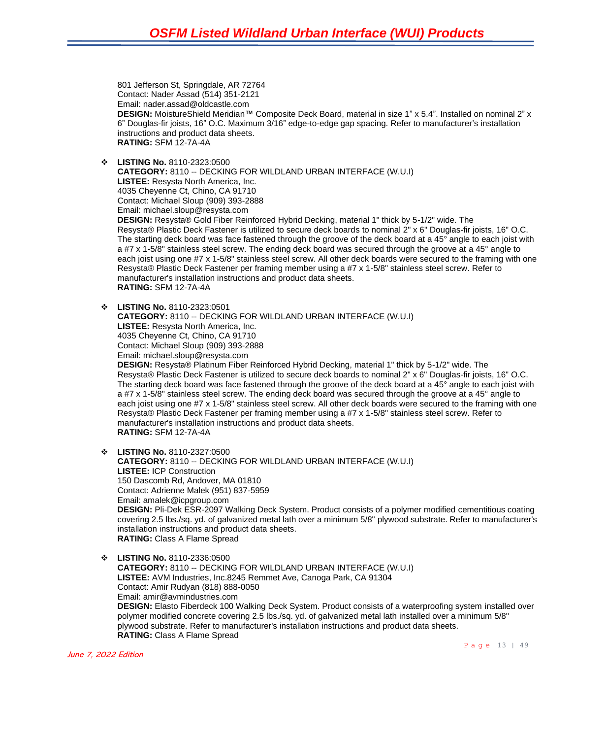801 Jefferson St, Springdale, AR 72764 Contact: Nader Assad (514) 351-2121 Email: nader.assad@oldcastle.com **DESIGN:** MoistureShield Meridian™ Composite Deck Board, material in size 1" x 5.4". Installed on nominal 2" x 6" Douglas-fir joists, 16" O.C. Maximum 3/16" edge-to-edge gap spacing. Refer to manufacturer's installation instructions and product data sheets. **RATING:** SFM 12-7A-4A

❖ **LISTING No.** 8110-2323:0500

**CATEGORY:** 8110 -- DECKING FOR WILDLAND URBAN INTERFACE (W.U.I) **LISTEE:** Resysta North America, Inc. 4035 Cheyenne Ct, Chino, CA 91710 Contact: Michael Sloup (909) 393-2888 Email: michael.sloup@resysta.com **DESIGN:** Resysta® Gold Fiber Reinforced Hybrid Decking, material 1" thick by 5-1/2" wide. The Resysta® Plastic Deck Fastener is utilized to secure deck boards to nominal 2" x 6" Douglas-fir joists, 16" O.C.

The starting deck board was face fastened through the groove of the deck board at a 45° angle to each joist with a #7 x 1-5/8" stainless steel screw. The ending deck board was secured through the groove at a 45° angle to each joist using one #7 x 1-5/8" stainless steel screw. All other deck boards were secured to the framing with one Resysta® Plastic Deck Fastener per framing member using a #7 x 1-5/8" stainless steel screw. Refer to manufacturer's installation instructions and product data sheets. **RATING:** SFM 12-7A-4A

❖ **LISTING No.** 8110-2323:0501

**CATEGORY:** 8110 -- DECKING FOR WILDLAND URBAN INTERFACE (W.U.I) **LISTEE:** Resysta North America, Inc. 4035 Cheyenne Ct, Chino, CA 91710 Contact: Michael Sloup (909) 393-2888 Email: michael.sloup@resysta.com **DESIGN:** Resysta® Platinum Fiber Reinforced Hybrid Decking, material 1" thick by 5-1/2" wide. The Resysta® Plastic Deck Fastener is utilized to secure deck boards to nominal 2" x 6" Douglas-fir joists, 16" O.C.

The starting deck board was face fastened through the groove of the deck board at a 45° angle to each joist with a #7 x 1-5/8" stainless steel screw. The ending deck board was secured through the groove at a 45° angle to each joist using one #7 x 1-5/8" stainless steel screw. All other deck boards were secured to the framing with one Resysta® Plastic Deck Fastener per framing member using a #7 x 1-5/8" stainless steel screw. Refer to manufacturer's installation instructions and product data sheets. **RATING:** SFM 12-7A-4A

❖ **LISTING No.** 8110-2327:0500

**CATEGORY:** 8110 -- DECKING FOR WILDLAND URBAN INTERFACE (W.U.I) **LISTEE:** ICP Construction 150 Dascomb Rd, Andover, MA 01810 Contact: Adrienne Malek (951) 837-5959 Email: amalek@icpgroup.com **DESIGN:** Pli-Dek ESR-2097 Walking Deck System. Product consists of a polymer modified cementitious coating covering 2.5 lbs./sq. yd. of galvanized metal lath over a minimum 5/8" plywood substrate. Refer to manufacturer's installation instructions and product data sheets. **RATING:** Class A Flame Spread

❖ **LISTING No.** 8110-2336:0500 **CATEGORY:** 8110 -- DECKING FOR WILDLAND URBAN INTERFACE (W.U.I) **LISTEE:** AVM Industries, Inc.8245 Remmet Ave, Canoga Park, CA 91304 Contact: Amir Rudyan (818) 888-0050 Email: amir@avmindustries.com **DESIGN:** Elasto Fiberdeck 100 Walking Deck System. Product consists of a waterproofing system installed over polymer modified concrete covering 2.5 lbs./sq. yd. of galvanized metal lath installed over a minimum 5/8" plywood substrate. Refer to manufacturer's installation instructions and product data sheets. **RATING:** Class A Flame Spread

June 7, 2022 Edition

Page 13 | 49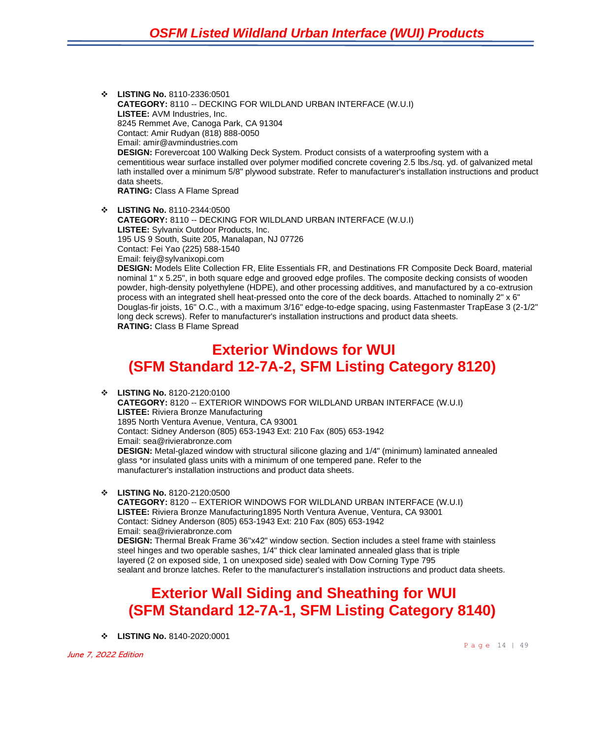❖ **LISTING No.** 8110-2336:0501 **CATEGORY:** 8110 -- DECKING FOR WILDLAND URBAN INTERFACE (W.U.I) **LISTEE:** AVM Industries, Inc. 8245 Remmet Ave, Canoga Park, CA 91304 Contact: Amir Rudyan (818) 888-0050 Email: amir@avmindustries.com **DESIGN:** Forevercoat 100 Walking Deck System. Product consists of a waterproofing system with a cementitious wear surface installed over polymer modified concrete covering 2.5 lbs./sq. yd. of galvanized metal lath installed over a minimum 5/8" plywood substrate. Refer to manufacturer's installation instructions and product data sheets. **RATING:** Class A Flame Spread

❖ **LISTING No.** 8110-2344:0500 **CATEGORY:** 8110 -- DECKING FOR WILDLAND URBAN INTERFACE (W.U.I) **LISTEE:** Sylvanix Outdoor Products, Inc. 195 US 9 South, Suite 205, Manalapan, NJ 07726 Contact: Fei Yao (225) 588-1540 Email: feiy@sylvanixopi.com **DESIGN:** Models Elite Collection FR, Elite Essentials FR, and Destinations FR Composite Deck Board, material nominal 1" x 5.25", in both square edge and grooved edge profiles. The composite decking consists of wooden powder, high-density polyethylene (HDPE), and other processing additives, and manufactured by a co-extrusion process with an integrated shell heat-pressed onto the core of the deck boards. Attached to nominally 2" x 6" Douglas-fir joists, 16" O.C., with a maximum 3/16" edge-to-edge spacing, using Fastenmaster TrapEase 3 (2-1/2"

### **Exterior Windows for WUI (SFM Standard 12-7A-2, SFM Listing Category 8120)**

long deck screws). Refer to manufacturer's installation instructions and product data sheets.

❖ **LISTING No.** 8120-2120:0100

**RATING:** Class B Flame Spread

**CATEGORY:** 8120 -- EXTERIOR WINDOWS FOR WILDLAND URBAN INTERFACE (W.U.I) **LISTEE:** Riviera Bronze Manufacturing 1895 North Ventura Avenue, Ventura, CA 93001 Contact: Sidney Anderson (805) 653-1943 Ext: 210 Fax (805) 653-1942 Email: sea@rivierabronze.com **DESIGN:** Metal-glazed window with structural silicone glazing and 1/4" (minimum) laminated annealed glass \*or insulated glass units with a minimum of one tempered pane. Refer to the manufacturer's installation instructions and product data sheets.

❖ **LISTING No.** 8120-2120:0500

**CATEGORY:** 8120 -- EXTERIOR WINDOWS FOR WILDLAND URBAN INTERFACE (W.U.I) **LISTEE:** Riviera Bronze Manufacturing1895 North Ventura Avenue, Ventura, CA 93001 Contact: Sidney Anderson (805) 653-1943 Ext: 210 Fax (805) 653-1942 Email: sea@rivierabronze.com **DESIGN:** Thermal Break Frame 36"x42" window section. Section includes a steel frame with stainless steel hinges and two operable sashes, 1/4" thick clear laminated annealed glass that is triple layered (2 on exposed side, 1 on unexposed side) sealed with Dow Corning Type 795 sealant and bronze latches. Refer to the manufacturer's installation instructions and product data sheets.

### **Exterior Wall Siding and Sheathing for WUI (SFM Standard 12-7A-1, SFM Listing Category 8140)**

❖ **LISTING No.** 8140-2020:0001

June 7, 2022 Edition

Page 14 | 49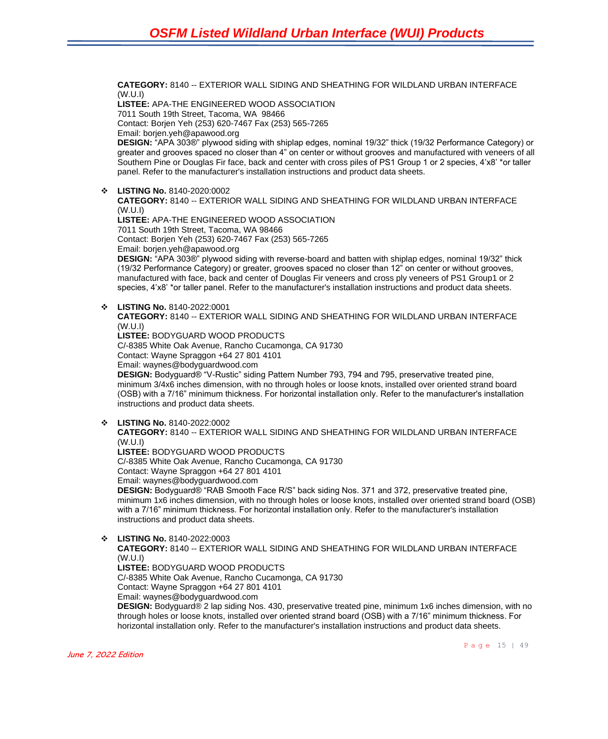**CATEGORY:** 8140 -- EXTERIOR WALL SIDING AND SHEATHING FOR WILDLAND URBAN INTERFACE (W.U.I)

**LISTEE:** APA-THE ENGINEERED WOOD ASSOCIATION 7011 South 19th Street, Tacoma, WA 98466 Contact: Borjen Yeh (253) 620-7467 Fax (253) 565-7265 Email: borjen.yeh@apawood.org

**DESIGN:** "APA 303®" plywood siding with shiplap edges, nominal 19/32" thick (19/32 Performance Category) or greater and grooves spaced no closer than 4" on center or without grooves and manufactured with veneers of all Southern Pine or Douglas Fir face, back and center with cross piles of PS1 Group 1 or 2 species, 4'x8' \*or taller panel. Refer to the manufacturer's installation instructions and product data sheets.

❖ **LISTING No.** 8140-2020:0002

**CATEGORY:** 8140 -- EXTERIOR WALL SIDING AND SHEATHING FOR WILDLAND URBAN INTERFACE (W.U.I)

**LISTEE:** APA-THE ENGINEERED WOOD ASSOCIATION 7011 South 19th Street, Tacoma, WA 98466 Contact: Borjen Yeh (253) 620-7467 Fax (253) 565-7265 Email: borjen.yeh@apawood.org

**DESIGN:** "APA 303®" plywood siding with reverse-board and batten with shiplap edges, nominal 19/32" thick (19/32 Performance Category) or greater, grooves spaced no closer than 12" on center or without grooves, manufactured with face, back and center of Douglas Fir veneers and cross ply veneers of PS1 Group1 or 2 species, 4'x8' \*or taller panel. Refer to the manufacturer's installation instructions and product data sheets.

#### ❖ **LISTING No.** 8140-2022:0001

**CATEGORY:** 8140 -- EXTERIOR WALL SIDING AND SHEATHING FOR WILDLAND URBAN INTERFACE (W.U.I)

**LISTEE:** BODYGUARD WOOD PRODUCTS

C/-8385 White Oak Avenue, Rancho Cucamonga, CA 91730

Contact: Wayne Spraggon +64 27 801 4101

Email: waynes@bodyguardwood.com

**DESIGN:** Bodyguard® "V-Rustic" siding Pattern Number 793, 794 and 795, preservative treated pine, minimum 3/4x6 inches dimension, with no through holes or loose knots, installed over oriented strand board (OSB) with a 7/16" minimum thickness. For horizontal installation only. Refer to the manufacturer's installation instructions and product data sheets.

#### ❖ **LISTING No.** 8140-2022:0002

**CATEGORY:** 8140 -- EXTERIOR WALL SIDING AND SHEATHING FOR WILDLAND URBAN INTERFACE (W.U.I)

**LISTEE:** BODYGUARD WOOD PRODUCTS

C/-8385 White Oak Avenue, Rancho Cucamonga, CA 91730

Contact: Wayne Spraggon +64 27 801 4101

Email: waynes@bodyguardwood.com

**DESIGN:** Bodyguard® "RAB Smooth Face R/S" back siding Nos. 371 and 372, preservative treated pine, minimum 1x6 inches dimension, with no through holes or loose knots, installed over oriented strand board (OSB) with a 7/16" minimum thickness. For horizontal installation only. Refer to the manufacturer's installation instructions and product data sheets.

❖ **LISTING No.** 8140-2022:0003

**CATEGORY:** 8140 -- EXTERIOR WALL SIDING AND SHEATHING FOR WILDLAND URBAN INTERFACE (W.U.I)

**LISTEE:** BODYGUARD WOOD PRODUCTS

C/-8385 White Oak Avenue, Rancho Cucamonga, CA 91730

Contact: Wayne Spraggon +64 27 801 4101

Email: waynes@bodyguardwood.com

**DESIGN:** Bodyguard® 2 lap siding Nos. 430, preservative treated pine, minimum 1x6 inches dimension, with no through holes or loose knots, installed over oriented strand board (OSB) with a 7/16" minimum thickness. For horizontal installation only. Refer to the manufacturer's installation instructions and product data sheets.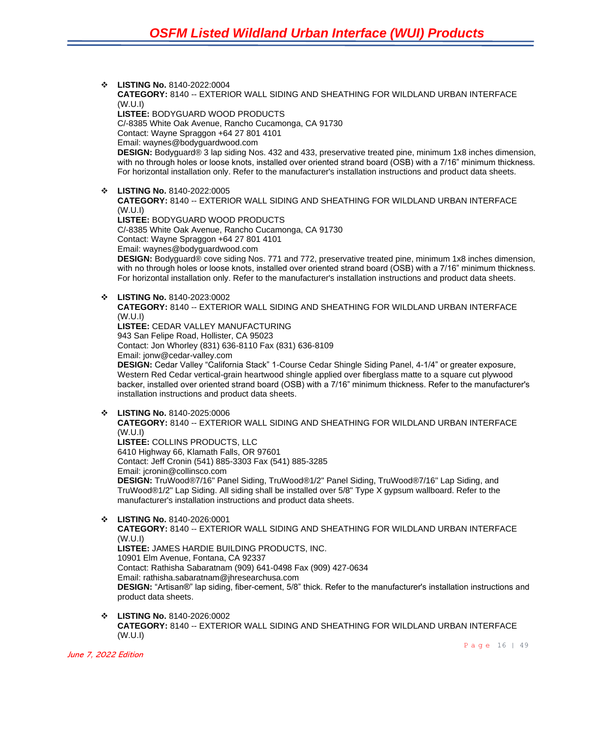❖ **LISTING No.** 8140-2022:0004 **CATEGORY:** 8140 -- EXTERIOR WALL SIDING AND SHEATHING FOR WILDLAND URBAN INTERFACE (W.U.I) **LISTEE:** BODYGUARD WOOD PRODUCTS C/-8385 White Oak Avenue, Rancho Cucamonga, CA 91730 Contact: Wayne Spraggon +64 27 801 4101 Email: waynes@bodyguardwood.com **DESIGN:** Bodyguard® 3 lap siding Nos. 432 and 433, preservative treated pine, minimum 1x8 inches dimension, with no through holes or loose knots, installed over oriented strand board (OSB) with a 7/16" minimum thickness. For horizontal installation only. Refer to the manufacturer's installation instructions and product data sheets. ❖ **LISTING No.** 8140-2022:0005 **CATEGORY:** 8140 -- EXTERIOR WALL SIDING AND SHEATHING FOR WILDLAND URBAN INTERFACE (W.U.I) **LISTEE:** BODYGUARD WOOD PRODUCTS C/-8385 White Oak Avenue, Rancho Cucamonga, CA 91730 Contact: Wayne Spraggon +64 27 801 4101 Email: waynes@bodyguardwood.com **DESIGN:** Bodyguard® cove siding Nos. 771 and 772, preservative treated pine, minimum 1x8 inches dimension, with no through holes or loose knots, installed over oriented strand board (OSB) with a 7/16" minimum thickness. For horizontal installation only. Refer to the manufacturer's installation instructions and product data sheets. ❖ **LISTING No.** 8140-2023:0002 **CATEGORY:** 8140 -- EXTERIOR WALL SIDING AND SHEATHING FOR WILDLAND URBAN INTERFACE (W.U.I) **LISTEE:** CEDAR VALLEY MANUFACTURING 943 San Felipe Road, Hollister, CA 95023 Contact: Jon Whorley (831) 636-8110 Fax (831) 636-8109 Email: jonw@cedar-valley.com **DESIGN:** Cedar Valley "California Stack" 1-Course Cedar Shingle Siding Panel, 4-1/4" or greater exposure, Western Red Cedar vertical-grain heartwood shingle applied over fiberglass matte to a square cut plywood backer, installed over oriented strand board (OSB) with a 7/16" minimum thickness. Refer to the manufacturer's installation instructions and product data sheets. ❖ **LISTING No.** 8140-2025:0006 **CATEGORY:** 8140 -- EXTERIOR WALL SIDING AND SHEATHING FOR WILDLAND URBAN INTERFACE (W.U.I) **LISTEE:** COLLINS PRODUCTS, LLC 6410 Highway 66, Klamath Falls, OR 97601 Contact: Jeff Cronin (541) 885-3303 Fax (541) 885-3285 Email: jcronin@collinsco.com **DESIGN:** TruWood®7/16" Panel Siding, TruWood®1/2" Panel Siding, TruWood®7/16" Lap Siding, and TruWood®1/2" Lap Siding. All siding shall be installed over 5/8" Type X gypsum wallboard. Refer to the manufacturer's installation instructions and product data sheets. ❖ **LISTING No.** 8140-2026:0001 **CATEGORY:** 8140 -- EXTERIOR WALL SIDING AND SHEATHING FOR WILDLAND URBAN INTERFACE (W.U.I) **LISTEE:** JAMES HARDIE BUILDING PRODUCTS, INC. 10901 Elm Avenue, Fontana, CA 92337 Contact: Rathisha Sabaratnam (909) 641-0498 Fax (909) 427-0634 Email: rathisha.sabaratnam@jhresearchusa.com **DESIGN:** "Artisan®" lap siding, fiber-cement, 5/8" thick. Refer to the manufacturer's installation instructions and product data sheets. ❖ **LISTING No.** 8140-2026:0002

**CATEGORY:** 8140 -- EXTERIOR WALL SIDING AND SHEATHING FOR WILDLAND URBAN INTERFACE (W.U.I)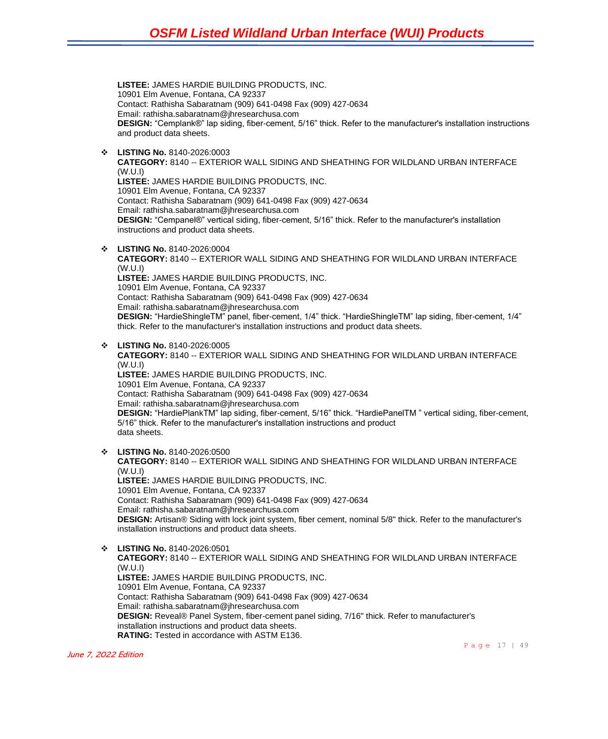**LISTEE:** JAMES HARDIE BUILDING PRODUCTS, INC. 10901 Elm Avenue, Fontana, CA 92337 Contact: Rathisha Sabaratnam (909) 641-0498 Fax (909) 427-0634 Email: rathisha.sabaratnam@jhresearchusa.com **DESIGN:** "Cemplank®" lap siding, fiber-cement, 5/16" thick. Refer to the manufacturer's installation instructions and product data sheets.

❖ **LISTING No.** 8140-2026:0003

**CATEGORY:** 8140 -- EXTERIOR WALL SIDING AND SHEATHING FOR WILDLAND URBAN INTERFACE (W.U.I) **LISTEE:** JAMES HARDIE BUILDING PRODUCTS, INC. 10901 Elm Avenue, Fontana, CA 92337 Contact: Rathisha Sabaratnam (909) 641-0498 Fax (909) 427-0634 Email: rathisha.sabaratnam@jhresearchusa.com **DESIGN:** "Cempanel®" vertical siding, fiber-cement, 5/16" thick. Refer to the manufacturer's installation instructions and product data sheets.

❖ **LISTING No.** 8140-2026:0004

**CATEGORY:** 8140 -- EXTERIOR WALL SIDING AND SHEATHING FOR WILDLAND URBAN INTERFACE (W.U.I)

**LISTEE:** JAMES HARDIE BUILDING PRODUCTS, INC.

10901 Elm Avenue, Fontana, CA 92337

Contact: Rathisha Sabaratnam (909) 641-0498 Fax (909) 427-0634

Email: rathisha.sabaratnam@jhresearchusa.com

**DESIGN:** "HardieShingleTM" panel, fiber-cement, 1/4" thick. "HardieShingleTM" lap siding, fiber-cement, 1/4" thick. Refer to the manufacturer's installation instructions and product data sheets.

❖ **LISTING No.** 8140-2026:0005

**CATEGORY:** 8140 -- EXTERIOR WALL SIDING AND SHEATHING FOR WILDLAND URBAN INTERFACE (W.U.I)

**LISTEE:** JAMES HARDIE BUILDING PRODUCTS, INC. 10901 Elm Avenue, Fontana, CA 92337 Contact: Rathisha Sabaratnam (909) 641-0498 Fax (909) 427-0634 Email: rathisha.sabaratnam@jhresearchusa.com **DESIGN:** "HardiePlankTM" lap siding, fiber-cement, 5/16" thick. "HardiePanelTM " vertical siding, fiber-cement, 5/16" thick. Refer to the manufacturer's installation instructions and product data sheets.

❖ **LISTING No.** 8140-2026:0500

**CATEGORY:** 8140 -- EXTERIOR WALL SIDING AND SHEATHING FOR WILDLAND URBAN INTERFACE (W.U.I) **LISTEE:** JAMES HARDIE BUILDING PRODUCTS, INC. 10901 Elm Avenue, Fontana, CA 92337 Contact: Rathisha Sabaratnam (909) 641-0498 Fax (909) 427-0634 Email: rathisha.sabaratnam@jhresearchusa.com

**DESIGN:** Artisan® Siding with lock joint system, fiber cement, nominal 5/8" thick. Refer to the manufacturer's installation instructions and product data sheets.

#### ❖ **LISTING No.** 8140-2026:0501

**CATEGORY:** 8140 -- EXTERIOR WALL SIDING AND SHEATHING FOR WILDLAND URBAN INTERFACE (W.U.I) **LISTEE:** JAMES HARDIE BUILDING PRODUCTS, INC. 10901 Elm Avenue, Fontana, CA 92337 Contact: Rathisha Sabaratnam (909) 641-0498 Fax (909) 427-0634

Email: rathisha.sabaratnam@jhresearchusa.com

**DESIGN:** Reveal® Panel System, fiber-cement panel siding, 7/16" thick. Refer to manufacturer's installation instructions and product data sheets.

**RATING:** Tested in accordance with ASTM E136.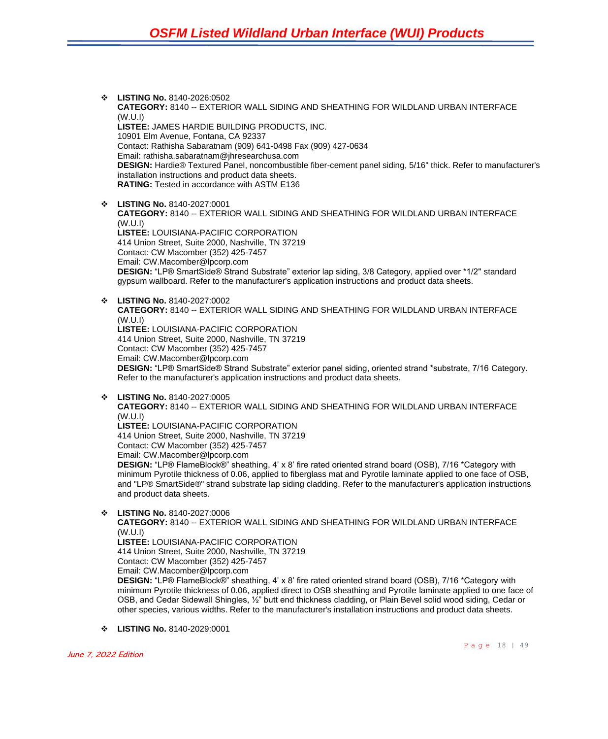- ❖ **LISTING No.** 8140-2026:0502 **CATEGORY:** 8140 -- EXTERIOR WALL SIDING AND SHEATHING FOR WILDLAND URBAN INTERFACE (W.U.I) **LISTEE:** JAMES HARDIE BUILDING PRODUCTS, INC. 10901 Elm Avenue, Fontana, CA 92337 Contact: Rathisha Sabaratnam (909) 641-0498 Fax (909) 427-0634 Email: rathisha.sabaratnam@jhresearchusa.com **DESIGN:** Hardie® Textured Panel, noncombustible fiber-cement panel siding, 5/16" thick. Refer to manufacturer's installation instructions and product data sheets. **RATING:** Tested in accordance with ASTM E136
- ❖ **LISTING No.** 8140-2027:0001 **CATEGORY:** 8140 -- EXTERIOR WALL SIDING AND SHEATHING FOR WILDLAND URBAN INTERFACE (W.U.I) **LISTEE:** LOUISIANA-PACIFIC CORPORATION 414 Union Street, Suite 2000, Nashville, TN 37219 Contact: CW Macomber (352) 425-7457 Email: CW.Macomber@lpcorp.com **DESIGN:** "LP® SmartSide® Strand Substrate" exterior lap siding, 3/8 Category, applied over \*1/2" standard gypsum wallboard. Refer to the manufacturer's application instructions and product data sheets.
- ❖ **LISTING No.** 8140-2027:0002

**CATEGORY:** 8140 -- EXTERIOR WALL SIDING AND SHEATHING FOR WILDLAND URBAN INTERFACE (W.U.I) **LISTEE:** LOUISIANA-PACIFIC CORPORATION 414 Union Street, Suite 2000, Nashville, TN 37219 Contact: CW Macomber (352) 425-7457 Email: CW.Macomber@lpcorp.com **DESIGN:** "LP® SmartSide® Strand Substrate" exterior panel siding, oriented strand \*substrate, 7/16 Category. Refer to the manufacturer's application instructions and product data sheets.

❖ **LISTING No.** 8140-2027:0005

**CATEGORY:** 8140 -- EXTERIOR WALL SIDING AND SHEATHING FOR WILDLAND URBAN INTERFACE (W.U.I) **LISTEE:** LOUISIANA-PACIFIC CORPORATION

414 Union Street, Suite 2000, Nashville, TN 37219

Contact: CW Macomber (352) 425-7457

Email: CW.Macomber@lpcorp.com

**DESIGN:** "LP® FlameBlock®" sheathing, 4' x 8' fire rated oriented strand board (OSB), 7/16 \*Category with minimum Pyrotile thickness of 0.06, applied to fiberglass mat and Pyrotile laminate applied to one face of OSB, and "LP® SmartSide®" strand substrate lap siding cladding. Refer to the manufacturer's application instructions and product data sheets.

❖ **LISTING No.** 8140-2027:0006

**CATEGORY:** 8140 -- EXTERIOR WALL SIDING AND SHEATHING FOR WILDLAND URBAN INTERFACE (W.U.I)

**LISTEE:** LOUISIANA-PACIFIC CORPORATION 414 Union Street, Suite 2000, Nashville, TN 37219 Contact: CW Macomber (352) 425-7457

Email: CW.Macomber@lpcorp.com

**DESIGN:** "LP® FlameBlock®" sheathing, 4' x 8' fire rated oriented strand board (OSB), 7/16 \*Category with minimum Pyrotile thickness of 0.06, applied direct to OSB sheathing and Pyrotile laminate applied to one face of OSB, and Cedar Sidewall Shingles, ½" butt end thickness cladding, or Plain Bevel solid wood siding, Cedar or other species, various widths. Refer to the manufacturer's installation instructions and product data sheets.

❖ **LISTING No.** 8140-2029:0001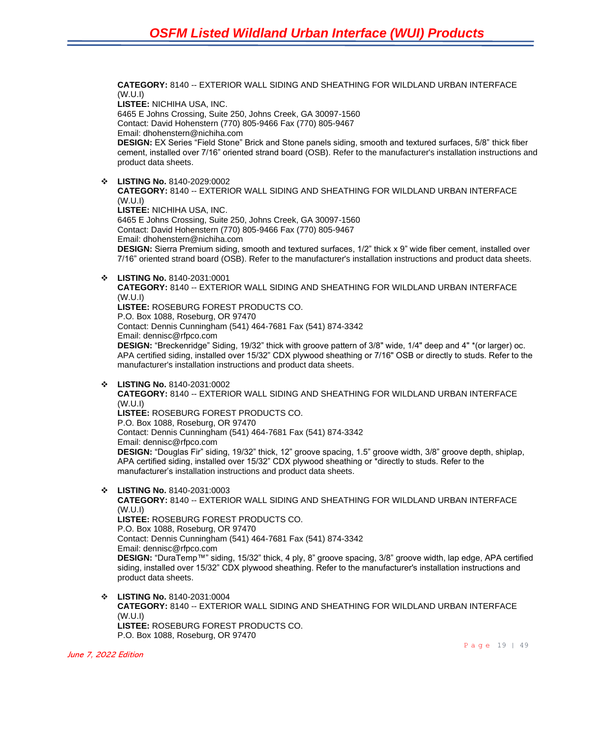**CATEGORY:** 8140 -- EXTERIOR WALL SIDING AND SHEATHING FOR WILDLAND URBAN INTERFACE (W.U.I) **LISTEE:** NICHIHA USA, INC. 6465 E Johns Crossing, Suite 250, Johns Creek, GA 30097-1560 Contact: David Hohenstern (770) 805-9466 Fax (770) 805-9467 Email: dhohenstern@nichiha.com **DESIGN:** EX Series "Field Stone" Brick and Stone panels siding, smooth and textured surfaces, 5/8" thick fiber cement, installed over 7/16" oriented strand board (OSB). Refer to the manufacturer's installation instructions and product data sheets.

❖ **LISTING No.** 8140-2029:0002 **CATEGORY:** 8140 -- EXTERIOR WALL SIDING AND SHEATHING FOR WILDLAND URBAN INTERFACE (W.U.I) **LISTEE:** NICHIHA USA, INC. 6465 E Johns Crossing, Suite 250, Johns Creek, GA 30097-1560 Contact: David Hohenstern (770) 805-9466 Fax (770) 805-9467 Email: dhohenstern@nichiha.com **DESIGN:** Sierra Premium siding, smooth and textured surfaces, 1/2" thick x 9" wide fiber cement, installed over 7/16" oriented strand board (OSB). Refer to the manufacturer's installation instructions and product data sheets.

❖ **LISTING No.** 8140-2031:0001

**CATEGORY:** 8140 -- EXTERIOR WALL SIDING AND SHEATHING FOR WILDLAND URBAN INTERFACE (W.U.I) **LISTEE:** ROSEBURG FOREST PRODUCTS CO. P.O. Box 1088, Roseburg, OR 97470 Contact: Dennis Cunningham (541) 464-7681 Fax (541) 874-3342 Email: dennisc@rfpco.com **DESIGN:** "Breckenridge" Siding, 19/32" thick with groove pattern of 3/8" wide, 1/4" deep and 4" \*(or larger) oc. APA certified siding, installed over 15/32" CDX plywood sheathing or 7/16" OSB or directly to studs. Refer to the

❖ **LISTING No.** 8140-2031:0002

**CATEGORY:** 8140 -- EXTERIOR WALL SIDING AND SHEATHING FOR WILDLAND URBAN INTERFACE (W.U.I)

**LISTEE:** ROSEBURG FOREST PRODUCTS CO.

P.O. Box 1088, Roseburg, OR 97470

Contact: Dennis Cunningham (541) 464-7681 Fax (541) 874-3342 Email: dennisc@rfpco.com

manufacturer's installation instructions and product data sheets.

**DESIGN:** "Douglas Fir" siding, 19/32" thick, 12" groove spacing, 1.5" groove width, 3/8" groove depth, shiplap, APA certified siding, installed over 15/32" CDX plywood sheathing or \*directly to studs. Refer to the manufacturer's installation instructions and product data sheets.

❖ **LISTING No.** 8140-2031:0003 **CATEGORY:** 8140 -- EXTERIOR WALL SIDING AND SHEATHING FOR WILDLAND URBAN INTERFACE (W.U.I) **LISTEE:** ROSEBURG FOREST PRODUCTS CO. P.O. Box 1088, Roseburg, OR 97470 Contact: Dennis Cunningham (541) 464-7681 Fax (541) 874-3342 Email: dennisc@rfpco.com **DESIGN:** "DuraTemp™" siding, 15/32" thick, 4 ply, 8" groove spacing, 3/8" groove width, lap edge, APA certified siding, installed over 15/32" CDX plywood sheathing. Refer to the manufacturer's installation instructions and product data sheets.

❖ **LISTING No.** 8140-2031:0004 **CATEGORY:** 8140 -- EXTERIOR WALL SIDING AND SHEATHING FOR WILDLAND URBAN INTERFACE (W.U.I) **LISTEE:** ROSEBURG FOREST PRODUCTS CO. P.O. Box 1088, Roseburg, OR 97470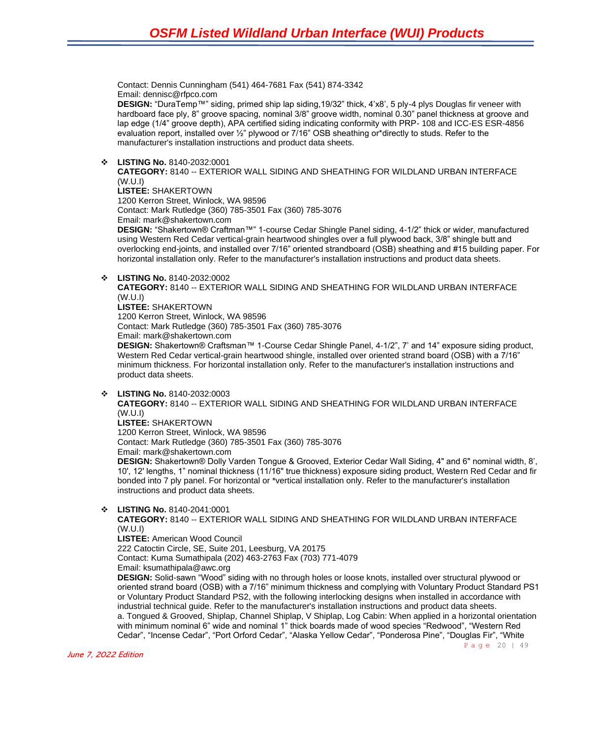Contact: Dennis Cunningham (541) 464-7681 Fax (541) 874-3342 Email: dennisc@rfpco.com

**DESIGN:** "DuraTemp™" siding, primed ship lap siding,19/32" thick, 4'x8', 5 ply-4 plys Douglas fir veneer with hardboard face ply, 8" groove spacing, nominal 3/8" groove width, nominal 0.30" panel thickness at groove and lap edge (1/4" groove depth), APA certified siding indicating conformity with PRP- 108 and ICC-ES ESR-4856 evaluation report, installed over ½" plywood or 7/16" OSB sheathing or\*directly to studs. Refer to the manufacturer's installation instructions and product data sheets.

❖ **LISTING No.** 8140-2032:0001

**CATEGORY:** 8140 -- EXTERIOR WALL SIDING AND SHEATHING FOR WILDLAND URBAN INTERFACE (W.U.I)

**LISTEE:** SHAKERTOWN

1200 Kerron Street, Winlock, WA 98596

Contact: Mark Rutledge (360) 785-3501 Fax (360) 785-3076

Email: mark@shakertown.com

**DESIGN:** "Shakertown® Craftman™" 1-course Cedar Shingle Panel siding, 4-1/2" thick or wider, manufactured using Western Red Cedar vertical-grain heartwood shingles over a full plywood back, 3/8" shingle butt and overlocking end-joints, and installed over 7/16" oriented strandboard (OSB) sheathing and #15 building paper. For horizontal installation only. Refer to the manufacturer's installation instructions and product data sheets.

❖ **LISTING No.** 8140-2032:0002

**CATEGORY:** 8140 -- EXTERIOR WALL SIDING AND SHEATHING FOR WILDLAND URBAN INTERFACE (W.U.I) **LISTEE:** SHAKERTOWN

1200 Kerron Street, Winlock, WA 98596

Contact: Mark Rutledge (360) 785-3501 Fax (360) 785-3076 Email: mark@shakertown.com

**DESIGN:** Shakertown® Craftsman™ 1-Course Cedar Shingle Panel, 4-1/2", 7' and 14" exposure siding product, Western Red Cedar vertical-grain heartwood shingle, installed over oriented strand board (OSB) with a 7/16" minimum thickness. For horizontal installation only. Refer to the manufacturer's installation instructions and product data sheets.

❖ **LISTING No.** 8140-2032:0003

**CATEGORY:** 8140 -- EXTERIOR WALL SIDING AND SHEATHING FOR WILDLAND URBAN INTERFACE (W.U.I)

**LISTEE:** SHAKERTOWN

1200 Kerron Street, Winlock, WA 98596 Contact: Mark Rutledge (360) 785-3501 Fax (360) 785-3076

Email: mark@shakertown.com

**DESIGN:** Shakertown® Dolly Varden Tongue & Grooved, Exterior Cedar Wall Siding, 4" and 6" nominal width, 8', 10', 12' lengths, 1" nominal thickness (11/16" true thickness) exposure siding product, Western Red Cedar and fir bonded into 7 ply panel. For horizontal or \*vertical installation only. Refer to the manufacturer's installation instructions and product data sheets.

❖ **LISTING No.** 8140-2041:0001

**CATEGORY:** 8140 -- EXTERIOR WALL SIDING AND SHEATHING FOR WILDLAND URBAN INTERFACE (W.U.I)

**LISTEE:** American Wood Council

222 Catoctin Circle, SE, Suite 201, Leesburg, VA 20175

Contact: Kuma Sumathipala (202) 463-2763 Fax (703) 771-4079 Email: ksumathipala@awc.org

**DESIGN:** Solid-sawn "Wood" siding with no through holes or loose knots, installed over structural plywood or oriented strand board (OSB) with a 7/16" minimum thickness and complying with Voluntary Product Standard PS1 or Voluntary Product Standard PS2, with the following interlocking designs when installed in accordance with industrial technical guide. Refer to the manufacturer's installation instructions and product data sheets. a. Tongued & Grooved, Shiplap, Channel Shiplap, V Shiplap, Log Cabin: When applied in a horizontal orientation with minimum nominal 6" wide and nominal 1" thick boards made of wood species "Redwood", "Western Red Cedar", "Incense Cedar", "Port Orford Cedar", "Alaska Yellow Cedar", "Ponderosa Pine", "Douglas Fir", "White

Page 20 | 49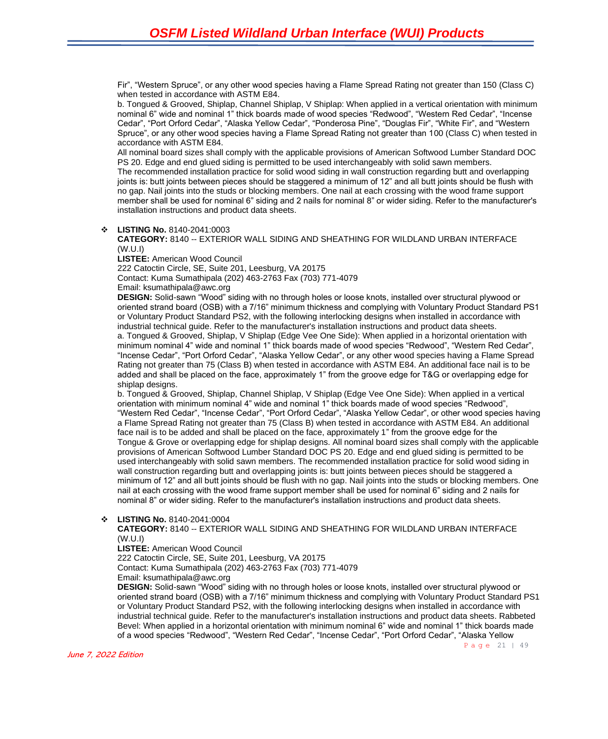Fir", "Western Spruce", or any other wood species having a Flame Spread Rating not greater than 150 (Class C) when tested in accordance with ASTM E84.

b. Tongued & Grooved, Shiplap, Channel Shiplap, V Shiplap: When applied in a vertical orientation with minimum nominal 6" wide and nominal 1" thick boards made of wood species "Redwood", "Western Red Cedar", "Incense Cedar", "Port Orford Cedar", "Alaska Yellow Cedar", "Ponderosa Pine", "Douglas Fir", "White Fir", and "Western Spruce", or any other wood species having a Flame Spread Rating not greater than 100 (Class C) when tested in accordance with ASTM E84.

All nominal board sizes shall comply with the applicable provisions of American Softwood Lumber Standard DOC PS 20. Edge and end glued siding is permitted to be used interchangeably with solid sawn members.

The recommended installation practice for solid wood siding in wall construction regarding butt and overlapping joints is: butt joints between pieces should be staggered a minimum of 12" and all butt joints should be flush with no gap. Nail joints into the studs or blocking members. One nail at each crossing with the wood frame support member shall be used for nominal 6" siding and 2 nails for nominal 8" or wider siding. Refer to the manufacturer's installation instructions and product data sheets.

#### ❖ **LISTING No.** 8140-2041:0003

**CATEGORY:** 8140 -- EXTERIOR WALL SIDING AND SHEATHING FOR WILDLAND URBAN INTERFACE (W.U.I)

**LISTEE:** American Wood Council

222 Catoctin Circle, SE, Suite 201, Leesburg, VA 20175

Contact: Kuma Sumathipala (202) 463-2763 Fax (703) 771-4079

Email: ksumathipala@awc.org

**DESIGN:** Solid-sawn "Wood" siding with no through holes or loose knots, installed over structural plywood or oriented strand board (OSB) with a 7/16" minimum thickness and complying with Voluntary Product Standard PS1 or Voluntary Product Standard PS2, with the following interlocking designs when installed in accordance with industrial technical guide. Refer to the manufacturer's installation instructions and product data sheets. a. Tongued & Grooved, Shiplap, V Shiplap (Edge Vee One Side): When applied in a horizontal orientation with minimum nominal 4" wide and nominal 1" thick boards made of wood species "Redwood", "Western Red Cedar", "Incense Cedar", "Port Orford Cedar", "Alaska Yellow Cedar", or any other wood species having a Flame Spread Rating not greater than 75 (Class B) when tested in accordance with ASTM E84. An additional face nail is to be added and shall be placed on the face, approximately 1" from the groove edge for T&G or overlapping edge for shiplap designs.

b. Tongued & Grooved, Shiplap, Channel Shiplap, V Shiplap (Edge Vee One Side): When applied in a vertical orientation with minimum nominal 4" wide and nominal 1" thick boards made of wood species "Redwood", "Western Red Cedar", "Incense Cedar", "Port Orford Cedar", "Alaska Yellow Cedar", or other wood species having a Flame Spread Rating not greater than 75 (Class B) when tested in accordance with ASTM E84. An additional face nail is to be added and shall be placed on the face, approximately 1" from the groove edge for the Tongue & Grove or overlapping edge for shiplap designs. All nominal board sizes shall comply with the applicable provisions of American Softwood Lumber Standard DOC PS 20. Edge and end glued siding is permitted to be used interchangeably with solid sawn members. The recommended installation practice for solid wood siding in wall construction regarding butt and overlapping joints is: butt joints between pieces should be staggered a minimum of 12" and all butt joints should be flush with no gap. Nail joints into the studs or blocking members. One nail at each crossing with the wood frame support member shall be used for nominal 6" siding and 2 nails for nominal 8" or wider siding. Refer to the manufacturer's installation instructions and product data sheets.

#### ❖ **LISTING No.** 8140-2041:0004

**CATEGORY:** 8140 -- EXTERIOR WALL SIDING AND SHEATHING FOR WILDLAND URBAN INTERFACE (W.U.I)

**LISTEE:** American Wood Council

222 Catoctin Circle, SE, Suite 201, Leesburg, VA 20175

Contact: Kuma Sumathipala (202) 463-2763 Fax (703) 771-4079

Email: ksumathipala@awc.org

**DESIGN:** Solid-sawn "Wood" siding with no through holes or loose knots, installed over structural plywood or oriented strand board (OSB) with a 7/16" minimum thickness and complying with Voluntary Product Standard PS1 or Voluntary Product Standard PS2, with the following interlocking designs when installed in accordance with industrial technical guide. Refer to the manufacturer's installation instructions and product data sheets. Rabbeted Bevel: When applied in a horizontal orientation with minimum nominal 6" wide and nominal 1" thick boards made of a wood species "Redwood", "Western Red Cedar", "Incense Cedar", "Port Orford Cedar", "Alaska Yellow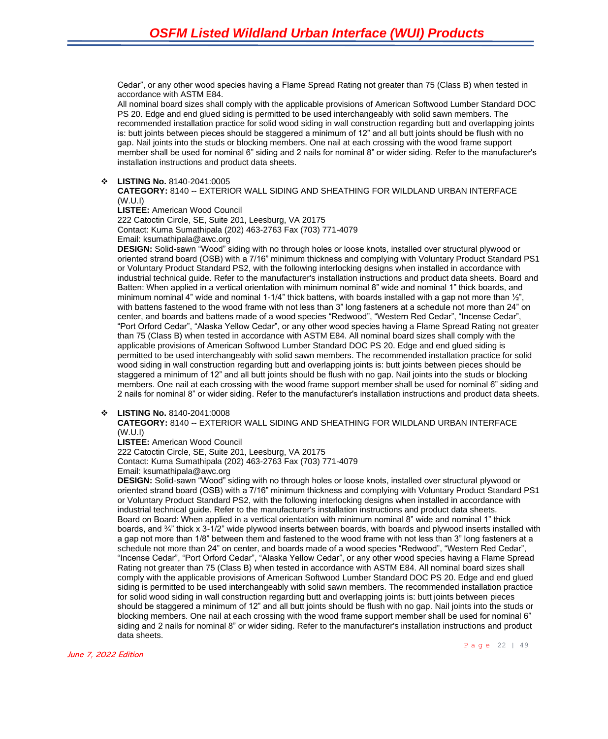Cedar", or any other wood species having a Flame Spread Rating not greater than 75 (Class B) when tested in accordance with ASTM E84.

All nominal board sizes shall comply with the applicable provisions of American Softwood Lumber Standard DOC PS 20. Edge and end glued siding is permitted to be used interchangeably with solid sawn members. The recommended installation practice for solid wood siding in wall construction regarding butt and overlapping joints is: butt joints between pieces should be staggered a minimum of 12" and all butt joints should be flush with no gap. Nail joints into the studs or blocking members. One nail at each crossing with the wood frame support member shall be used for nominal 6" siding and 2 nails for nominal 8" or wider siding. Refer to the manufacturer's installation instructions and product data sheets.

#### ❖ **LISTING No.** 8140-2041:0005

**CATEGORY:** 8140 -- EXTERIOR WALL SIDING AND SHEATHING FOR WILDLAND URBAN INTERFACE (W.U.I)

**LISTEE:** American Wood Council 222 Catoctin Circle, SE, Suite 201, Leesburg, VA 20175 Contact: Kuma Sumathipala (202) 463-2763 Fax (703) 771-4079 Email: ksumathipala@awc.org

**DESIGN:** Solid-sawn "Wood" siding with no through holes or loose knots, installed over structural plywood or oriented strand board (OSB) with a 7/16" minimum thickness and complying with Voluntary Product Standard PS1 or Voluntary Product Standard PS2, with the following interlocking designs when installed in accordance with industrial technical guide. Refer to the manufacturer's installation instructions and product data sheets. Board and Batten: When applied in a vertical orientation with minimum nominal 8" wide and nominal 1" thick boards, and minimum nominal 4" wide and nominal 1-1/4" thick battens, with boards installed with a gap not more than  $\frac{1}{2}$ ", with battens fastened to the wood frame with not less than 3" long fasteners at a schedule not more than 24" on center, and boards and battens made of a wood species "Redwood", "Western Red Cedar", "Incense Cedar", "Port Orford Cedar", "Alaska Yellow Cedar", or any other wood species having a Flame Spread Rating not greater than 75 (Class B) when tested in accordance with ASTM E84. All nominal board sizes shall comply with the applicable provisions of American Softwood Lumber Standard DOC PS 20. Edge and end glued siding is permitted to be used interchangeably with solid sawn members. The recommended installation practice for solid wood siding in wall construction regarding butt and overlapping joints is: butt joints between pieces should be staggered a minimum of 12" and all butt joints should be flush with no gap. Nail joints into the studs or blocking members. One nail at each crossing with the wood frame support member shall be used for nominal 6" siding and 2 nails for nominal 8" or wider siding. Refer to the manufacturer's installation instructions and product data sheets.

#### ❖ **LISTING No.** 8140-2041:0008

**CATEGORY:** 8140 -- EXTERIOR WALL SIDING AND SHEATHING FOR WILDLAND URBAN INTERFACE (W.U.I)

#### **LISTEE:** American Wood Council

222 Catoctin Circle, SE, Suite 201, Leesburg, VA 20175 Contact: Kuma Sumathipala (202) 463-2763 Fax (703) 771-4079 Email: ksumathipala@awc.org

**DESIGN:** Solid-sawn "Wood" siding with no through holes or loose knots, installed over structural plywood or oriented strand board (OSB) with a 7/16" minimum thickness and complying with Voluntary Product Standard PS1 or Voluntary Product Standard PS2, with the following interlocking designs when installed in accordance with industrial technical guide. Refer to the manufacturer's installation instructions and product data sheets. Board on Board: When applied in a vertical orientation with minimum nominal 8" wide and nominal 1" thick boards, and ¾" thick x 3-1/2" wide plywood inserts between boards, with boards and plywood inserts installed with a gap not more than 1/8" between them and fastened to the wood frame with not less than 3" long fasteners at a schedule not more than 24" on center, and boards made of a wood species "Redwood", "Western Red Cedar", "Incense Cedar", "Port Orford Cedar", "Alaska Yellow Cedar", or any other wood species having a Flame Spread Rating not greater than 75 (Class B) when tested in accordance with ASTM E84. All nominal board sizes shall comply with the applicable provisions of American Softwood Lumber Standard DOC PS 20. Edge and end glued siding is permitted to be used interchangeably with solid sawn members. The recommended installation practice for solid wood siding in wall construction regarding butt and overlapping joints is: butt joints between pieces should be staggered a minimum of 12" and all butt joints should be flush with no gap. Nail joints into the studs or blocking members. One nail at each crossing with the wood frame support member shall be used for nominal 6" siding and 2 nails for nominal 8" or wider siding. Refer to the manufacturer's installation instructions and product data sheets.

Page 22 | 49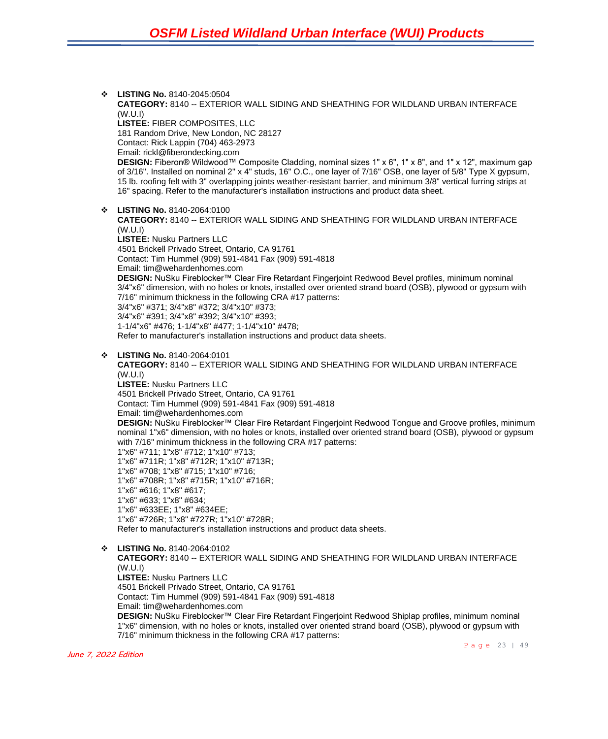❖ **LISTING No.** 8140-2045:0504 **CATEGORY:** 8140 -- EXTERIOR WALL SIDING AND SHEATHING FOR WILDLAND URBAN INTERFACE (W.U.I) **LISTEE:** FIBER COMPOSITES, LLC 181 Random Drive, New London, NC 28127 Contact: Rick Lappin (704) 463-2973 Email: rickl@fiberondecking.com **DESIGN:** Fiberon® Wildwood™ Composite Cladding, nominal sizes 1" x 6", 1" x 8", and 1" x 12", maximum gap of 3/16". Installed on nominal 2" x 4" studs, 16" O.C., one layer of 7/16" OSB, one layer of 5/8" Type X gypsum, 15 lb. roofing felt with 3" overlapping joints weather-resistant barrier, and minimum 3/8" vertical furring strips at 16" spacing. Refer to the manufacturer's installation instructions and product data sheet. ❖ **LISTING No.** 8140-2064:0100 **CATEGORY:** 8140 -- EXTERIOR WALL SIDING AND SHEATHING FOR WILDLAND URBAN INTERFACE (W.U.I) **LISTEE:** Nusku Partners LLC 4501 Brickell Privado Street, Ontario, CA 91761 Contact: Tim Hummel (909) 591-4841 Fax (909) 591-4818 Email: tim@wehardenhomes.com **DESIGN:** NuSku Fireblocker™ Clear Fire Retardant Fingerjoint Redwood Bevel profiles, minimum nominal 3/4"x6" dimension, with no holes or knots, installed over oriented strand board (OSB), plywood or gypsum with 7/16" minimum thickness in the following CRA #17 patterns: 3/4"x6" #371; 3/4"x8" #372; 3/4"x10" #373; 3/4"x6" #391; 3/4"x8" #392; 3/4"x10" #393; 1-1/4"x6" #476; 1-1/4"x8" #477; 1-1/4"x10" #478; Refer to manufacturer's installation instructions and product data sheets. ❖ **LISTING No.** 8140-2064:0101 **CATEGORY:** 8140 -- EXTERIOR WALL SIDING AND SHEATHING FOR WILDLAND URBAN INTERFACE (W.U.I) **LISTEE:** Nusku Partners LLC 4501 Brickell Privado Street, Ontario, CA 91761 Contact: Tim Hummel (909) 591-4841 Fax (909) 591-4818 Email: tim@wehardenhomes.com **DESIGN:** NuSku Fireblocker™ Clear Fire Retardant Fingerjoint Redwood Tongue and Groove profiles, minimum nominal 1"x6" dimension, with no holes or knots, installed over oriented strand board (OSB), plywood or gypsum with 7/16" minimum thickness in the following CRA #17 patterns: 1"x6" #711; 1"x8" #712; 1"x10" #713; 1"x6" #711R; 1"x8" #712R; 1"x10" #713R; 1"x6" #708; 1"x8" #715; 1"x10" #716; 1"x6" #708R; 1"x8" #715R; 1"x10" #716R; 1"x6" #616; 1"x8" #617; 1"x6" #633; 1"x8" #634; 1"x6" #633EE; 1"x8" #634EE; 1"x6" #726R; 1"x8" #727R; 1"x10" #728R; Refer to manufacturer's installation instructions and product data sheets. ❖ **LISTING No.** 8140-2064:0102 **CATEGORY:** 8140 -- EXTERIOR WALL SIDING AND SHEATHING FOR WILDLAND URBAN INTERFACE (W.U.I) **LISTEE:** Nusku Partners LLC 4501 Brickell Privado Street, Ontario, CA 91761 Contact: Tim Hummel (909) 591-4841 Fax (909) 591-4818 Email: tim@wehardenhomes.com **DESIGN:** NuSku Fireblocker™ Clear Fire Retardant Fingerjoint Redwood Shiplap profiles, minimum nominal 1"x6" dimension, with no holes or knots, installed over oriented strand board (OSB), plywood or gypsum with

7/16" minimum thickness in the following CRA #17 patterns: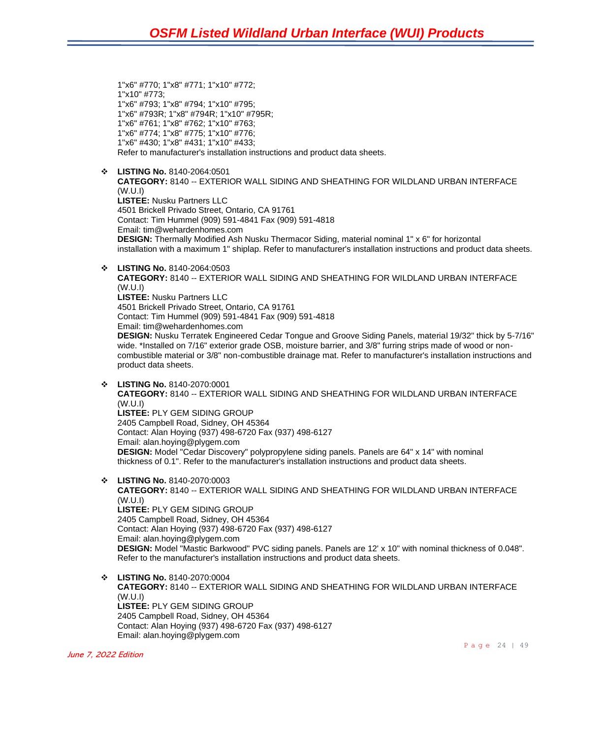1"x6" #770; 1"x8" #771; 1"x10" #772; 1"x10" #773; 1"x6" #793; 1"x8" #794; 1"x10" #795; 1"x6" #793R; 1"x8" #794R; 1"x10" #795R; 1"x6" #761; 1"x8" #762; 1"x10" #763; 1"x6" #774; 1"x8" #775; 1"x10" #776; 1"x6" #430; 1"x8" #431; 1"x10" #433; Refer to manufacturer's installation instructions and product data sheets.

❖ **LISTING No.** 8140-2064:0501

**CATEGORY:** 8140 -- EXTERIOR WALL SIDING AND SHEATHING FOR WILDLAND URBAN INTERFACE (W.U.I) **LISTEE:** Nusku Partners LLC 4501 Brickell Privado Street, Ontario, CA 91761 Contact: Tim Hummel (909) 591-4841 Fax (909) 591-4818 Email: tim@wehardenhomes.com **DESIGN:** Thermally Modified Ash Nusku Thermacor Siding, material nominal 1" x 6" for horizontal

installation with a maximum 1" shiplap. Refer to manufacturer's installation instructions and product data sheets.

❖ **LISTING No.** 8140-2064:0503

**CATEGORY:** 8140 -- EXTERIOR WALL SIDING AND SHEATHING FOR WILDLAND URBAN INTERFACE (W.U.I) **LISTEE:** Nusku Partners LLC 4501 Brickell Privado Street, Ontario, CA 91761 Contact: Tim Hummel (909) 591-4841 Fax (909) 591-4818 Email: tim@wehardenhomes.com

**DESIGN:** Nusku Terratek Engineered Cedar Tongue and Groove Siding Panels, material 19/32" thick by 5-7/16" wide. \*Installed on 7/16" exterior grade OSB, moisture barrier, and 3/8" furring strips made of wood or noncombustible material or 3/8" non-combustible drainage mat. Refer to manufacturer's installation instructions and product data sheets.

- ❖ **LISTING No.** 8140-2070:0001 **CATEGORY:** 8140 -- EXTERIOR WALL SIDING AND SHEATHING FOR WILDLAND URBAN INTERFACE (W.U.I) **LISTEE:** PLY GEM SIDING GROUP 2405 Campbell Road, Sidney, OH 45364 Contact: Alan Hoying (937) 498-6720 Fax (937) 498-6127 Email: alan.hoying@plygem.com **DESIGN:** Model "Cedar Discovery" polypropylene siding panels. Panels are 64" x 14" with nominal thickness of 0.1". Refer to the manufacturer's installation instructions and product data sheets.
- ❖ **LISTING No.** 8140-2070:0003 **CATEGORY:** 8140 -- EXTERIOR WALL SIDING AND SHEATHING FOR WILDLAND URBAN INTERFACE (W.U.I) **LISTEE:** PLY GEM SIDING GROUP 2405 Campbell Road, Sidney, OH 45364 Contact: Alan Hoying (937) 498-6720 Fax (937) 498-6127 Email: alan.hoying@plygem.com **DESIGN:** Model "Mastic Barkwood" PVC siding panels. Panels are 12' x 10" with nominal thickness of 0.048". Refer to the manufacturer's installation instructions and product data sheets.
- ❖ **LISTING No.** 8140-2070:0004 **CATEGORY:** 8140 -- EXTERIOR WALL SIDING AND SHEATHING FOR WILDLAND URBAN INTERFACE (W.U.I) **LISTEE:** PLY GEM SIDING GROUP 2405 Campbell Road, Sidney, OH 45364 Contact: Alan Hoying (937) 498-6720 Fax (937) 498-6127 Email: alan.hoying@plygem.com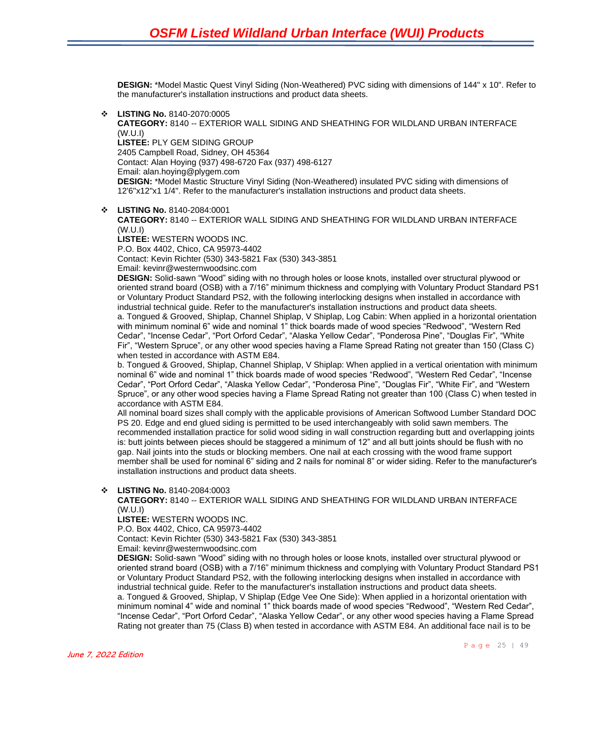**DESIGN:** \*Model Mastic Quest Vinyl Siding (Non-Weathered) PVC siding with dimensions of 144" x 10". Refer to the manufacturer's installation instructions and product data sheets.

❖ **LISTING No.** 8140-2070:0005

**CATEGORY:** 8140 -- EXTERIOR WALL SIDING AND SHEATHING FOR WILDLAND URBAN INTERFACE (W.U.I) **LISTEE:** PLY GEM SIDING GROUP 2405 Campbell Road, Sidney, OH 45364 Contact: Alan Hoying (937) 498-6720 Fax (937) 498-6127 Email: alan.hoying@plygem.com **DESIGN:** \*Model Mastic Structure Vinyl Siding (Non-Weathered) insulated PVC siding with dimensions of 12'6"x12"x1 1/4". Refer to the manufacturer's installation instructions and product data sheets.

❖ **LISTING No.** 8140-2084:0001

**CATEGORY:** 8140 -- EXTERIOR WALL SIDING AND SHEATHING FOR WILDLAND URBAN INTERFACE (W.U.I)

**LISTEE:** WESTERN WOODS INC. P.O. Box 4402, Chico, CA 95973-4402 Contact: Kevin Richter (530) 343-5821 Fax (530) 343-3851 Email: kevinr@westernwoodsinc.com

**DESIGN:** Solid-sawn "Wood" siding with no through holes or loose knots, installed over structural plywood or oriented strand board (OSB) with a 7/16" minimum thickness and complying with Voluntary Product Standard PS1 or Voluntary Product Standard PS2, with the following interlocking designs when installed in accordance with industrial technical guide. Refer to the manufacturer's installation instructions and product data sheets. a. Tongued & Grooved, Shiplap, Channel Shiplap, V Shiplap, Log Cabin: When applied in a horizontal orientation with minimum nominal 6" wide and nominal 1" thick boards made of wood species "Redwood", "Western Red Cedar", "Incense Cedar", "Port Orford Cedar", "Alaska Yellow Cedar", "Ponderosa Pine", "Douglas Fir", "White Fir", "Western Spruce", or any other wood species having a Flame Spread Rating not greater than 150 (Class C) when tested in accordance with ASTM E84.

b. Tongued & Grooved, Shiplap, Channel Shiplap, V Shiplap: When applied in a vertical orientation with minimum nominal 6" wide and nominal 1" thick boards made of wood species "Redwood", "Western Red Cedar", "Incense Cedar", "Port Orford Cedar", "Alaska Yellow Cedar", "Ponderosa Pine", "Douglas Fir", "White Fir", and "Western Spruce", or any other wood species having a Flame Spread Rating not greater than 100 (Class C) when tested in accordance with ASTM E84.

All nominal board sizes shall comply with the applicable provisions of American Softwood Lumber Standard DOC PS 20. Edge and end glued siding is permitted to be used interchangeably with solid sawn members. The recommended installation practice for solid wood siding in wall construction regarding butt and overlapping joints is: butt joints between pieces should be staggered a minimum of 12" and all butt joints should be flush with no gap. Nail joints into the studs or blocking members. One nail at each crossing with the wood frame support member shall be used for nominal 6" siding and 2 nails for nominal 8" or wider siding. Refer to the manufacturer's installation instructions and product data sheets.

#### ❖ **LISTING No.** 8140-2084:0003

**CATEGORY:** 8140 -- EXTERIOR WALL SIDING AND SHEATHING FOR WILDLAND URBAN INTERFACE (W.U.I)

**LISTEE:** WESTERN WOODS INC.

P.O. Box 4402, Chico, CA 95973-4402

Contact: Kevin Richter (530) 343-5821 Fax (530) 343-3851

Email: kevinr@westernwoodsinc.com

**DESIGN:** Solid-sawn "Wood" siding with no through holes or loose knots, installed over structural plywood or oriented strand board (OSB) with a 7/16" minimum thickness and complying with Voluntary Product Standard PS1 or Voluntary Product Standard PS2, with the following interlocking designs when installed in accordance with industrial technical guide. Refer to the manufacturer's installation instructions and product data sheets. a. Tongued & Grooved, Shiplap, V Shiplap (Edge Vee One Side): When applied in a horizontal orientation with minimum nominal 4" wide and nominal 1" thick boards made of wood species "Redwood", "Western Red Cedar", "Incense Cedar", "Port Orford Cedar", "Alaska Yellow Cedar", or any other wood species having a Flame Spread Rating not greater than 75 (Class B) when tested in accordance with ASTM E84. An additional face nail is to be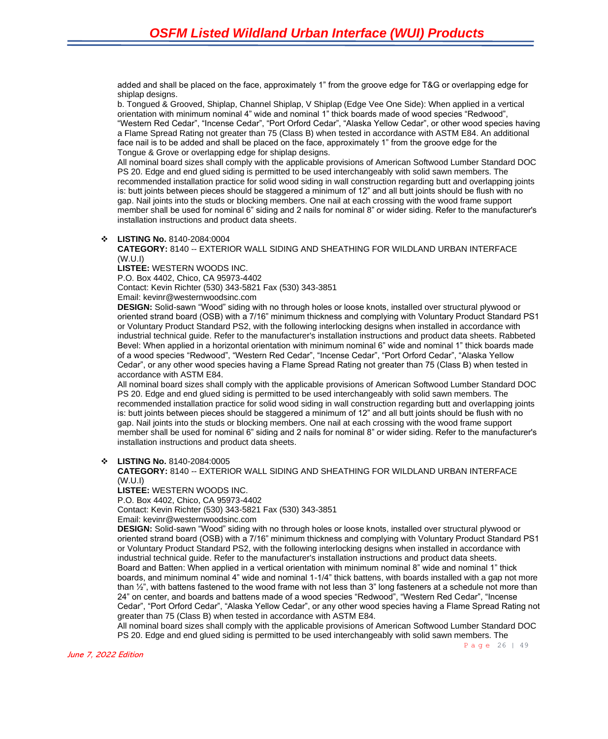added and shall be placed on the face, approximately 1" from the groove edge for T&G or overlapping edge for shiplap designs.

b. Tongued & Grooved, Shiplap, Channel Shiplap, V Shiplap (Edge Vee One Side): When applied in a vertical orientation with minimum nominal 4" wide and nominal 1" thick boards made of wood species "Redwood", "Western Red Cedar", "Incense Cedar", "Port Orford Cedar", "Alaska Yellow Cedar", or other wood species having a Flame Spread Rating not greater than 75 (Class B) when tested in accordance with ASTM E84. An additional face nail is to be added and shall be placed on the face, approximately 1" from the groove edge for the Tongue & Grove or overlapping edge for shiplap designs.

All nominal board sizes shall comply with the applicable provisions of American Softwood Lumber Standard DOC PS 20. Edge and end glued siding is permitted to be used interchangeably with solid sawn members. The recommended installation practice for solid wood siding in wall construction regarding butt and overlapping joints is: butt joints between pieces should be staggered a minimum of 12" and all butt joints should be flush with no gap. Nail joints into the studs or blocking members. One nail at each crossing with the wood frame support member shall be used for nominal 6" siding and 2 nails for nominal 8" or wider siding. Refer to the manufacturer's installation instructions and product data sheets.

#### ❖ **LISTING No.** 8140-2084:0004

#### **CATEGORY:** 8140 -- EXTERIOR WALL SIDING AND SHEATHING FOR WILDLAND URBAN INTERFACE (W.U.I)

**LISTEE:** WESTERN WOODS INC.

P.O. Box 4402, Chico, CA 95973-4402

Contact: Kevin Richter (530) 343-5821 Fax (530) 343-3851

Email: kevinr@westernwoodsinc.com

**DESIGN:** Solid-sawn "Wood" siding with no through holes or loose knots, installed over structural plywood or oriented strand board (OSB) with a 7/16" minimum thickness and complying with Voluntary Product Standard PS1 or Voluntary Product Standard PS2, with the following interlocking designs when installed in accordance with industrial technical guide. Refer to the manufacturer's installation instructions and product data sheets. Rabbeted Bevel: When applied in a horizontal orientation with minimum nominal 6" wide and nominal 1" thick boards made of a wood species "Redwood", "Western Red Cedar", "Incense Cedar", "Port Orford Cedar", "Alaska Yellow Cedar", or any other wood species having a Flame Spread Rating not greater than 75 (Class B) when tested in accordance with ASTM E84.

All nominal board sizes shall comply with the applicable provisions of American Softwood Lumber Standard DOC PS 20. Edge and end glued siding is permitted to be used interchangeably with solid sawn members. The recommended installation practice for solid wood siding in wall construction regarding butt and overlapping joints is: butt joints between pieces should be staggered a minimum of 12" and all butt joints should be flush with no gap. Nail joints into the studs or blocking members. One nail at each crossing with the wood frame support member shall be used for nominal 6" siding and 2 nails for nominal 8" or wider siding. Refer to the manufacturer's installation instructions and product data sheets.

#### ❖ **LISTING No.** 8140-2084:0005

**CATEGORY:** 8140 -- EXTERIOR WALL SIDING AND SHEATHING FOR WILDLAND URBAN INTERFACE (W.U.I)

#### **LISTEE:** WESTERN WOODS INC.

P.O. Box 4402, Chico, CA 95973-4402 Contact: Kevin Richter (530) 343-5821 Fax (530) 343-3851

Email: kevinr@westernwoodsinc.com

**DESIGN:** Solid-sawn "Wood" siding with no through holes or loose knots, installed over structural plywood or oriented strand board (OSB) with a 7/16" minimum thickness and complying with Voluntary Product Standard PS1 or Voluntary Product Standard PS2, with the following interlocking designs when installed in accordance with industrial technical guide. Refer to the manufacturer's installation instructions and product data sheets. Board and Batten: When applied in a vertical orientation with minimum nominal 8" wide and nominal 1" thick boards, and minimum nominal 4" wide and nominal 1-1/4" thick battens, with boards installed with a gap not more than  $\frac{1}{2}$ , with battens fastened to the wood frame with not less than 3" long fasteners at a schedule not more than 24" on center, and boards and battens made of a wood species "Redwood", "Western Red Cedar", "Incense Cedar", "Port Orford Cedar", "Alaska Yellow Cedar", or any other wood species having a Flame Spread Rating not greater than 75 (Class B) when tested in accordance with ASTM E84.

All nominal board sizes shall comply with the applicable provisions of American Softwood Lumber Standard DOC PS 20. Edge and end glued siding is permitted to be used interchangeably with solid sawn members. The

June 7, 2022 Edition

Page 26 | 49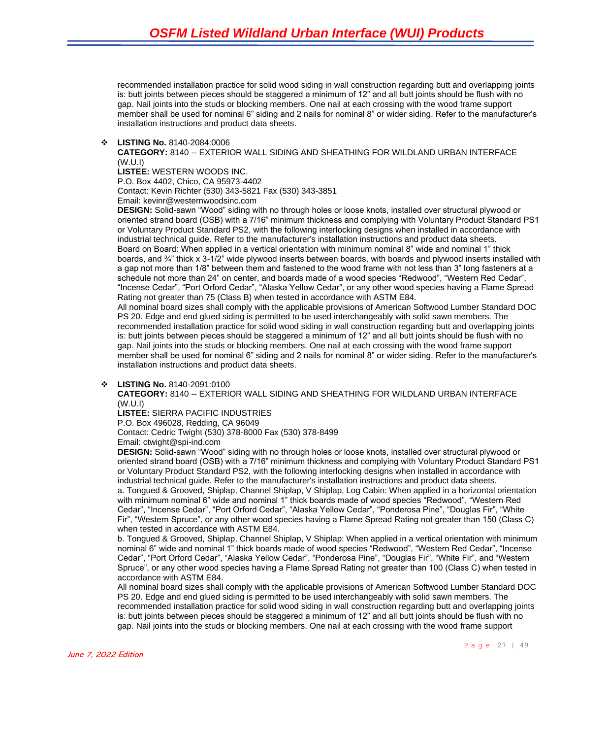recommended installation practice for solid wood siding in wall construction regarding butt and overlapping joints is: butt joints between pieces should be staggered a minimum of 12" and all butt joints should be flush with no gap. Nail joints into the studs or blocking members. One nail at each crossing with the wood frame support member shall be used for nominal 6" siding and 2 nails for nominal 8" or wider siding. Refer to the manufacturer's installation instructions and product data sheets.

❖ **LISTING No.** 8140-2084:0006

**CATEGORY:** 8140 -- EXTERIOR WALL SIDING AND SHEATHING FOR WILDLAND URBAN INTERFACE (W.U.I)

**LISTEE:** WESTERN WOODS INC.

P.O. Box 4402, Chico, CA 95973-4402

Contact: Kevin Richter (530) 343-5821 Fax (530) 343-3851

Email: kevinr@westernwoodsinc.com

**DESIGN:** Solid-sawn "Wood" siding with no through holes or loose knots, installed over structural plywood or oriented strand board (OSB) with a 7/16" minimum thickness and complying with Voluntary Product Standard PS1 or Voluntary Product Standard PS2, with the following interlocking designs when installed in accordance with industrial technical guide. Refer to the manufacturer's installation instructions and product data sheets. Board on Board: When applied in a vertical orientation with minimum nominal 8" wide and nominal 1" thick boards, and ¾" thick x 3-1/2" wide plywood inserts between boards, with boards and plywood inserts installed with a gap not more than 1/8" between them and fastened to the wood frame with not less than 3" long fasteners at a schedule not more than 24" on center, and boards made of a wood species "Redwood", "Western Red Cedar", "Incense Cedar", "Port Orford Cedar", "Alaska Yellow Cedar", or any other wood species having a Flame Spread Rating not greater than 75 (Class B) when tested in accordance with ASTM E84.

All nominal board sizes shall comply with the applicable provisions of American Softwood Lumber Standard DOC PS 20. Edge and end glued siding is permitted to be used interchangeably with solid sawn members. The recommended installation practice for solid wood siding in wall construction regarding butt and overlapping joints is: butt joints between pieces should be staggered a minimum of 12" and all butt joints should be flush with no gap. Nail joints into the studs or blocking members. One nail at each crossing with the wood frame support member shall be used for nominal 6" siding and 2 nails for nominal 8" or wider siding. Refer to the manufacturer's installation instructions and product data sheets.

#### ❖ **LISTING No.** 8140-2091:0100

**CATEGORY:** 8140 -- EXTERIOR WALL SIDING AND SHEATHING FOR WILDLAND URBAN INTERFACE (W.U.I)

**LISTEE:** SIERRA PACIFIC INDUSTRIES

P.O. Box 496028, Redding, CA 96049

Contact: Cedric Twight (530) 378-8000 Fax (530) 378-8499 Email: ctwight@spi-ind.com

**DESIGN:** Solid-sawn "Wood" siding with no through holes or loose knots, installed over structural plywood or oriented strand board (OSB) with a 7/16" minimum thickness and complying with Voluntary Product Standard PS1 or Voluntary Product Standard PS2, with the following interlocking designs when installed in accordance with industrial technical guide. Refer to the manufacturer's installation instructions and product data sheets. a. Tongued & Grooved, Shiplap, Channel Shiplap, V Shiplap, Log Cabin: When applied in a horizontal orientation with minimum nominal 6" wide and nominal 1" thick boards made of wood species "Redwood", "Western Red Cedar", "Incense Cedar", "Port Orford Cedar", "Alaska Yellow Cedar", "Ponderosa Pine", "Douglas Fir", "White Fir", "Western Spruce", or any other wood species having a Flame Spread Rating not greater than 150 (Class C) when tested in accordance with ASTM E84.

b. Tongued & Grooved, Shiplap, Channel Shiplap, V Shiplap: When applied in a vertical orientation with minimum nominal 6" wide and nominal 1" thick boards made of wood species "Redwood", "Western Red Cedar", "Incense Cedar", "Port Orford Cedar", "Alaska Yellow Cedar", "Ponderosa Pine", "Douglas Fir", "White Fir", and "Western Spruce", or any other wood species having a Flame Spread Rating not greater than 100 (Class C) when tested in accordance with ASTM E84.

All nominal board sizes shall comply with the applicable provisions of American Softwood Lumber Standard DOC PS 20. Edge and end glued siding is permitted to be used interchangeably with solid sawn members. The recommended installation practice for solid wood siding in wall construction regarding butt and overlapping joints is: butt joints between pieces should be staggered a minimum of 12" and all butt joints should be flush with no gap. Nail joints into the studs or blocking members. One nail at each crossing with the wood frame support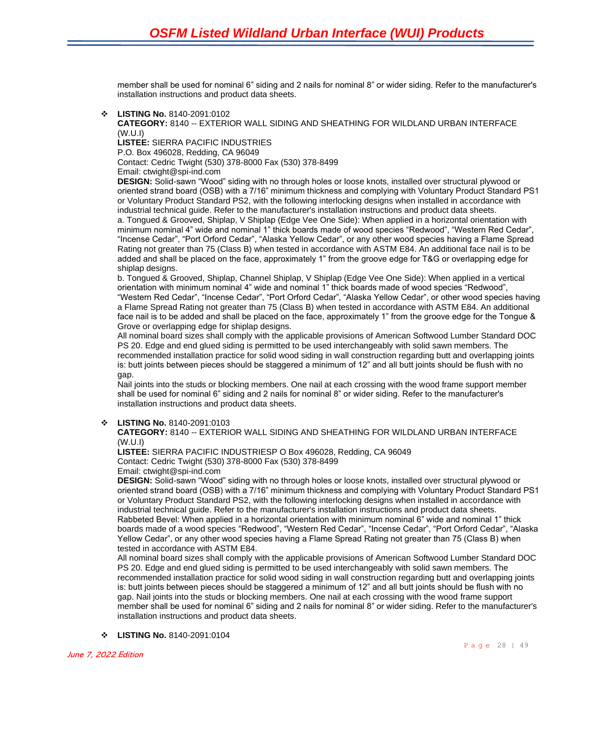member shall be used for nominal 6" siding and 2 nails for nominal 8" or wider siding. Refer to the manufacturer's installation instructions and product data sheets.

❖ **LISTING No.** 8140-2091:0102

**CATEGORY:** 8140 -- EXTERIOR WALL SIDING AND SHEATHING FOR WILDLAND URBAN INTERFACE (W.U.I)

**LISTEE:** SIERRA PACIFIC INDUSTRIES

P.O. Box 496028, Redding, CA 96049

Contact: Cedric Twight (530) 378-8000 Fax (530) 378-8499

Email: ctwight@spi-ind.com

**DESIGN:** Solid-sawn "Wood" siding with no through holes or loose knots, installed over structural plywood or oriented strand board (OSB) with a 7/16" minimum thickness and complying with Voluntary Product Standard PS1 or Voluntary Product Standard PS2, with the following interlocking designs when installed in accordance with industrial technical guide. Refer to the manufacturer's installation instructions and product data sheets. a. Tongued & Grooved, Shiplap, V Shiplap (Edge Vee One Side): When applied in a horizontal orientation with minimum nominal 4" wide and nominal 1" thick boards made of wood species "Redwood", "Western Red Cedar", "Incense Cedar", "Port Orford Cedar", "Alaska Yellow Cedar", or any other wood species having a Flame Spread Rating not greater than 75 (Class B) when tested in accordance with ASTM E84. An additional face nail is to be added and shall be placed on the face, approximately 1" from the groove edge for T&G or overlapping edge for shiplap designs.

b. Tongued & Grooved, Shiplap, Channel Shiplap, V Shiplap (Edge Vee One Side): When applied in a vertical orientation with minimum nominal 4" wide and nominal 1" thick boards made of wood species "Redwood", "Western Red Cedar", "Incense Cedar", "Port Orford Cedar", "Alaska Yellow Cedar", or other wood species having a Flame Spread Rating not greater than 75 (Class B) when tested in accordance with ASTM E84. An additional face nail is to be added and shall be placed on the face, approximately 1" from the groove edge for the Tongue & Grove or overlapping edge for shiplap designs.

All nominal board sizes shall comply with the applicable provisions of American Softwood Lumber Standard DOC PS 20. Edge and end glued siding is permitted to be used interchangeably with solid sawn members. The recommended installation practice for solid wood siding in wall construction regarding butt and overlapping joints is: butt joints between pieces should be staggered a minimum of 12" and all butt joints should be flush with no gap.

Nail joints into the studs or blocking members. One nail at each crossing with the wood frame support member shall be used for nominal 6" siding and 2 nails for nominal 8" or wider siding. Refer to the manufacturer's installation instructions and product data sheets.

#### ❖ **LISTING No.** 8140-2091:0103

**CATEGORY:** 8140 -- EXTERIOR WALL SIDING AND SHEATHING FOR WILDLAND URBAN INTERFACE (W.U.I)

**LISTEE:** SIERRA PACIFIC INDUSTRIESP O Box 496028, Redding, CA 96049 Contact: Cedric Twight (530) 378-8000 Fax (530) 378-8499

Email: ctwight@spi-ind.com

**DESIGN:** Solid-sawn "Wood" siding with no through holes or loose knots, installed over structural plywood or oriented strand board (OSB) with a 7/16" minimum thickness and complying with Voluntary Product Standard PS1 or Voluntary Product Standard PS2, with the following interlocking designs when installed in accordance with industrial technical guide. Refer to the manufacturer's installation instructions and product data sheets. Rabbeted Bevel: When applied in a horizontal orientation with minimum nominal 6" wide and nominal 1" thick boards made of a wood species "Redwood", "Western Red Cedar", "Incense Cedar", "Port Orford Cedar", "Alaska Yellow Cedar", or any other wood species having a Flame Spread Rating not greater than 75 (Class B) when tested in accordance with ASTM E84.

All nominal board sizes shall comply with the applicable provisions of American Softwood Lumber Standard DOC PS 20. Edge and end glued siding is permitted to be used interchangeably with solid sawn members. The recommended installation practice for solid wood siding in wall construction regarding butt and overlapping joints is: butt joints between pieces should be staggered a minimum of 12" and all butt joints should be flush with no gap. Nail joints into the studs or blocking members. One nail at each crossing with the wood frame support member shall be used for nominal 6" siding and 2 nails for nominal 8" or wider siding. Refer to the manufacturer's installation instructions and product data sheets.

❖ **LISTING No.** 8140-2091:0104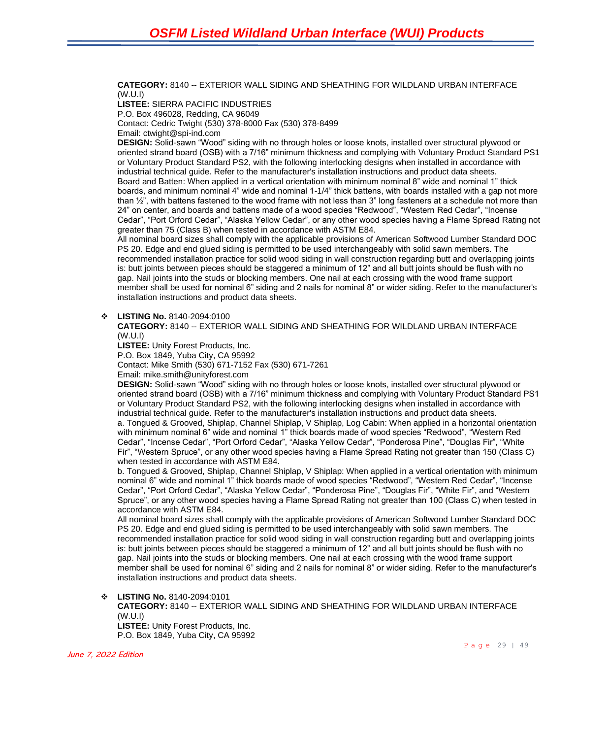**CATEGORY:** 8140 -- EXTERIOR WALL SIDING AND SHEATHING FOR WILDLAND URBAN INTERFACE (W.U.I)

**LISTEE:** SIERRA PACIFIC INDUSTRIES P.O. Box 496028, Redding, CA 96049 Contact: Cedric Twight (530) 378-8000 Fax (530) 378-8499 Email: ctwight@spi-ind.com

**DESIGN:** Solid-sawn "Wood" siding with no through holes or loose knots, installed over structural plywood or oriented strand board (OSB) with a 7/16" minimum thickness and complying with Voluntary Product Standard PS1 or Voluntary Product Standard PS2, with the following interlocking designs when installed in accordance with industrial technical guide. Refer to the manufacturer's installation instructions and product data sheets. Board and Batten: When applied in a vertical orientation with minimum nominal 8" wide and nominal 1" thick boards, and minimum nominal 4" wide and nominal 1-1/4" thick battens, with boards installed with a gap not more than  $\frac{1}{2}$ , with battens fastened to the wood frame with not less than 3" long fasteners at a schedule not more than 24" on center, and boards and battens made of a wood species "Redwood", "Western Red Cedar", "Incense Cedar", "Port Orford Cedar", "Alaska Yellow Cedar", or any other wood species having a Flame Spread Rating not greater than 75 (Class B) when tested in accordance with ASTM E84.

All nominal board sizes shall comply with the applicable provisions of American Softwood Lumber Standard DOC PS 20. Edge and end glued siding is permitted to be used interchangeably with solid sawn members. The recommended installation practice for solid wood siding in wall construction regarding butt and overlapping joints is: butt joints between pieces should be staggered a minimum of 12" and all butt joints should be flush with no gap. Nail joints into the studs or blocking members. One nail at each crossing with the wood frame support member shall be used for nominal 6" siding and 2 nails for nominal 8" or wider siding. Refer to the manufacturer's installation instructions and product data sheets.

#### ❖ **LISTING No.** 8140-2094:0100

**CATEGORY:** 8140 -- EXTERIOR WALL SIDING AND SHEATHING FOR WILDLAND URBAN INTERFACE (W.U.I)

**LISTEE:** Unity Forest Products, Inc.

P.O. Box 1849, Yuba City, CA 95992

Contact: Mike Smith (530) 671-7152 Fax (530) 671-7261

Email: mike.smith@unityforest.com

**DESIGN:** Solid-sawn "Wood" siding with no through holes or loose knots, installed over structural plywood or oriented strand board (OSB) with a 7/16" minimum thickness and complying with Voluntary Product Standard PS1 or Voluntary Product Standard PS2, with the following interlocking designs when installed in accordance with industrial technical guide. Refer to the manufacturer's installation instructions and product data sheets. a. Tongued & Grooved, Shiplap, Channel Shiplap, V Shiplap, Log Cabin: When applied in a horizontal orientation with minimum nominal 6" wide and nominal 1" thick boards made of wood species "Redwood", "Western Red Cedar", "Incense Cedar", "Port Orford Cedar", "Alaska Yellow Cedar", "Ponderosa Pine", "Douglas Fir", "White Fir", "Western Spruce", or any other wood species having a Flame Spread Rating not greater than 150 (Class C) when tested in accordance with ASTM E84.

b. Tongued & Grooved, Shiplap, Channel Shiplap, V Shiplap: When applied in a vertical orientation with minimum nominal 6" wide and nominal 1" thick boards made of wood species "Redwood", "Western Red Cedar", "Incense Cedar", "Port Orford Cedar", "Alaska Yellow Cedar", "Ponderosa Pine", "Douglas Fir", "White Fir", and "Western Spruce", or any other wood species having a Flame Spread Rating not greater than 100 (Class C) when tested in accordance with ASTM E84.

All nominal board sizes shall comply with the applicable provisions of American Softwood Lumber Standard DOC PS 20. Edge and end glued siding is permitted to be used interchangeably with solid sawn members. The recommended installation practice for solid wood siding in wall construction regarding butt and overlapping joints is: butt joints between pieces should be staggered a minimum of 12" and all butt joints should be flush with no gap. Nail joints into the studs or blocking members. One nail at each crossing with the wood frame support member shall be used for nominal 6" siding and 2 nails for nominal 8" or wider siding. Refer to the manufacturer's installation instructions and product data sheets.

#### ❖ **LISTING No.** 8140-2094:0101

**CATEGORY:** 8140 -- EXTERIOR WALL SIDING AND SHEATHING FOR WILDLAND URBAN INTERFACE (W.U.I) **LISTEE:** Unity Forest Products, Inc. P.O. Box 1849, Yuba City, CA 95992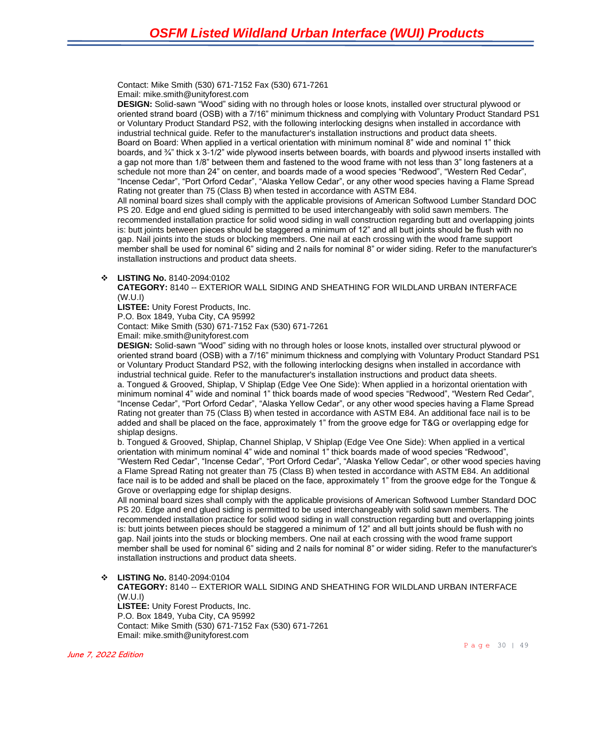Contact: Mike Smith (530) 671-7152 Fax (530) 671-7261 Email: mike.smith@unityforest.com

**DESIGN:** Solid-sawn "Wood" siding with no through holes or loose knots, installed over structural plywood or oriented strand board (OSB) with a 7/16" minimum thickness and complying with Voluntary Product Standard PS1 or Voluntary Product Standard PS2, with the following interlocking designs when installed in accordance with industrial technical guide. Refer to the manufacturer's installation instructions and product data sheets. Board on Board: When applied in a vertical orientation with minimum nominal 8" wide and nominal 1" thick boards, and ¾" thick x 3-1/2" wide plywood inserts between boards, with boards and plywood inserts installed with a gap not more than 1/8" between them and fastened to the wood frame with not less than 3" long fasteners at a schedule not more than 24" on center, and boards made of a wood species "Redwood", "Western Red Cedar", "Incense Cedar", "Port Orford Cedar", "Alaska Yellow Cedar", or any other wood species having a Flame Spread Rating not greater than 75 (Class B) when tested in accordance with ASTM E84. All nominal board sizes shall comply with the applicable provisions of American Softwood Lumber Standard DOC

PS 20. Edge and end glued siding is permitted to be used interchangeably with solid sawn members. The recommended installation practice for solid wood siding in wall construction regarding butt and overlapping joints is: butt joints between pieces should be staggered a minimum of 12" and all butt joints should be flush with no gap. Nail joints into the studs or blocking members. One nail at each crossing with the wood frame support member shall be used for nominal 6" siding and 2 nails for nominal 8" or wider siding. Refer to the manufacturer's installation instructions and product data sheets.

#### ❖ **LISTING No.** 8140-2094:0102

**CATEGORY:** 8140 -- EXTERIOR WALL SIDING AND SHEATHING FOR WILDLAND URBAN INTERFACE (W.U.I)

**LISTEE:** Unity Forest Products, Inc.

P.O. Box 1849, Yuba City, CA 95992

Contact: Mike Smith (530) 671-7152 Fax (530) 671-7261

Email: mike.smith@unityforest.com

**DESIGN:** Solid-sawn "Wood" siding with no through holes or loose knots, installed over structural plywood or oriented strand board (OSB) with a 7/16" minimum thickness and complying with Voluntary Product Standard PS1 or Voluntary Product Standard PS2, with the following interlocking designs when installed in accordance with industrial technical guide. Refer to the manufacturer's installation instructions and product data sheets.

a. Tongued & Grooved, Shiplap, V Shiplap (Edge Vee One Side): When applied in a horizontal orientation with minimum nominal 4" wide and nominal 1" thick boards made of wood species "Redwood", "Western Red Cedar", "Incense Cedar", "Port Orford Cedar", "Alaska Yellow Cedar", or any other wood species having a Flame Spread Rating not greater than 75 (Class B) when tested in accordance with ASTM E84. An additional face nail is to be added and shall be placed on the face, approximately 1" from the groove edge for T&G or overlapping edge for shiplap designs.

b. Tongued & Grooved, Shiplap, Channel Shiplap, V Shiplap (Edge Vee One Side): When applied in a vertical orientation with minimum nominal 4" wide and nominal 1" thick boards made of wood species "Redwood", "Western Red Cedar", "Incense Cedar", "Port Orford Cedar", "Alaska Yellow Cedar", or other wood species having a Flame Spread Rating not greater than 75 (Class B) when tested in accordance with ASTM E84. An additional face nail is to be added and shall be placed on the face, approximately 1" from the groove edge for the Tongue & Grove or overlapping edge for shiplap designs.

All nominal board sizes shall comply with the applicable provisions of American Softwood Lumber Standard DOC PS 20. Edge and end glued siding is permitted to be used interchangeably with solid sawn members. The recommended installation practice for solid wood siding in wall construction regarding butt and overlapping joints is: butt joints between pieces should be staggered a minimum of 12" and all butt joints should be flush with no gap. Nail joints into the studs or blocking members. One nail at each crossing with the wood frame support member shall be used for nominal 6" siding and 2 nails for nominal 8" or wider siding. Refer to the manufacturer's installation instructions and product data sheets.

#### ❖ **LISTING No.** 8140-2094:0104

**CATEGORY:** 8140 -- EXTERIOR WALL SIDING AND SHEATHING FOR WILDLAND URBAN INTERFACE (W.U.I)

**LISTEE:** Unity Forest Products, Inc. P.O. Box 1849, Yuba City, CA 95992 Contact: Mike Smith (530) 671-7152 Fax (530) 671-7261 Email: mike.smith@unityforest.com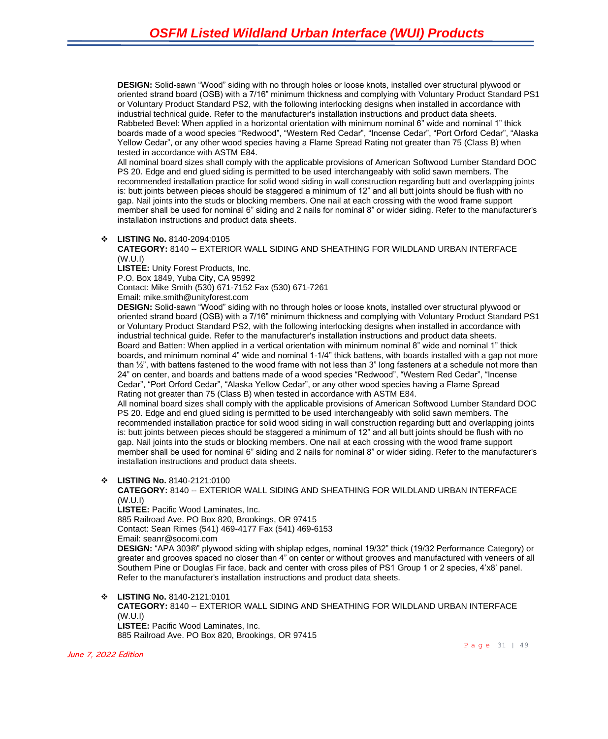**DESIGN:** Solid-sawn "Wood" siding with no through holes or loose knots, installed over structural plywood or oriented strand board (OSB) with a 7/16" minimum thickness and complying with Voluntary Product Standard PS1 or Voluntary Product Standard PS2, with the following interlocking designs when installed in accordance with industrial technical guide. Refer to the manufacturer's installation instructions and product data sheets. Rabbeted Bevel: When applied in a horizontal orientation with minimum nominal 6" wide and nominal 1" thick boards made of a wood species "Redwood", "Western Red Cedar", "Incense Cedar", "Port Orford Cedar", "Alaska Yellow Cedar", or any other wood species having a Flame Spread Rating not greater than 75 (Class B) when tested in accordance with ASTM E84.

All nominal board sizes shall comply with the applicable provisions of American Softwood Lumber Standard DOC PS 20. Edge and end glued siding is permitted to be used interchangeably with solid sawn members. The recommended installation practice for solid wood siding in wall construction regarding butt and overlapping joints is: butt joints between pieces should be staggered a minimum of 12" and all butt joints should be flush with no gap. Nail joints into the studs or blocking members. One nail at each crossing with the wood frame support member shall be used for nominal 6" siding and 2 nails for nominal 8" or wider siding. Refer to the manufacturer's installation instructions and product data sheets.

#### ❖ **LISTING No.** 8140-2094:0105

#### **CATEGORY:** 8140 -- EXTERIOR WALL SIDING AND SHEATHING FOR WILDLAND URBAN INTERFACE (W.U.I)

**LISTEE:** Unity Forest Products, Inc.

P.O. Box 1849, Yuba City, CA 95992

Contact: Mike Smith (530) 671-7152 Fax (530) 671-7261

Email: mike.smith@unityforest.com

**DESIGN:** Solid-sawn "Wood" siding with no through holes or loose knots, installed over structural plywood or oriented strand board (OSB) with a 7/16" minimum thickness and complying with Voluntary Product Standard PS1 or Voluntary Product Standard PS2, with the following interlocking designs when installed in accordance with industrial technical guide. Refer to the manufacturer's installation instructions and product data sheets. Board and Batten: When applied in a vertical orientation with minimum nominal 8" wide and nominal 1" thick boards, and minimum nominal 4" wide and nominal 1-1/4" thick battens, with boards installed with a gap not more than ½", with battens fastened to the wood frame with not less than 3" long fasteners at a schedule not more than 24" on center, and boards and battens made of a wood species "Redwood", "Western Red Cedar", "Incense Cedar", "Port Orford Cedar", "Alaska Yellow Cedar", or any other wood species having a Flame Spread Rating not greater than 75 (Class B) when tested in accordance with ASTM E84.

All nominal board sizes shall comply with the applicable provisions of American Softwood Lumber Standard DOC PS 20. Edge and end glued siding is permitted to be used interchangeably with solid sawn members. The recommended installation practice for solid wood siding in wall construction regarding butt and overlapping joints is: butt joints between pieces should be staggered a minimum of 12" and all butt joints should be flush with no gap. Nail joints into the studs or blocking members. One nail at each crossing with the wood frame support member shall be used for nominal 6" siding and 2 nails for nominal 8" or wider siding. Refer to the manufacturer's installation instructions and product data sheets.

❖ **LISTING No.** 8140-2121:0100

**CATEGORY:** 8140 -- EXTERIOR WALL SIDING AND SHEATHING FOR WILDLAND URBAN INTERFACE (W.U.I)

**LISTEE:** Pacific Wood Laminates, Inc.

885 Railroad Ave. PO Box 820, Brookings, OR 97415 Contact: Sean Rimes (541) 469-4177 Fax (541) 469-6153 Email: seanr@socomi.com

**DESIGN:** "APA 303®" plywood siding with shiplap edges, nominal 19/32" thick (19/32 Performance Category) or greater and grooves spaced no closer than 4" on center or without grooves and manufactured with veneers of all Southern Pine or Douglas Fir face, back and center with cross piles of PS1 Group 1 or 2 species, 4'x8' panel. Refer to the manufacturer's installation instructions and product data sheets.

❖ **LISTING No.** 8140-2121:0101 **CATEGORY:** 8140 -- EXTERIOR WALL SIDING AND SHEATHING FOR WILDLAND URBAN INTERFACE (W.U.I) **LISTEE:** Pacific Wood Laminates, Inc. 885 Railroad Ave. PO Box 820, Brookings, OR 97415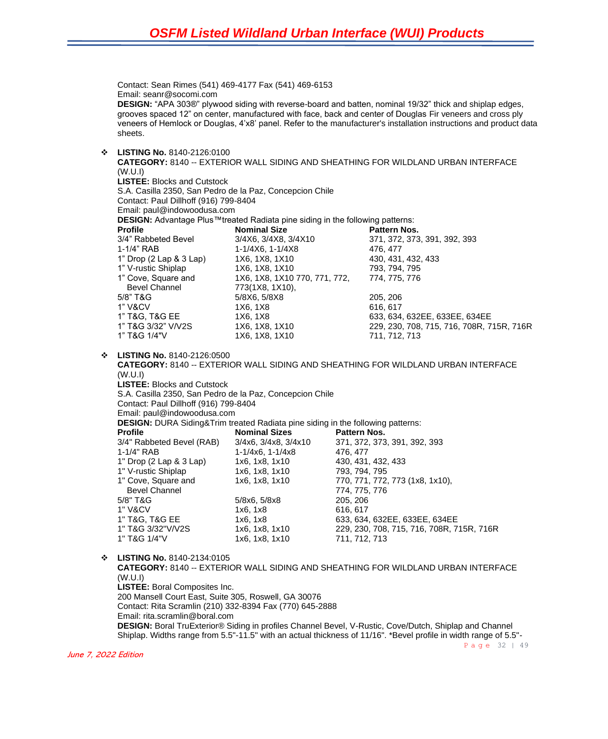Page 32 | 49 Contact: Sean Rimes (541) 469-4177 Fax (541) 469-6153 Email: seanr@socomi.com **DESIGN:** "APA 303®" plywood siding with reverse-board and batten, nominal 19/32" thick and shiplap edges, grooves spaced 12" on center, manufactured with face, back and center of Douglas Fir veneers and cross ply veneers of Hemlock or Douglas, 4'x8' panel. Refer to the manufacturer's installation instructions and product data sheets. ❖ **LISTING No.** 8140-2126:0100 **CATEGORY:** 8140 -- EXTERIOR WALL SIDING AND SHEATHING FOR WILDLAND URBAN INTERFACE (W.U.I) **LISTEE:** Blocks and Cutstock S.A. Casilla 2350, San Pedro de la Paz, Concepcion Chile Contact: Paul Dillhoff (916) 799-8404 Email: paul@indowoodusa.com **DESIGN:** Advantage Plus™treated Radiata pine siding in the following patterns:<br>**Nominal Size** Pattern Nos **Pattern Nos.** Pattern Nos. 3/4" Rabbeted Bevel 3/4X6, 3/4X8, 3/4X10 371, 372, 373, 391, 392, 393 1-1/4" RAB 1-1/4X6, 1-1/4X8 476, 477 1" Drop (2 Lap & 3 Lap) 1X6, 1X8, 1X10 430, 431, 432, 433 1" V-rustic Shiplap 1X6, 1X8, 1X10 793, 794, 795 1" Cove, Square and 1X6, 1X8, 1X10 770, 771, 772, 774, 775, 776 Bevel Channel 773(1X8, 1X10), 5/8" T&G 5/8X6, 5/8X8 205, 206 1" V&CV 1X6, 1X8 616, 617 1" T&G, T&G EE 1X6, 1X8 633, 634, 632EE, 633EE, 634EE 1" T&G 3/32" V/V2S 1X6, 1X8, 1X10 229, 230, 708, 715, 716, 708R, 715R, 716R 1" T&G 1/4"V 1X6, 1X8, 1X10 711, 712, 713 ❖ **LISTING No.** 8140-2126:0500 **CATEGORY:** 8140 -- EXTERIOR WALL SIDING AND SHEATHING FOR WILDLAND URBAN INTERFACE (W.U.I) **LISTEE:** Blocks and Cutstock S.A. Casilla 2350, San Pedro de la Paz, Concepcion Chile Contact: Paul Dillhoff (916) 799-8404 Email: paul@indowoodusa.com **DESIGN:** DURA Siding&Trim treated Radiata pine siding in the following patterns: **Profile Mominal Sizes Pattern Nos.**<br>3/4" Rabbeted Bevel (RAB) 3/4x6, 3/4x8, 3/4x10 371, 372, 373 3/4" Rabbeted Bevel (RAB) 3/4x6, 3/4x8, 3/4x10 371, 372, 373, 391, 392, 393 1-1/4" RAB 1-1/4x6, 1-1/4x8 476, 477 1" Drop (2 Lap & 3 Lap) 1x6, 1x8, 1x10 430, 431, 432, 433 1" V-rustic Shiplap 1" Cove, Square and 1x6, 1x8, 1x10 770, 771, 772, 773 (1x8, 1x10), Bevel Channel 2008 2014 2022 2034 2040 2051 2052 2054 2052 2054 2052 2053 2054 2055 2056 2057 2058 2059 2058 20 5/8" T&G 5/8x6, 5/8x8 205, 206 1" V&CV 1x6, 1x8 616, 617 1" T&G, T&G EE 1x6, 1x8 633, 634, 632EE, 633EE, 634EE 1" T&G 3/32"V/V2S 1x6, 1x8, 1x10 229, 230, 708, 715, 716, 708R, 715R, 716R 1" T&G 1/4"V 1x6, 1x8, 1x10 711, 712, 713 ❖ **LISTING No.** 8140-2134:0105 **CATEGORY:** 8140 -- EXTERIOR WALL SIDING AND SHEATHING FOR WILDLAND URBAN INTERFACE (W.U.I) **LISTEE:** Boral Composites Inc. 200 Mansell Court East, Suite 305, Roswell, GA 30076 Contact: Rita Scramlin (210) 332-8394 Fax (770) 645-2888 Email: rita.scramlin@boral.com **DESIGN:** Boral TruExterior® Siding in profiles Channel Bevel, V-Rustic, Cove/Dutch, Shiplap and Channel Shiplap. Widths range from 5.5"-11.5" with an actual thickness of 11/16". \*Bevel profile in width range of 5.5"-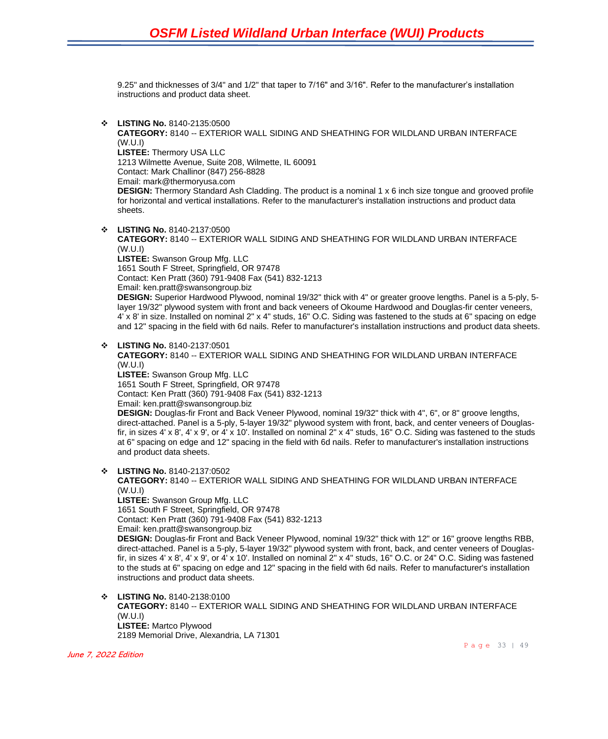9.25" and thicknesses of 3/4" and 1/2" that taper to 7/16" and 3/16". Refer to the manufacturer's installation instructions and product data sheet.

❖ **LISTING No.** 8140-2135:0500

**CATEGORY:** 8140 -- EXTERIOR WALL SIDING AND SHEATHING FOR WILDLAND URBAN INTERFACE (W.U.I) **LISTEE:** Thermory USA LLC 1213 Wilmette Avenue, Suite 208, Wilmette, IL 60091

Contact: Mark Challinor (847) 256-8828

Email: mark@thermoryusa.com

**DESIGN:** Thermory Standard Ash Cladding. The product is a nominal 1 x 6 inch size tongue and grooved profile for horizontal and vertical installations. Refer to the manufacturer's installation instructions and product data sheets.

❖ **LISTING No.** 8140-2137:0500 **CATEGORY:** 8140 -- EXTERIOR WALL SIDING AND SHEATHING FOR WILDLAND URBAN INTERFACE (W.U.I) **LISTEE:** Swanson Group Mfg. LLC 1651 South F Street, Springfield, OR 97478 Contact: Ken Pratt (360) 791-9408 Fax (541) 832-1213 Email: ken.pratt@swansongroup.biz

**DESIGN:** Superior Hardwood Plywood, nominal 19/32" thick with 4" or greater groove lengths. Panel is a 5-ply, 5 layer 19/32" plywood system with front and back veneers of Okoume Hardwood and Douglas-fir center veneers, 4' x 8' in size. Installed on nominal 2" x 4" studs, 16" O.C. Siding was fastened to the studs at 6" spacing on edge and 12" spacing in the field with 6d nails. Refer to manufacturer's installation instructions and product data sheets.

❖ **LISTING No.** 8140-2137:0501

**CATEGORY:** 8140 -- EXTERIOR WALL SIDING AND SHEATHING FOR WILDLAND URBAN INTERFACE (W.U.I)

**LISTEE:** Swanson Group Mfg. LLC 1651 South F Street, Springfield, OR 97478 Contact: Ken Pratt (360) 791-9408 Fax (541) 832-1213

Email: ken.pratt@swansongroup.biz

**DESIGN:** Douglas-fir Front and Back Veneer Plywood, nominal 19/32" thick with 4", 6", or 8" groove lengths, direct-attached. Panel is a 5-ply, 5-layer 19/32" plywood system with front, back, and center veneers of Douglasfir, in sizes 4' x 8', 4' x 9', or 4' x 10'. Installed on nominal 2" x 4" studs, 16" O.C. Siding was fastened to the studs at 6" spacing on edge and 12" spacing in the field with 6d nails. Refer to manufacturer's installation instructions and product data sheets.

❖ **LISTING No.** 8140-2137:0502

**CATEGORY:** 8140 -- EXTERIOR WALL SIDING AND SHEATHING FOR WILDLAND URBAN INTERFACE (W.U.I) **LISTEE:** Swanson Group Mfg. LLC 1651 South F Street, Springfield, OR 97478

Contact: Ken Pratt (360) 791-9408 Fax (541) 832-1213

Email: ken.pratt@swansongroup.biz

**DESIGN:** Douglas-fir Front and Back Veneer Plywood, nominal 19/32" thick with 12" or 16" groove lengths RBB, direct-attached. Panel is a 5-ply, 5-layer 19/32" plywood system with front, back, and center veneers of Douglasfir, in sizes 4' x 8', 4' x 9', or 4' x 10'. Installed on nominal 2" x 4" studs, 16" O.C. or 24" O.C. Siding was fastened to the studs at 6" spacing on edge and 12" spacing in the field with 6d nails. Refer to manufacturer's installation instructions and product data sheets.

❖ **LISTING No.** 8140-2138:0100 **CATEGORY:** 8140 -- EXTERIOR WALL SIDING AND SHEATHING FOR WILDLAND URBAN INTERFACE (W.U.I) **LISTEE:** Martco Plywood 2189 Memorial Drive, Alexandria, LA 71301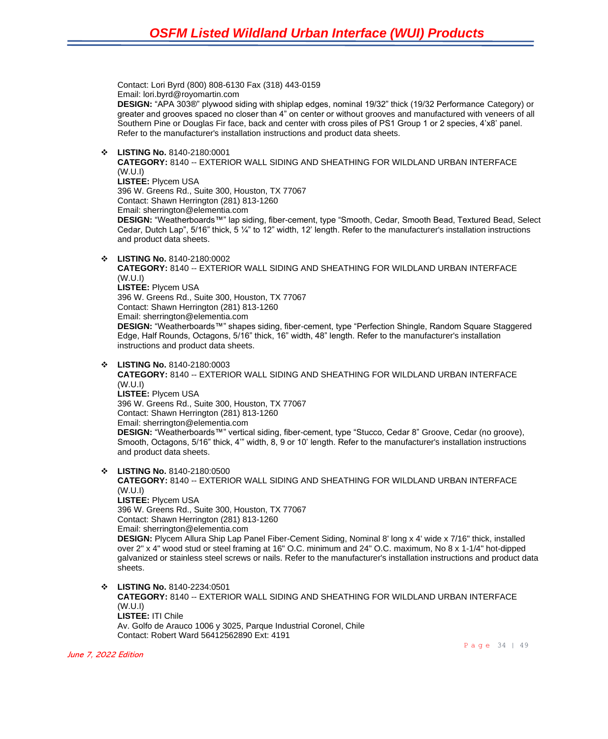Contact: Lori Byrd (800) 808-6130 Fax (318) 443-0159 Email: lori.byrd@royomartin.com

**DESIGN:** "APA 303®" plywood siding with shiplap edges, nominal 19/32" thick (19/32 Performance Category) or greater and grooves spaced no closer than 4" on center or without grooves and manufactured with veneers of all Southern Pine or Douglas Fir face, back and center with cross piles of PS1 Group 1 or 2 species, 4'x8' panel. Refer to the manufacturer's installation instructions and product data sheets.

❖ **LISTING No.** 8140-2180:0001

**CATEGORY:** 8140 -- EXTERIOR WALL SIDING AND SHEATHING FOR WILDLAND URBAN INTERFACE (W.U.I) **LISTEE:** Plycem USA 396 W. Greens Rd., Suite 300, Houston, TX 77067 Contact: Shawn Herrington (281) 813-1260 Email: sherrington@elementia.com **DESIGN:** "Weatherboards™" lap siding, fiber-cement, type "Smooth, Cedar, Smooth Bead, Textured Bead, Select Cedar, Dutch Lap", 5/16" thick, 5 ¼" to 12" width, 12' length. Refer to the manufacturer's installation instructions and product data sheets.

❖ **LISTING No.** 8140-2180:0002

**CATEGORY:** 8140 -- EXTERIOR WALL SIDING AND SHEATHING FOR WILDLAND URBAN INTERFACE (W.U.I) **LISTEE:** Plycem USA 396 W. Greens Rd., Suite 300, Houston, TX 77067 Contact: Shawn Herrington (281) 813-1260 Email: sherrington@elementia.com **DESIGN:** "Weatherboards™" shapes siding, fiber-cement, type "Perfection Shingle, Random Square Staggered Edge, Half Rounds, Octagons, 5/16" thick, 16" width, 48" length. Refer to the manufacturer's installation instructions and product data sheets.

❖ **LISTING No.** 8140-2180:0003

**CATEGORY:** 8140 -- EXTERIOR WALL SIDING AND SHEATHING FOR WILDLAND URBAN INTERFACE (W.U.I) **LISTEE:** Plycem USA 396 W. Greens Rd., Suite 300, Houston, TX 77067 Contact: Shawn Herrington (281) 813-1260 Email: sherrington@elementia.com **DESIGN:** "Weatherboards™" vertical siding, fiber-cement, type "Stucco, Cedar 8" Groove, Cedar (no groove), Smooth, Octagons, 5/16" thick, 4'" width, 8, 9 or 10' length. Refer to the manufacturer's installation instructions and product data sheets.

❖ **LISTING No.** 8140-2180:0500

**CATEGORY:** 8140 -- EXTERIOR WALL SIDING AND SHEATHING FOR WILDLAND URBAN INTERFACE (W.U.I) **LISTEE:** Plycem USA 396 W. Greens Rd., Suite 300, Houston, TX 77067 Contact: Shawn Herrington (281) 813-1260 Email: sherrington@elementia.com **DESIGN:** Plycem Allura Ship Lap Panel Fiber-Cement Siding, Nominal 8' long x 4' wide x 7/16" thick, installed over 2" x 4" wood stud or steel framing at 16" O.C. minimum and 24" O.C. maximum, No 8 x 1-1/4" hot-dipped galvanized or stainless steel screws or nails. Refer to the manufacturer's installation instructions and product data sheets.

❖ **LISTING No.** 8140-2234:0501 **CATEGORY:** 8140 -- EXTERIOR WALL SIDING AND SHEATHING FOR WILDLAND URBAN INTERFACE (W.U.I) **LISTEE:** ITI Chile Av. Golfo de Arauco 1006 y 3025, Parque Industrial Coronel, Chile Contact: Robert Ward 56412562890 Ext: 4191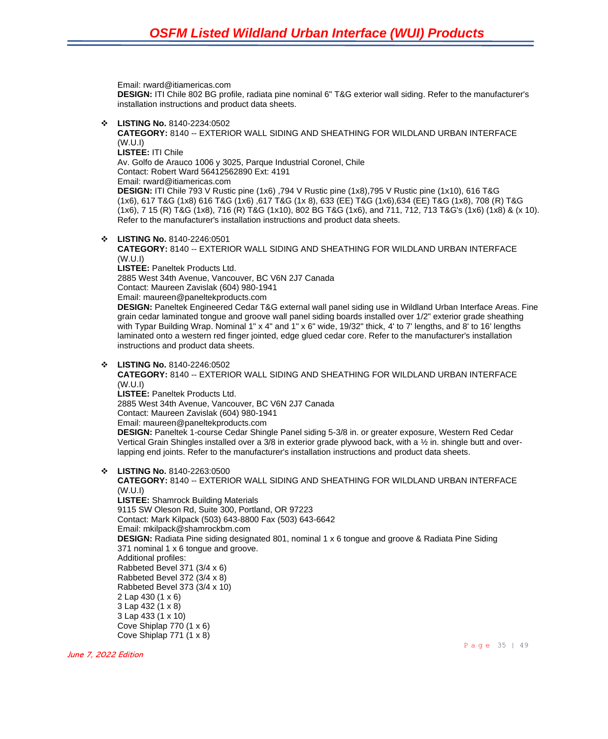Email: rward@itiamericas.com

**DESIGN:** ITI Chile 802 BG profile, radiata pine nominal 6" T&G exterior wall siding. Refer to the manufacturer's installation instructions and product data sheets.

❖ **LISTING No.** 8140-2234:0502

**CATEGORY:** 8140 -- EXTERIOR WALL SIDING AND SHEATHING FOR WILDLAND URBAN INTERFACE (W.U.I) **LISTEE:** ITI Chile

Av. Golfo de Arauco 1006 y 3025, Parque Industrial Coronel, Chile

Contact: Robert Ward 56412562890 Ext: 4191

Email: rward@itiamericas.com

**DESIGN:** ITI Chile 793 V Rustic pine (1x6) ,794 V Rustic pine (1x8),795 V Rustic pine (1x10), 616 T&G (1x6), 617 T&G (1x8) 616 T&G (1x6) ,617 T&G (1x 8), 633 (EE) T&G (1x6),634 (EE) T&G (1x8), 708 (R) T&G (1x6), 7 15 (R) T&G (1x8), 716 (R) T&G (1x10), 802 BG T&G (1x6), and 711, 712, 713 T&G's (1x6) (1x8) & (x 10). Refer to the manufacturer's installation instructions and product data sheets.

❖ **LISTING No.** 8140-2246:0501

**CATEGORY:** 8140 -- EXTERIOR WALL SIDING AND SHEATHING FOR WILDLAND URBAN INTERFACE (W.U.I)

**LISTEE:** Paneltek Products Ltd.

2885 West 34th Avenue, Vancouver, BC V6N 2J7 Canada

Contact: Maureen Zavislak (604) 980-1941

Email: maureen@paneltekproducts.com

**DESIGN:** Paneltek Engineered Cedar T&G external wall panel siding use in Wildland Urban Interface Areas. Fine grain cedar laminated tongue and groove wall panel siding boards installed over 1/2" exterior grade sheathing with Typar Building Wrap. Nominal 1" x 4" and 1" x 6" wide, 19/32" thick, 4' to 7' lengths, and 8' to 16' lengths laminated onto a western red finger jointed, edge glued cedar core. Refer to the manufacturer's installation instructions and product data sheets.

#### ❖ **LISTING No.** 8140-2246:0502

**CATEGORY:** 8140 -- EXTERIOR WALL SIDING AND SHEATHING FOR WILDLAND URBAN INTERFACE (W.U.I)

**LISTEE:** Paneltek Products Ltd.

2885 West 34th Avenue, Vancouver, BC V6N 2J7 Canada

Contact: Maureen Zavislak (604) 980-1941

Email: maureen@paneltekproducts.com

**DESIGN:** Paneltek 1-course Cedar Shingle Panel siding 5-3/8 in. or greater exposure, Western Red Cedar Vertical Grain Shingles installed over a 3/8 in exterior grade plywood back, with a ½ in. shingle butt and overlapping end joints. Refer to the manufacturer's installation instructions and product data sheets.

❖ **LISTING No.** 8140-2263:0500

**CATEGORY:** 8140 -- EXTERIOR WALL SIDING AND SHEATHING FOR WILDLAND URBAN INTERFACE (W.U.I) **LISTEE:** Shamrock Building Materials 9115 SW Oleson Rd, Suite 300, Portland, OR 97223 Contact: Mark Kilpack (503) 643-8800 Fax (503) 643-6642 Email: mkilpack@shamrockbm.com **DESIGN:** Radiata Pine siding designated 801, nominal 1 x 6 tongue and groove & Radiata Pine Siding 371 nominal 1 x 6 tongue and groove. Additional profiles: Rabbeted Bevel 371 (3/4 x 6) Rabbeted Bevel 372 (3/4 x 8) Rabbeted Bevel 373 (3/4 x 10) 2 Lap 430 (1 x 6) 3 Lap 432 (1 x 8) 3 Lap 433 (1 x 10) Cove Shiplap 770 (1 x 6) Cove Shiplap 771 (1 x 8)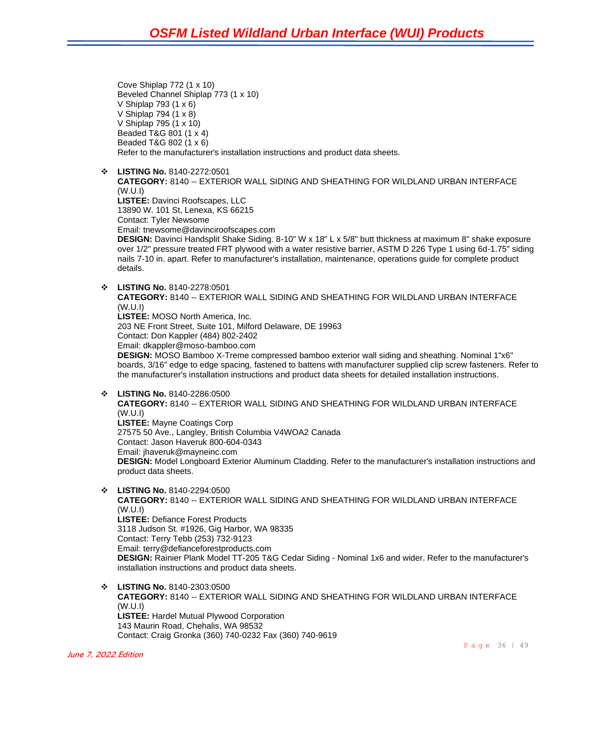Cove Shiplap 772 (1 x 10) Beveled Channel Shiplap 773 (1 x 10) V Shiplap 793 (1 x 6) V Shiplap 794 (1 x 8) V Shiplap 795 (1 x 10) Beaded T&G 801 (1 x 4) Beaded T&G 802 (1 x 6) Refer to the manufacturer's installation instructions and product data sheets.

❖ **LISTING No.** 8140-2272:0501

**CATEGORY:** 8140 -- EXTERIOR WALL SIDING AND SHEATHING FOR WILDLAND URBAN INTERFACE (W.U.I) **LISTEE:** Davinci Roofscapes, LLC 13890 W. 101 St, Lenexa, KS 66215

Contact: Tyler Newsome

Email: tnewsome@davinciroofscapes.com

**DESIGN:** Davinci Handsplit Shake Siding. 8-10" W x 18" L x 5/8" butt thickness at maximum 8" shake exposure over 1/2" pressure treated FRT plywood with a water resistive barrier, ASTM D 226 Type 1 using 6d-1.75" siding nails 7-10 in. apart. Refer to manufacturer's installation, maintenance, operations guide for complete product details.

❖ **LISTING No.** 8140-2278:0501

**CATEGORY:** 8140 -- EXTERIOR WALL SIDING AND SHEATHING FOR WILDLAND URBAN INTERFACE (W.U.I) **LISTEE:** MOSO North America, Inc.

203 NE Front Street, Suite 101, Milford Delaware, DE 19963

Contact: Don Kappler (484) 802-2402

Email: dkappler@moso-bamboo.com

**DESIGN:** MOSO Bamboo X-Treme compressed bamboo exterior wall siding and sheathing. Nominal 1"x6" boards, 3/16" edge to edge spacing, fastened to battens with manufacturer supplied clip screw fasteners. Refer to the manufacturer's installation instructions and product data sheets for detailed installation instructions.

❖ **LISTING No.** 8140-2286:0500

**CATEGORY:** 8140 -- EXTERIOR WALL SIDING AND SHEATHING FOR WILDLAND URBAN INTERFACE (W.U.I) **LISTEE:** Mayne Coatings Corp 27575 50 Ave., Langley, British Columbia V4WOA2 Canada Contact: Jason Haveruk 800-604-0343 Email: jhaveruk@mayneinc.com **DESIGN:** Model Longboard Exterior Aluminum Cladding. Refer to the manufacturer's installation instructions and product data sheets.

❖ **LISTING No.** 8140-2294:0500 **CATEGORY:** 8140 -- EXTERIOR WALL SIDING AND SHEATHING FOR WILDLAND URBAN INTERFACE (W.U.I) **LISTEE:** Defiance Forest Products 3118 Judson St. #1926, Gig Harbor, WA 98335 Contact: Terry Tebb (253) 732-9123 Email: terry@defianceforestproducts.com **DESIGN:** Rainier Plank Model TT-205 T&G Cedar Siding - Nominal 1x6 and wider. Refer to the manufacturer's installation instructions and product data sheets.

❖ **LISTING No.** 8140-2303:0500 **CATEGORY:** 8140 -- EXTERIOR WALL SIDING AND SHEATHING FOR WILDLAND URBAN INTERFACE (W.U.I) **LISTEE:** Hardel Mutual Plywood Corporation 143 Maurin Road, Chehalis, WA 98532 Contact: Craig Gronka (360) 740-0232 Fax (360) 740-9619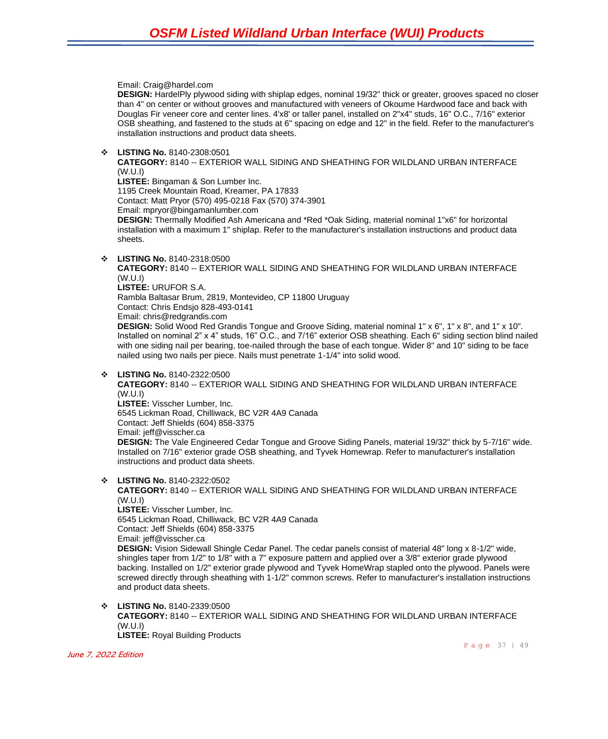Email: Craig@hardel.com

**DESIGN:** HardelPly plywood siding with shiplap edges, nominal 19/32" thick or greater, grooves spaced no closer than 4" on center or without grooves and manufactured with veneers of Okoume Hardwood face and back with Douglas Fir veneer core and center lines. 4'x8' or taller panel, installed on 2"x4" studs, 16" O.C., 7/16" exterior OSB sheathing, and fastened to the studs at 6" spacing on edge and 12" in the field. Refer to the manufacturer's installation instructions and product data sheets.

❖ **LISTING No.** 8140-2308:0501

**CATEGORY:** 8140 -- EXTERIOR WALL SIDING AND SHEATHING FOR WILDLAND URBAN INTERFACE (W.U.I)

**LISTEE:** Bingaman & Son Lumber Inc.

1195 Creek Mountain Road, Kreamer, PA 17833

Contact: Matt Pryor (570) 495-0218 Fax (570) 374-3901

Email: mpryor@bingamanlumber.com

**DESIGN:** Thermally Modified Ash Americana and \*Red \*Oak Siding, material nominal 1"x6" for horizontal installation with a maximum 1" shiplap. Refer to the manufacturer's installation instructions and product data sheets.

❖ **LISTING No.** 8140-2318:0500

**CATEGORY:** 8140 -- EXTERIOR WALL SIDING AND SHEATHING FOR WILDLAND URBAN INTERFACE (W.U.I) **LISTEE:** URUFOR S.A. Rambla Baltasar Brum, 2819, Montevideo, CP 11800 Uruguay Contact: Chris Endsjo 828-493-0141

Email: chris@redgrandis.com

**DESIGN:** Solid Wood Red Grandis Tongue and Groove Siding, material nominal 1" x 6", 1" x 8", and 1" x 10". Installed on nominal 2" x 4" studs, 16" O.C., and 7/16" exterior OSB sheathing. Each 6" siding section blind nailed with one siding nail per bearing, toe-nailed through the base of each tongue. Wider 8" and 10" siding to be face nailed using two nails per piece. Nails must penetrate 1-1/4" into solid wood.

❖ **LISTING No.** 8140-2322:0500

**CATEGORY:** 8140 -- EXTERIOR WALL SIDING AND SHEATHING FOR WILDLAND URBAN INTERFACE (W.U.I)

**LISTEE:** Visscher Lumber, Inc. 6545 Lickman Road, Chilliwack, BC V2R 4A9 Canada Contact: Jeff Shields (604) 858-3375 Email: jeff@visscher.ca **DESIGN:** The Vale Engineered Cedar Tongue and Groove Siding Panels, material 19/32" thick by 5-7/16" wide. Installed on 7/16" exterior grade OSB sheathing, and Tyvek Homewrap. Refer to manufacturer's installation instructions and product data sheets.

❖ **LISTING No.** 8140-2322:0502

**CATEGORY:** 8140 -- EXTERIOR WALL SIDING AND SHEATHING FOR WILDLAND URBAN INTERFACE (W.U.I)

**LISTEE:** Visscher Lumber, Inc. 6545 Lickman Road, Chilliwack, BC V2R 4A9 Canada Contact: Jeff Shields (604) 858-3375 Email: jeff@visscher.ca

**DESIGN:** Vision Sidewall Shingle Cedar Panel. The cedar panels consist of material 48" long x 8-1/2" wide, shingles taper from 1/2" to 1/8" with a 7" exposure pattern and applied over a 3/8" exterior grade plywood backing. Installed on 1/2" exterior grade plywood and Tyvek HomeWrap stapled onto the plywood. Panels were screwed directly through sheathing with 1-1/2" common screws. Refer to manufacturer's installation instructions and product data sheets.

❖ **LISTING No.** 8140-2339:0500

**CATEGORY:** 8140 -- EXTERIOR WALL SIDING AND SHEATHING FOR WILDLAND URBAN INTERFACE (W.U.I)

**LISTEE:** Royal Building Products

June 7, 2022 Edition

Page 37 | 49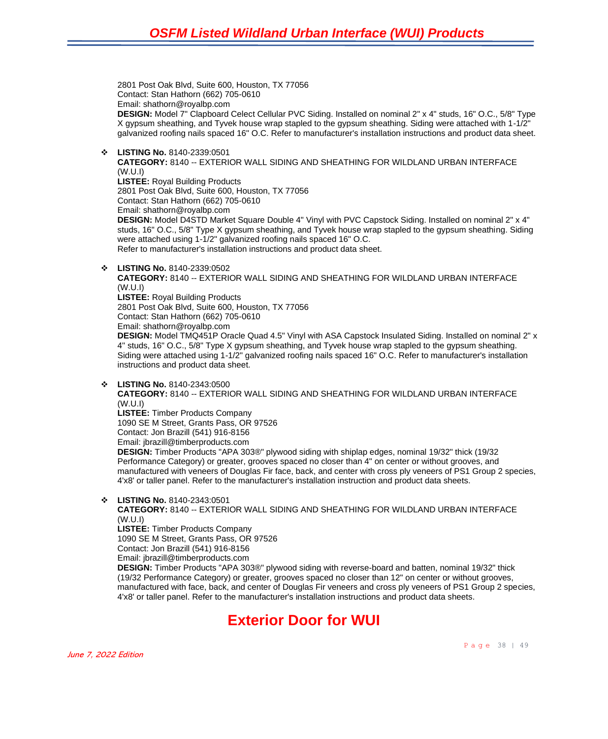2801 Post Oak Blvd, Suite 600, Houston, TX 77056 Contact: Stan Hathorn (662) 705-0610 Email: shathorn@royalbp.com **DESIGN:** Model 7" Clapboard Celect Cellular PVC Siding. Installed on nominal 2" x 4" studs, 16" O.C., 5/8" Type X gypsum sheathing, and Tyvek house wrap stapled to the gypsum sheathing. Siding were attached with 1-1/2" galvanized roofing nails spaced 16" O.C. Refer to manufacturer's installation instructions and product data sheet.

❖ **LISTING No.** 8140-2339:0501

**CATEGORY:** 8140 -- EXTERIOR WALL SIDING AND SHEATHING FOR WILDLAND URBAN INTERFACE (W.U.I) **LISTEE:** Royal Building Products 2801 Post Oak Blvd, Suite 600, Houston, TX 77056 Contact: Stan Hathorn (662) 705-0610 Email: shathorn@royalbp.com **DESIGN:** Model D4STD Market Square Double 4" Vinyl with PVC Capstock Siding. Installed on nominal 2" x 4" studs, 16" O.C., 5/8" Type X gypsum sheathing, and Tyvek house wrap stapled to the gypsum sheathing. Siding

were attached using 1-1/2" galvanized roofing nails spaced 16" O.C. Refer to manufacturer's installation instructions and product data sheet.

❖ **LISTING No.** 8140-2339:0502

**CATEGORY:** 8140 -- EXTERIOR WALL SIDING AND SHEATHING FOR WILDLAND URBAN INTERFACE (W.U.I)

**LISTEE:** Royal Building Products 2801 Post Oak Blvd, Suite 600, Houston, TX 77056 Contact: Stan Hathorn (662) 705-0610

Email: shathorn@royalbp.com

**DESIGN:** Model TMQ451P Oracle Quad 4.5" Vinyl with ASA Capstock Insulated Siding. Installed on nominal 2" x 4" studs, 16" O.C., 5/8" Type X gypsum sheathing, and Tyvek house wrap stapled to the gypsum sheathing. Siding were attached using 1-1/2" galvanized roofing nails spaced 16" O.C. Refer to manufacturer's installation instructions and product data sheet.

❖ **LISTING No.** 8140-2343:0500

**CATEGORY:** 8140 -- EXTERIOR WALL SIDING AND SHEATHING FOR WILDLAND URBAN INTERFACE (W.U.I)

**LISTEE:** Timber Products Company

1090 SE M Street, Grants Pass, OR 97526

Contact: Jon Brazill (541) 916-8156

Email: jbrazill@timberproducts.com

**DESIGN:** Timber Products "APA 303®" plywood siding with shiplap edges, nominal 19/32" thick (19/32 Performance Category) or greater, grooves spaced no closer than 4" on center or without grooves, and manufactured with veneers of Douglas Fir face, back, and center with cross ply veneers of PS1 Group 2 species, 4'x8' or taller panel. Refer to the manufacturer's installation instruction and product data sheets.

❖ **LISTING No.** 8140-2343:0501

**CATEGORY:** 8140 -- EXTERIOR WALL SIDING AND SHEATHING FOR WILDLAND URBAN INTERFACE (W.U.I)

**LISTEE:** Timber Products Company

1090 SE M Street, Grants Pass, OR 97526

Contact: Jon Brazill (541) 916-8156

Email: jbrazill@timberproducts.com

**DESIGN:** Timber Products "APA 303®" plywood siding with reverse-board and batten, nominal 19/32" thick (19/32 Performance Category) or greater, grooves spaced no closer than 12" on center or without grooves, manufactured with face, back, and center of Douglas Fir veneers and cross ply veneers of PS1 Group 2 species, 4'x8' or taller panel. Refer to the manufacturer's installation instructions and product data sheets.

### **Exterior Door for WUI**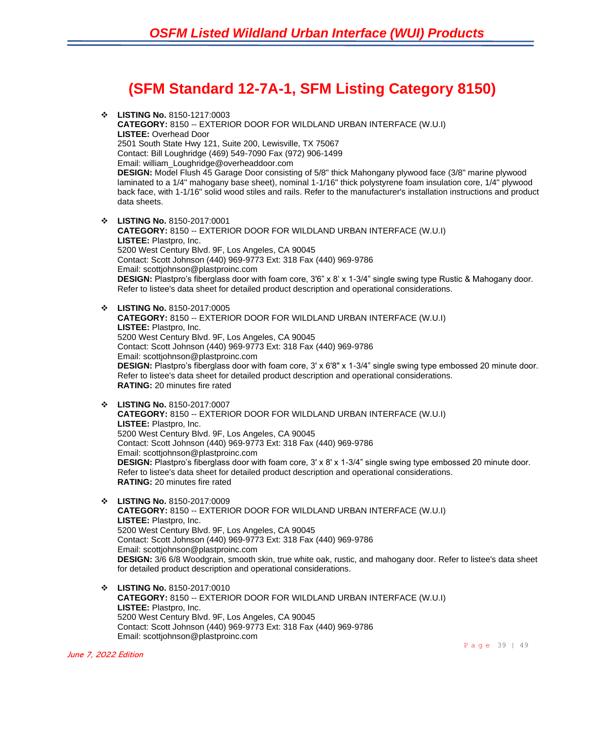## **(SFM Standard 12-7A-1, SFM Listing Category 8150)**

- ❖ **LISTING No.** 8150-1217:0003 **CATEGORY:** 8150 -- EXTERIOR DOOR FOR WILDLAND URBAN INTERFACE (W.U.I) **LISTEE:** Overhead Door 2501 South State Hwy 121, Suite 200, Lewisville, TX 75067 Contact: Bill Loughridge (469) 549-7090 Fax (972) 906-1499 Email: william\_Loughridge@overheaddoor.com **DESIGN:** Model Flush 45 Garage Door consisting of 5/8" thick Mahongany plywood face (3/8" marine plywood laminated to a 1/4" mahogany base sheet), nominal 1-1/16" thick polystyrene foam insulation core, 1/4" plywood back face, with 1-1/16" solid wood stiles and rails. Refer to the manufacturer's installation instructions and product data sheets.
- ❖ **LISTING No.** 8150-2017:0001 **CATEGORY:** 8150 -- EXTERIOR DOOR FOR WILDLAND URBAN INTERFACE (W.U.I) **LISTEE:** Plastpro, Inc. 5200 West Century Blvd. 9F, Los Angeles, CA 90045 Contact: Scott Johnson (440) 969-9773 Ext: 318 Fax (440) 969-9786 Email: scottjohnson@plastproinc.com **DESIGN:** Plastpro's fiberglass door with foam core, 3'6" x 8' x 1-3/4" single swing type Rustic & Mahogany door. Refer to listee's data sheet for detailed product description and operational considerations.
- ❖ **LISTING No.** 8150-2017:0005 **CATEGORY:** 8150 -- EXTERIOR DOOR FOR WILDLAND URBAN INTERFACE (W.U.I) **LISTEE:** Plastpro, Inc. 5200 West Century Blvd. 9F, Los Angeles, CA 90045 Contact: Scott Johnson (440) 969-9773 Ext: 318 Fax (440) 969-9786 Email: scottjohnson@plastproinc.com **DESIGN:** Plastpro's fiberglass door with foam core, 3' x 6'8" x 1-3/4" single swing type embossed 20 minute door. Refer to listee's data sheet for detailed product description and operational considerations. **RATING:** 20 minutes fire rated
- ❖ **LISTING No.** 8150-2017:0007 **CATEGORY:** 8150 -- EXTERIOR DOOR FOR WILDLAND URBAN INTERFACE (W.U.I) **LISTEE:** Plastpro, Inc. 5200 West Century Blvd. 9F, Los Angeles, CA 90045 Contact: Scott Johnson (440) 969-9773 Ext: 318 Fax (440) 969-9786 Email: scottjohnson@plastproinc.com **DESIGN:** Plastpro's fiberglass door with foam core, 3' x 8' x 1-3/4" single swing type embossed 20 minute door. Refer to listee's data sheet for detailed product description and operational considerations. **RATING:** 20 minutes fire rated
- ❖ **LISTING No.** 8150-2017:0009 **CATEGORY:** 8150 -- EXTERIOR DOOR FOR WILDLAND URBAN INTERFACE (W.U.I) **LISTEE:** Plastpro, Inc. 5200 West Century Blvd. 9F, Los Angeles, CA 90045 Contact: Scott Johnson (440) 969-9773 Ext: 318 Fax (440) 969-9786 Email: scottjohnson@plastproinc.com **DESIGN:** 3/6 6/8 Woodgrain, smooth skin, true white oak, rustic, and mahogany door. Refer to listee's data sheet for detailed product description and operational considerations.
- ❖ **LISTING No.** 8150-2017:0010 **CATEGORY:** 8150 -- EXTERIOR DOOR FOR WILDLAND URBAN INTERFACE (W.U.I) **LISTEE:** Plastpro, Inc. 5200 West Century Blvd. 9F, Los Angeles, CA 90045 Contact: Scott Johnson (440) 969-9773 Ext: 318 Fax (440) 969-9786 Email: scottjohnson@plastproinc.com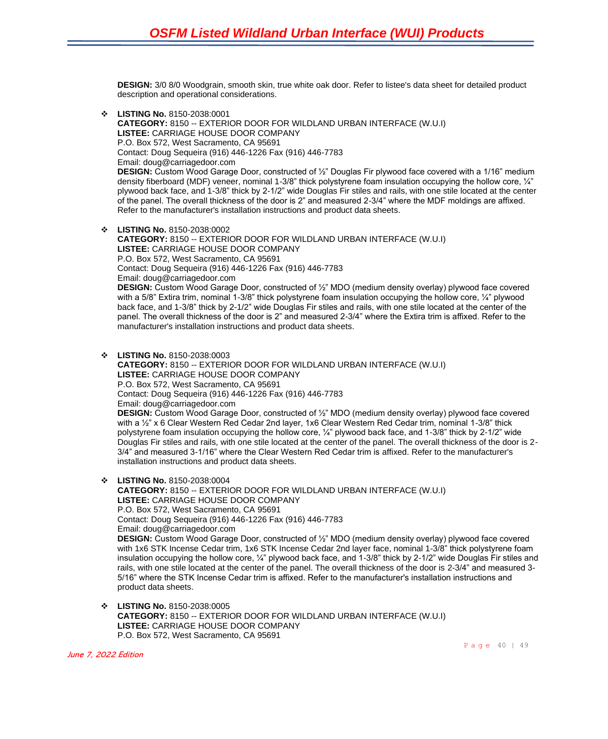**DESIGN:** 3/0 8/0 Woodgrain, smooth skin, true white oak door. Refer to listee's data sheet for detailed product description and operational considerations.

- ❖ **LISTING No.** 8150-2038:0001 **CATEGORY:** 8150 -- EXTERIOR DOOR FOR WILDLAND URBAN INTERFACE (W.U.I) **LISTEE:** CARRIAGE HOUSE DOOR COMPANY P.O. Box 572, West Sacramento, CA 95691 Contact: Doug Sequeira (916) 446-1226 Fax (916) 446-7783 Email: doug@carriagedoor.com **DESIGN:** Custom Wood Garage Door, constructed of ½" Douglas Fir plywood face covered with a 1/16" medium density fiberboard (MDF) veneer, nominal 1-3/8" thick polystyrene foam insulation occupying the hollow core,  $\frac{1}{4}$ " plywood back face, and 1-3/8" thick by 2-1/2" wide Douglas Fir stiles and rails, with one stile located at the center of the panel. The overall thickness of the door is 2" and measured 2-3/4" where the MDF moldings are affixed. Refer to the manufacturer's installation instructions and product data sheets.
- ❖ **LISTING No.** 8150-2038:0002 **CATEGORY:** 8150 -- EXTERIOR DOOR FOR WILDLAND URBAN INTERFACE (W.U.I) **LISTEE:** CARRIAGE HOUSE DOOR COMPANY P.O. Box 572, West Sacramento, CA 95691 Contact: Doug Sequeira (916) 446-1226 Fax (916) 446-7783 Email: doug@carriagedoor.com **DESIGN:** Custom Wood Garage Door, constructed of ½" MDO (medium density overlay) plywood face covered with a 5/8" Extira trim, nominal 1-3/8" thick polystyrene foam insulation occupying the hollow core, 1/4" plywood back face, and 1-3/8" thick by 2-1/2" wide Douglas Fir stiles and rails, with one stile located at the center of the panel. The overall thickness of the door is 2" and measured 2-3/4" where the Extira trim is affixed. Refer to the manufacturer's installation instructions and product data sheets.
- ❖ **LISTING No.** 8150-2038:0003 **CATEGORY:** 8150 -- EXTERIOR DOOR FOR WILDLAND URBAN INTERFACE (W.U.I) **LISTEE:** CARRIAGE HOUSE DOOR COMPANY P.O. Box 572, West Sacramento, CA 95691 Contact: Doug Sequeira (916) 446-1226 Fax (916) 446-7783 Email: doug@carriagedoor.com **DESIGN:** Custom Wood Garage Door, constructed of ½" MDO (medium density overlay) plywood face covered with a ½" x 6 Clear Western Red Cedar 2nd layer, 1x6 Clear Western Red Cedar trim, nominal 1-3/8" thick polystyrene foam insulation occupying the hollow core, ¼" plywood back face, and 1-3/8" thick by 2-1/2" wide Douglas Fir stiles and rails, with one stile located at the center of the panel. The overall thickness of the door is 2- 3/4" and measured 3-1/16" where the Clear Western Red Cedar trim is affixed. Refer to the manufacturer's installation instructions and product data sheets.
- ❖ **LISTING No.** 8150-2038:0004
	- **CATEGORY:** 8150 -- EXTERIOR DOOR FOR WILDLAND URBAN INTERFACE (W.U.I) **LISTEE:** CARRIAGE HOUSE DOOR COMPANY P.O. Box 572, West Sacramento, CA 95691 Contact: Doug Sequeira (916) 446-1226 Fax (916) 446-7783 Email: doug@carriagedoor.com **DESIGN:** Custom Wood Garage Door, constructed of ½" MDO (medium density overlay) plywood face covered with 1x6 STK Incense Cedar trim, 1x6 STK Incense Cedar 2nd layer face, nominal 1-3/8" thick polystyrene foam insulation occupying the hollow core, ¼" plywood back face, and 1-3/8" thick by 2-1/2" wide Douglas Fir stiles and rails, with one stile located at the center of the panel. The overall thickness of the door is 2-3/4" and measured 3- 5/16" where the STK Incense Cedar trim is affixed. Refer to the manufacturer's installation instructions and product data sheets.
- ❖ **LISTING No.** 8150-2038:0005 **CATEGORY:** 8150 -- EXTERIOR DOOR FOR WILDLAND URBAN INTERFACE (W.U.I) **LISTEE:** CARRIAGE HOUSE DOOR COMPANY P.O. Box 572, West Sacramento, CA 95691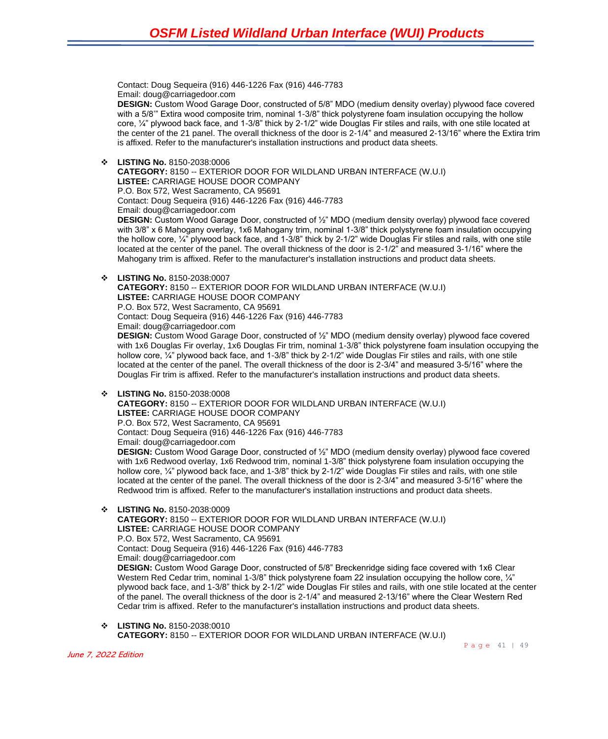Contact: Doug Sequeira (916) 446-1226 Fax (916) 446-7783 Email: doug@carriagedoor.com

**DESIGN:** Custom Wood Garage Door, constructed of 5/8" MDO (medium density overlay) plywood face covered with a 5/8" Extira wood composite trim, nominal 1-3/8" thick polystyrene foam insulation occupying the hollow core, ¼" plywood back face, and 1-3/8" thick by 2-1/2" wide Douglas Fir stiles and rails, with one stile located at the center of the 21 panel. The overall thickness of the door is 2-1/4" and measured 2-13/16" where the Extira trim is affixed. Refer to the manufacturer's installation instructions and product data sheets.

❖ **LISTING No.** 8150-2038:0006

**CATEGORY:** 8150 -- EXTERIOR DOOR FOR WILDLAND URBAN INTERFACE (W.U.I) **LISTEE:** CARRIAGE HOUSE DOOR COMPANY P.O. Box 572, West Sacramento, CA 95691 Contact: Doug Sequeira (916) 446-1226 Fax (916) 446-7783 Email: doug@carriagedoor.com **DESIGN:** Custom Wood Garage Door, constructed of ½" MDO (medium density overlay) plywood face covered with 3/8" x 6 Mahogany overlay, 1x6 Mahogany trim, nominal 1-3/8" thick polystyrene foam insulation occupying the hollow core, 1/4" plywood back face, and 1-3/8" thick by 2-1/2" wide Douglas Fir stiles and rails, with one stile

located at the center of the panel. The overall thickness of the door is 2-1/2" and measured 3-1/16" where the Mahogany trim is affixed. Refer to the manufacturer's installation instructions and product data sheets.

❖ **LISTING No.** 8150-2038:0007

**CATEGORY:** 8150 -- EXTERIOR DOOR FOR WILDLAND URBAN INTERFACE (W.U.I) **LISTEE:** CARRIAGE HOUSE DOOR COMPANY P.O. Box 572, West Sacramento, CA 95691 Contact: Doug Sequeira (916) 446-1226 Fax (916) 446-7783 Email: doug@carriagedoor.com **DESIGN:** Custom Wood Garage Door, constructed of ½" MDO (medium density overlay) plywood face covered

with 1x6 Douglas Fir overlay, 1x6 Douglas Fir trim, nominal 1-3/8" thick polystyrene foam insulation occupying the hollow core, ¼" plywood back face, and 1-3/8" thick by 2-1/2" wide Douglas Fir stiles and rails, with one stile located at the center of the panel. The overall thickness of the door is 2-3/4" and measured 3-5/16" where the Douglas Fir trim is affixed. Refer to the manufacturer's installation instructions and product data sheets.

❖ **LISTING No.** 8150-2038:0008

**CATEGORY:** 8150 -- EXTERIOR DOOR FOR WILDLAND URBAN INTERFACE (W.U.I) **LISTEE:** CARRIAGE HOUSE DOOR COMPANY P.O. Box 572, West Sacramento, CA 95691 Contact: Doug Sequeira (916) 446-1226 Fax (916) 446-7783 Email: doug@carriagedoor.com **DESIGN:** Custom Wood Garage Door, constructed of ½" MDO (medium density overlay) plywood face covered with 1x6 Redwood overlay, 1x6 Redwood trim, nominal 1-3/8" thick polystyrene foam insulation occupying the hollow core, 1/4" plywood back face, and 1-3/8" thick by 2-1/2" wide Douglas Fir stiles and rails, with one stile located at the center of the panel. The overall thickness of the door is 2-3/4" and measured 3-5/16" where the Redwood trim is affixed. Refer to the manufacturer's installation instructions and product data sheets.

### ❖ **LISTING No.** 8150-2038:0009

**CATEGORY:** 8150 -- EXTERIOR DOOR FOR WILDLAND URBAN INTERFACE (W.U.I) **LISTEE:** CARRIAGE HOUSE DOOR COMPANY P.O. Box 572, West Sacramento, CA 95691 Contact: Doug Sequeira (916) 446-1226 Fax (916) 446-7783 Email: doug@carriagedoor.com **DESIGN:** Custom Wood Garage Door, constructed of 5/8" Breckenridge siding face covered with 1x6 Clear Western Red Cedar trim, nominal 1-3/8" thick polystyrene foam 22 insulation occupying the hollow core, 1/4" plywood back face, and 1-3/8" thick by 2-1/2" wide Douglas Fir stiles and rails, with one stile located at the center of the panel. The overall thickness of the door is 2-1/4" and measured 2-13/16" where the Clear Western Red Cedar trim is affixed. Refer to the manufacturer's installation instructions and product data sheets.

❖ **LISTING No.** 8150-2038:0010 **CATEGORY:** 8150 -- EXTERIOR DOOR FOR WILDLAND URBAN INTERFACE (W.U.I)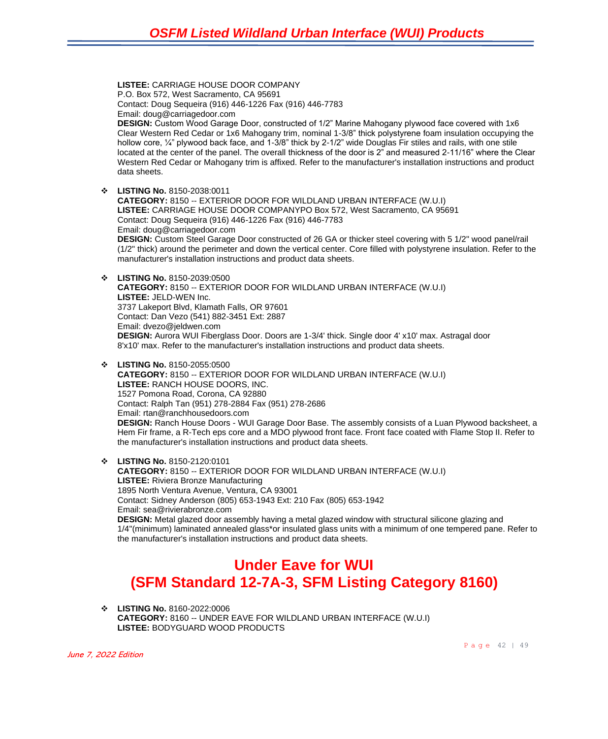**LISTEE:** CARRIAGE HOUSE DOOR COMPANY P.O. Box 572, West Sacramento, CA 95691 Contact: Doug Sequeira (916) 446-1226 Fax (916) 446-7783 Email: doug@carriagedoor.com **DESIGN:** Custom Wood Garage Door, constructed of 1/2" Marine Mahogany plywood face covered with 1x6 Clear Western Red Cedar or 1x6 Mahogany trim, nominal 1-3/8" thick polystyrene foam insulation occupying the hollow core, ¼" plywood back face, and 1-3/8" thick by 2-1/2" wide Douglas Fir stiles and rails, with one stile located at the center of the panel. The overall thickness of the door is 2" and measured 2-11/16" where the Clear Western Red Cedar or Mahogany trim is affixed. Refer to the manufacturer's installation instructions and product data sheets. ❖ **LISTING No.** 8150-2038:0011 **CATEGORY:** 8150 -- EXTERIOR DOOR FOR WILDLAND URBAN INTERFACE (W.U.I) **LISTEE:** CARRIAGE HOUSE DOOR COMPANYPO Box 572, West Sacramento, CA 95691 Contact: Doug Sequeira (916) 446-1226 Fax (916) 446-7783 Email: doug@carriagedoor.com **DESIGN:** Custom Steel Garage Door constructed of 26 GA or thicker steel covering with 5 1/2" wood panel/rail (1/2" thick) around the perimeter and down the vertical center. Core filled with polystyrene insulation. Refer to the manufacturer's installation instructions and product data sheets. ❖ **LISTING No.** 8150-2039:0500 **CATEGORY:** 8150 -- EXTERIOR DOOR FOR WILDLAND URBAN INTERFACE (W.U.I) **LISTEE:** JELD-WEN Inc. 3737 Lakeport Blvd, Klamath Falls, OR 97601 Contact: Dan Vezo (541) 882-3451 Ext: 2887 Email: dvezo@jeldwen.com **DESIGN:** Aurora WUI Fiberglass Door. Doors are 1-3/4' thick. Single door 4' x10' max. Astragal door 8'x10' max. Refer to the manufacturer's installation instructions and product data sheets. ❖ **LISTING No.** 8150-2055:0500 **CATEGORY:** 8150 -- EXTERIOR DOOR FOR WILDLAND URBAN INTERFACE (W.U.I) **LISTEE:** RANCH HOUSE DOORS, INC. 1527 Pomona Road, Corona, CA 92880 Contact: Ralph Tan (951) 278-2884 Fax (951) 278-2686 Email: rtan@ranchhousedoors.com **DESIGN:** Ranch House Doors - WUI Garage Door Base. The assembly consists of a Luan Plywood backsheet, a Hem Fir frame, a R-Tech eps core and a MDO plywood front face. Front face coated with Flame Stop II. Refer to the manufacturer's installation instructions and product data sheets. ❖ **LISTING No.** 8150-2120:0101 **CATEGORY:** 8150 -- EXTERIOR DOOR FOR WILDLAND URBAN INTERFACE (W.U.I) **LISTEE:** Riviera Bronze Manufacturing 1895 North Ventura Avenue, Ventura, CA 93001

Contact: Sidney Anderson (805) 653-1943 Ext: 210 Fax (805) 653-1942

Email: sea@rivierabronze.com

**DESIGN:** Metal glazed door assembly having a metal glazed window with structural silicone glazing and 1/4"(minimum) laminated annealed glass\*or insulated glass units with a minimum of one tempered pane. Refer to the manufacturer's installation instructions and product data sheets.

## **Under Eave for WUI (SFM Standard 12-7A-3, SFM Listing Category 8160)**

❖ **LISTING No.** 8160-2022:0006 **CATEGORY:** 8160 -- UNDER EAVE FOR WILDLAND URBAN INTERFACE (W.U.I) **LISTEE:** BODYGUARD WOOD PRODUCTS

Page 42 | 49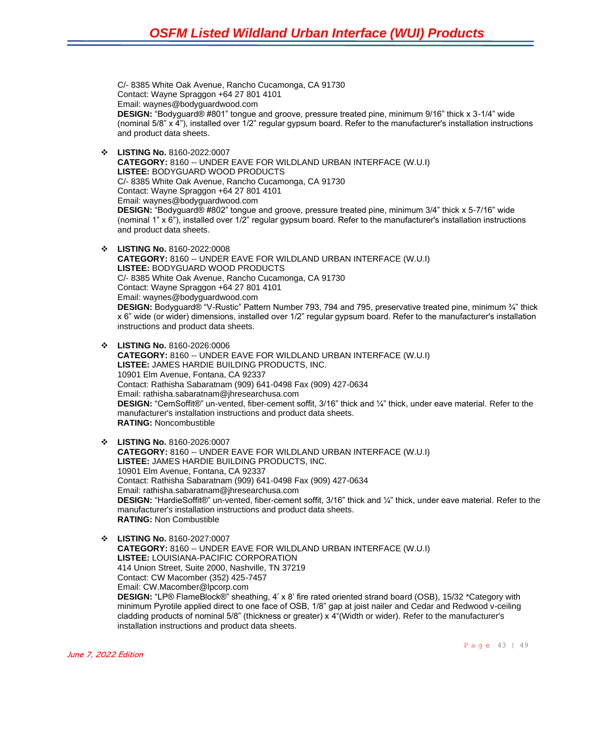C/- 8385 White Oak Avenue, Rancho Cucamonga, CA 91730 Contact: Wayne Spraggon +64 27 801 4101 Email: waynes@bodyguardwood.com **DESIGN:** "Bodyguard® #801" tongue and groove, pressure treated pine, minimum 9/16" thick x 3-1/4" wide (nominal 5/8" x 4"), installed over 1/2" regular gypsum board. Refer to the manufacturer's installation instructions and product data sheets.

- ❖ **LISTING No.** 8160-2022:0007 **CATEGORY:** 8160 -- UNDER EAVE FOR WILDLAND URBAN INTERFACE (W.U.I) **LISTEE:** BODYGUARD WOOD PRODUCTS C/- 8385 White Oak Avenue, Rancho Cucamonga, CA 91730 Contact: Wayne Spraggon +64 27 801 4101 Email: waynes@bodyguardwood.com **DESIGN:** "Bodyguard® #802" tongue and groove, pressure treated pine, minimum 3/4" thick x 5-7/16" wide (nominal 1" x 6"), installed over 1/2" regular gypsum board. Refer to the manufacturer's installation instructions and product data sheets.
- ❖ **LISTING No.** 8160-2022:0008 **CATEGORY:** 8160 -- UNDER EAVE FOR WILDLAND URBAN INTERFACE (W.U.I) **LISTEE:** BODYGUARD WOOD PRODUCTS C/- 8385 White Oak Avenue, Rancho Cucamonga, CA 91730 Contact: Wayne Spraggon +64 27 801 4101 Email: waynes@bodyguardwood.com **DESIGN:** Bodyguard® "V-Rustic" Pattern Number 793, 794 and 795, preservative treated pine, minimum ¾" thick x 6" wide (or wider) dimensions, installed over 1/2" regular gypsum board. Refer to the manufacturer's installation instructions and product data sheets.
- ❖ **LISTING No.** 8160-2026:0006 **CATEGORY:** 8160 -- UNDER EAVE FOR WILDLAND URBAN INTERFACE (W.U.I) **LISTEE:** JAMES HARDIE BUILDING PRODUCTS, INC. 10901 Elm Avenue, Fontana, CA 92337 Contact: Rathisha Sabaratnam (909) 641-0498 Fax (909) 427-0634 Email: rathisha.sabaratnam@jhresearchusa.com **DESIGN:** "CemSoffit®" un-vented, fiber-cement soffit, 3/16" thick and ¼" thick, under eave material. Refer to the manufacturer's installation instructions and product data sheets. **RATING:** Noncombustible
- ❖ **LISTING No.** 8160-2026:0007 **CATEGORY:** 8160 -- UNDER EAVE FOR WILDLAND URBAN INTERFACE (W.U.I) **LISTEE:** JAMES HARDIE BUILDING PRODUCTS, INC. 10901 Elm Avenue, Fontana, CA 92337 Contact: Rathisha Sabaratnam (909) 641-0498 Fax (909) 427-0634 Email: rathisha.sabaratnam@jhresearchusa.com **DESIGN:** "HardieSoffit®" un-vented, fiber-cement soffit, 3/16" thick and ¼" thick, under eave material. Refer to the manufacturer's installation instructions and product data sheets. **RATING:** Non Combustible
- ❖ **LISTING No.** 8160-2027:0007 **CATEGORY:** 8160 -- UNDER EAVE FOR WILDLAND URBAN INTERFACE (W.U.I) **LISTEE:** LOUISIANA-PACIFIC CORPORATION 414 Union Street, Suite 2000, Nashville, TN 37219 Contact: CW Macomber (352) 425-7457 Email: CW.Macomber@lpcorp.com **DESIGN:** "LP® FlameBlock®" sheathing, 4' x 8' fire rated oriented strand board (OSB), 15/32 \*Category with minimum Pyrotile applied direct to one face of OSB, 1/8" gap at joist nailer and Cedar and Redwood v-ceiling cladding products of nominal 5/8" (thickness or greater) x 4"(Width or wider). Refer to the manufacturer's installation instructions and product data sheets.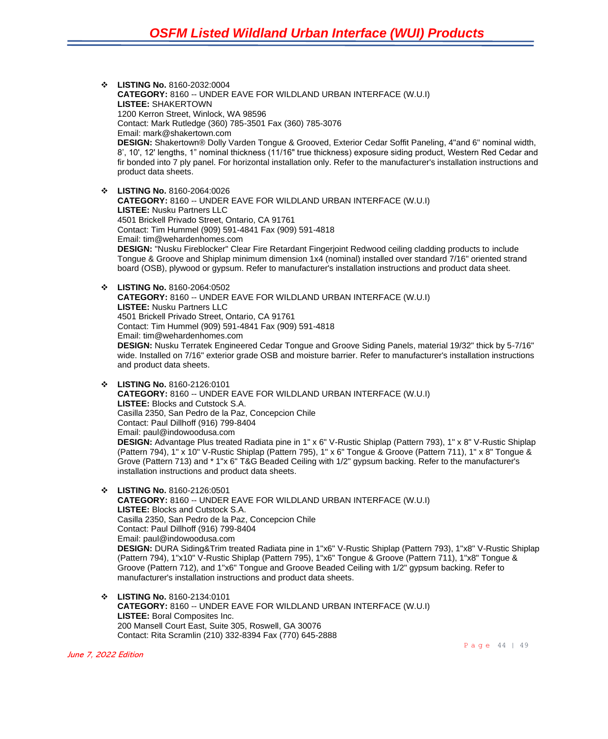❖ **LISTING No.** 8160-2032:0004 **CATEGORY:** 8160 -- UNDER EAVE FOR WILDLAND URBAN INTERFACE (W.U.I) **LISTEE:** SHAKERTOWN 1200 Kerron Street, Winlock, WA 98596 Contact: Mark Rutledge (360) 785-3501 Fax (360) 785-3076 Email: mark@shakertown.com **DESIGN:** Shakertown® Dolly Varden Tongue & Grooved, Exterior Cedar Soffit Paneling, 4"and 6" nominal width, 8', 10', 12' lengths, 1" nominal thickness (11/16" true thickness) exposure siding product, Western Red Cedar and fir bonded into 7 ply panel. For horizontal installation only. Refer to the manufacturer's installation instructions and product data sheets. ❖ **LISTING No.** 8160-2064:0026 **CATEGORY:** 8160 -- UNDER EAVE FOR WILDLAND URBAN INTERFACE (W.U.I) **LISTEE:** Nusku Partners LLC 4501 Brickell Privado Street, Ontario, CA 91761 Contact: Tim Hummel (909) 591-4841 Fax (909) 591-4818

Email: tim@wehardenhomes.com **DESIGN:** "Nusku Fireblocker" Clear Fire Retardant Fingerjoint Redwood ceiling cladding products to include Tongue & Groove and Shiplap minimum dimension 1x4 (nominal) installed over standard 7/16" oriented strand board (OSB), plywood or gypsum. Refer to manufacturer's installation instructions and product data sheet.

❖ **LISTING No.** 8160-2064:0502 **CATEGORY:** 8160 -- UNDER EAVE FOR WILDLAND URBAN INTERFACE (W.U.I) **LISTEE:** Nusku Partners LLC 4501 Brickell Privado Street, Ontario, CA 91761 Contact: Tim Hummel (909) 591-4841 Fax (909) 591-4818 Email: tim@wehardenhomes.com **DESIGN:** Nusku Terratek Engineered Cedar Tongue and Groove Siding Panels, material 19/32" thick by 5-7/16" wide. Installed on 7/16" exterior grade OSB and moisture barrier. Refer to manufacturer's installation instructions and product data sheets.

❖ **LISTING No.** 8160-2126:0101 **CATEGORY:** 8160 -- UNDER EAVE FOR WILDLAND URBAN INTERFACE (W.U.I) **LISTEE:** Blocks and Cutstock S.A. Casilla 2350, San Pedro de la Paz, Concepcion Chile Contact: Paul Dillhoff (916) 799-8404 Email: paul@indowoodusa.com **DESIGN:** Advantage Plus treated Radiata pine in 1" x 6" V-Rustic Shiplap (Pattern 793), 1" x 8" V-Rustic Shiplap (Pattern 794), 1" x 10" V-Rustic Shiplap (Pattern 795), 1" x 6" Tongue & Groove (Pattern 711), 1" x 8" Tongue & Grove (Pattern 713) and \* 1"x 6" T&G Beaded Ceiling with 1/2" gypsum backing. Refer to the manufacturer's installation instructions and product data sheets.

❖ **LISTING No.** 8160-2126:0501 **CATEGORY:** 8160 -- UNDER EAVE FOR WILDLAND URBAN INTERFACE (W.U.I) **LISTEE:** Blocks and Cutstock S.A. Casilla 2350, San Pedro de la Paz, Concepcion Chile Contact: Paul Dillhoff (916) 799-8404 Email: paul@indowoodusa.com **DESIGN:** DURA Siding&Trim treated Radiata pine in 1"x6" V-Rustic Shiplap (Pattern 793), 1"x8" V-Rustic Shiplap (Pattern 794), 1"x10" V-Rustic Shiplap (Pattern 795), 1"x6" Tongue & Groove (Pattern 711), 1"x8" Tongue & Groove (Pattern 712), and 1"x6" Tongue and Groove Beaded Ceiling with 1/2" gypsum backing. Refer to manufacturer's installation instructions and product data sheets.

❖ **LISTING No.** 8160-2134:0101 **CATEGORY:** 8160 -- UNDER EAVE FOR WILDLAND URBAN INTERFACE (W.U.I) **LISTEE:** Boral Composites Inc. 200 Mansell Court East, Suite 305, Roswell, GA 30076 Contact: Rita Scramlin (210) 332-8394 Fax (770) 645-2888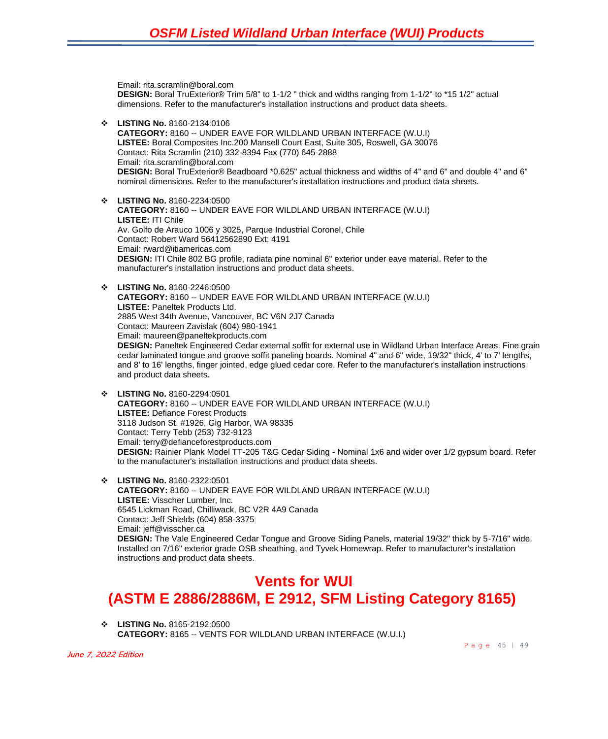Email: rita.scramlin@boral.com **DESIGN:** Boral TruExterior® Trim 5/8" to 1-1/2 " thick and widths ranging from 1-1/2" to \*15 1/2" actual dimensions. Refer to the manufacturer's installation instructions and product data sheets. ❖ **LISTING No.** 8160-2134:0106 **CATEGORY:** 8160 -- UNDER EAVE FOR WILDLAND URBAN INTERFACE (W.U.I) **LISTEE:** Boral Composites Inc.200 Mansell Court East, Suite 305, Roswell, GA 30076 Contact: Rita Scramlin (210) 332-8394 Fax (770) 645-2888 Email: rita.scramlin@boral.com **DESIGN:** Boral TruExterior® Beadboard \*0.625" actual thickness and widths of 4" and 6" and double 4" and 6" nominal dimensions. Refer to the manufacturer's installation instructions and product data sheets. ❖ **LISTING No.** 8160-2234:0500 **CATEGORY:** 8160 -- UNDER EAVE FOR WILDLAND URBAN INTERFACE (W.U.I) **LISTEE:** ITI Chile Av. Golfo de Arauco 1006 y 3025, Parque Industrial Coronel, Chile Contact: Robert Ward 56412562890 Ext: 4191 Email: rward@itiamericas.com **DESIGN:** ITI Chile 802 BG profile, radiata pine nominal 6" exterior under eave material. Refer to the manufacturer's installation instructions and product data sheets. ❖ **LISTING No.** 8160-2246:0500 **CATEGORY:** 8160 -- UNDER EAVE FOR WILDLAND URBAN INTERFACE (W.U.I) **LISTEE:** Paneltek Products Ltd. 2885 West 34th Avenue, Vancouver, BC V6N 2J7 Canada Contact: Maureen Zavislak (604) 980-1941 Email: maureen@paneltekproducts.com **DESIGN:** Paneltek Engineered Cedar external soffit for external use in Wildland Urban Interface Areas. Fine grain cedar laminated tongue and groove soffit paneling boards. Nominal 4" and 6" wide, 19/32" thick, 4' to 7' lengths, and 8' to 16' lengths, finger jointed, edge glued cedar core. Refer to the manufacturer's installation instructions and product data sheets. ❖ **LISTING No.** 8160-2294:0501 **CATEGORY:** 8160 -- UNDER EAVE FOR WILDLAND URBAN INTERFACE (W.U.I) **LISTEE:** Defiance Forest Products 3118 Judson St. #1926, Gig Harbor, WA 98335

Contact: Terry Tebb (253) 732-9123 Email: terry@defianceforestproducts.com **DESIGN:** Rainier Plank Model TT-205 T&G Cedar Siding - Nominal 1x6 and wider over 1/2 gypsum board. Refer to the manufacturer's installation instructions and product data sheets.

❖ **LISTING No.** 8160-2322:0501 **CATEGORY:** 8160 -- UNDER EAVE FOR WILDLAND URBAN INTERFACE (W.U.I) **LISTEE:** Visscher Lumber, Inc. 6545 Lickman Road, Chilliwack, BC V2R 4A9 Canada Contact: Jeff Shields (604) 858-3375 Email: jeff@visscher.ca **DESIGN:** The Vale Engineered Cedar Tongue and Groove Siding Panels, material 19/32" thick by 5-7/16" wide. Installed on 7/16" exterior grade OSB sheathing, and Tyvek Homewrap. Refer to manufacturer's installation instructions and product data sheets.

### **Vents for WUI (ASTM E 2886/2886M, E 2912, SFM Listing Category 8165)**

❖ **LISTING No.** 8165-2192:0500 **CATEGORY:** 8165 -- VENTS FOR WILDLAND URBAN INTERFACE (W.U.I.)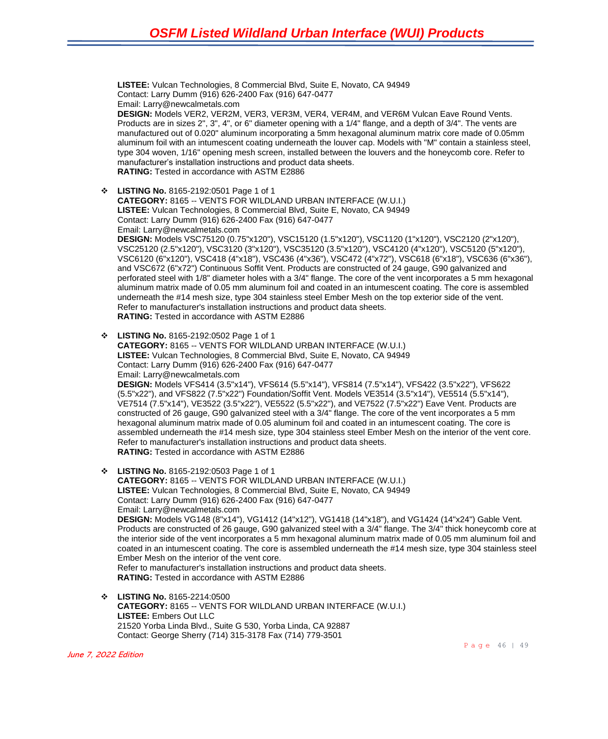**LISTEE:** Vulcan Technologies, 8 Commercial Blvd, Suite E, Novato, CA 94949 Contact: Larry Dumm (916) 626-2400 Fax (916) 647-0477 Email: Larry@newcalmetals.com **DESIGN:** Models VER2, VER2M, VER3, VER3M, VER4, VER4M, and VER6M Vulcan Eave Round Vents. Products are in sizes 2", 3", 4", or 6" diameter opening with a 1/4" flange, and a depth of 3/4". The vents are manufactured out of 0.020" aluminum incorporating a 5mm hexagonal aluminum matrix core made of 0.05mm aluminum foil with an intumescent coating underneath the louver cap. Models with "M" contain a stainless steel, type 304 woven, 1/16" opening mesh screen, installed between the louvers and the honeycomb core. Refer to manufacturer's installation instructions and product data sheets. **RATING:** Tested in accordance with ASTM E2886 ❖ **LISTING No.** 8165-2192:0501 Page 1 of 1 **CATEGORY:** 8165 -- VENTS FOR WILDLAND URBAN INTERFACE (W.U.I.)

**LISTEE:** Vulcan Technologies, 8 Commercial Blvd, Suite E, Novato, CA 94949 Contact: Larry Dumm (916) 626-2400 Fax (916) 647-0477 Email: Larry@newcalmetals.com **DESIGN:** Models VSC75120 (0.75"x120"), VSC15120 (1.5"x120"), VSC1120 (1"x120"), VSC2120 (2"x120"), VSC25120 (2.5"x120"), VSC3120 (3"x120"), VSC35120 (3.5"x120"), VSC4120 (4"x120"), VSC5120 (5"x120"), VSC6120 (6"x120"), VSC418 (4"x18"), VSC436 (4"x36"), VSC472 (4"x72"), VSC618 (6"x18"), VSC636 (6"x36"), and VSC672 (6"x72") Continuous Soffit Vent. Products are constructed of 24 gauge, G90 galvanized and perforated steel with 1/8" diameter holes with a 3/4" flange. The core of the vent incorporates a 5 mm hexagonal aluminum matrix made of 0.05 mm aluminum foil and coated in an intumescent coating. The core is assembled underneath the #14 mesh size, type 304 stainless steel Ember Mesh on the top exterior side of the vent. Refer to manufacturer's installation instructions and product data sheets. **RATING:** Tested in accordance with ASTM E2886

❖ **LISTING No.** 8165-2192:0502 Page 1 of 1 **CATEGORY:** 8165 -- VENTS FOR WILDLAND URBAN INTERFACE (W.U.I.) **LISTEE:** Vulcan Technologies, 8 Commercial Blvd, Suite E, Novato, CA 94949 Contact: Larry Dumm (916) 626-2400 Fax (916) 647-0477 Email: Larry@newcalmetals.com **DESIGN:** Models VFS414 (3.5"x14"), VFS614 (5.5"x14"), VFS814 (7.5"x14"), VFS422 (3.5"x22"), VFS622 (5.5"x22"), and VFS822 (7.5"x22") Foundation/Soffit Vent. Models VE3514 (3.5"x14"), VE5514 (5.5"x14"), VE7514 (7.5"x14"), VE3522 (3.5"x22"), VE5522 (5.5"x22"), and VE7522 (7.5"x22") Eave Vent. Products are constructed of 26 gauge, G90 galvanized steel with a 3/4" flange. The core of the vent incorporates a 5 mm hexagonal aluminum matrix made of 0.05 aluminum foil and coated in an intumescent coating. The core is assembled underneath the #14 mesh size, type 304 stainless steel Ember Mesh on the interior of the vent core. Refer to manufacturer's installation instructions and product data sheets. **RATING:** Tested in accordance with ASTM E2886

- ❖ **LISTING No.** 8165-2192:0503 Page 1 of 1 **CATEGORY:** 8165 -- VENTS FOR WILDLAND URBAN INTERFACE (W.U.I.) **LISTEE:** Vulcan Technologies, 8 Commercial Blvd, Suite E, Novato, CA 94949 Contact: Larry Dumm (916) 626-2400 Fax (916) 647-0477 Email: Larry@newcalmetals.com **DESIGN:** Models VG148 (8"x14"), VG1412 (14"x12"), VG1418 (14"x18"), and VG1424 (14"x24") Gable Vent. Products are constructed of 26 gauge, G90 galvanized steel with a 3/4" flange. The 3/4" thick honeycomb core at the interior side of the vent incorporates a 5 mm hexagonal aluminum matrix made of 0.05 mm aluminum foil and coated in an intumescent coating. The core is assembled underneath the #14 mesh size, type 304 stainless steel Ember Mesh on the interior of the vent core. Refer to manufacturer's installation instructions and product data sheets. **RATING:** Tested in accordance with ASTM E2886
- ❖ **LISTING No.** 8165-2214:0500 **CATEGORY:** 8165 -- VENTS FOR WILDLAND URBAN INTERFACE (W.U.I.) **LISTEE:** Embers Out LLC 21520 Yorba Linda Blvd., Suite G 530, Yorba Linda, CA 92887 Contact: George Sherry (714) 315-3178 Fax (714) 779-3501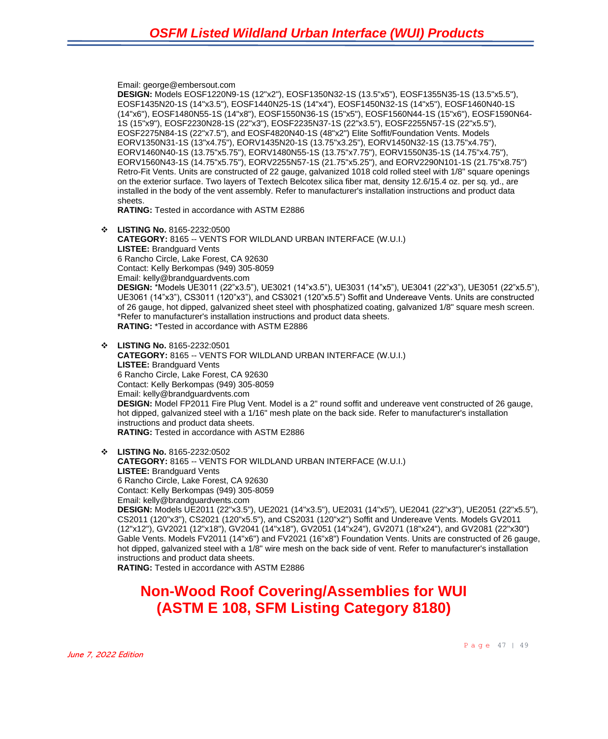Email: george@embersout.com

**DESIGN:** Models EOSF1220N9-1S (12"x2"), EOSF1350N32-1S (13.5"x5"), EOSF1355N35-1S (13.5"x5.5"), EOSF1435N20-1S (14"x3.5"), EOSF1440N25-1S (14"x4"), EOSF1450N32-1S (14"x5"), EOSF1460N40-1S (14"x6"), EOSF1480N55-1S (14"x8"), EOSF1550N36-1S (15"x5"), EOSF1560N44-1S (15"x6"), EOSF1590N64- 1S (15"x9"), EOSF2230N28-1S (22"x3"), EOSF2235N37-1S (22"x3.5"), EOSF2255N57-1S (22"x5.5"), EOSF2275N84-1S (22"x7.5"), and EOSF4820N40-1S (48"x2") Elite Soffit/Foundation Vents. Models EORV1350N31-1S (13"x4.75"), EORV1435N20-1S (13.75"x3.25"), EORV1450N32-1S (13.75"x4.75"), EORV1460N40-1S (13.75"x5.75"), EORV1480N55-1S (13.75"x7.75"), EORV1550N35-1S (14.75"x4.75"), EORV1560N43-1S (14.75"x5.75"), EORV2255N57-1S (21.75"x5.25"), and EORV2290N101-1S (21.75"x8.75") Retro-Fit Vents. Units are constructed of 22 gauge, galvanized 1018 cold rolled steel with 1/8" square openings on the exterior surface. Two layers of Textech Belcotex silica fiber mat, density 12.6/15.4 oz. per sq. yd., are installed in the body of the vent assembly. Refer to manufacturer's installation instructions and product data sheets.

**RATING:** Tested in accordance with ASTM E2886

- ❖ **LISTING No.** 8165-2232:0500 **CATEGORY:** 8165 -- VENTS FOR WILDLAND URBAN INTERFACE (W.U.I.) **LISTEE:** Brandguard Vents 6 Rancho Circle, Lake Forest, CA 92630 Contact: Kelly Berkompas (949) 305-8059 Email: kelly@brandguardvents.com **DESIGN:** \*Models UE3011 (22"x3.5"), UE3021 (14"x3.5"), UE3031 (14"x5"), UE3041 (22"x3"), UE3051 (22"x5.5"), UE3061 (14"x3"), CS3011 (120"x3"), and CS3021 (120"x5.5") Soffit and Undereave Vents. Units are constructed of 26 gauge, hot dipped, galvanized sheet steel with phosphatized coating, galvanized 1/8" square mesh screen. \*Refer to manufacturer's installation instructions and product data sheets. **RATING:** \*Tested in accordance with ASTM E2886
- ❖ **LISTING No.** 8165-2232:0501 **CATEGORY:** 8165 -- VENTS FOR WILDLAND URBAN INTERFACE (W.U.I.) **LISTEE:** Brandguard Vents 6 Rancho Circle, Lake Forest, CA 92630 Contact: Kelly Berkompas (949) 305-8059 Email: kelly@brandguardvents.com **DESIGN:** Model FP2011 Fire Plug Vent. Model is a 2" round soffit and undereave vent constructed of 26 gauge, hot dipped, galvanized steel with a 1/16" mesh plate on the back side. Refer to manufacturer's installation instructions and product data sheets. **RATING:** Tested in accordance with ASTM E2886
- ❖ **LISTING No.** 8165-2232:0502 **CATEGORY:** 8165 -- VENTS FOR WILDLAND URBAN INTERFACE (W.U.I.) **LISTEE:** Brandguard Vents 6 Rancho Circle, Lake Forest, CA 92630 Contact: Kelly Berkompas (949) 305-8059 Email: kelly@brandguardvents.com **DESIGN:** Models UE2011 (22"x3.5"), UE2021 (14"x3.5"), UE2031 (14"x5"), UE2041 (22"x3"), UE2051 (22"x5.5"), CS2011 (120"x3"), CS2021 (120"x5.5"), and CS2031 (120"x2") Soffit and Undereave Vents. Models GV2011 (12"x12"), GV2021 (12"x18"), GV2041 (14"x18"), GV2051 (14"x24"), GV2071 (18"x24"), and GV2081 (22"x30") Gable Vents. Models FV2011 (14"x6") and FV2021 (16"x8") Foundation Vents. Units are constructed of 26 gauge, hot dipped, galvanized steel with a 1/8" wire mesh on the back side of vent. Refer to manufacturer's installation instructions and product data sheets. **RATING:** Tested in accordance with ASTM E2886

### **Non-Wood Roof Covering/Assemblies for WUI (ASTM E 108, SFM Listing Category 8180)**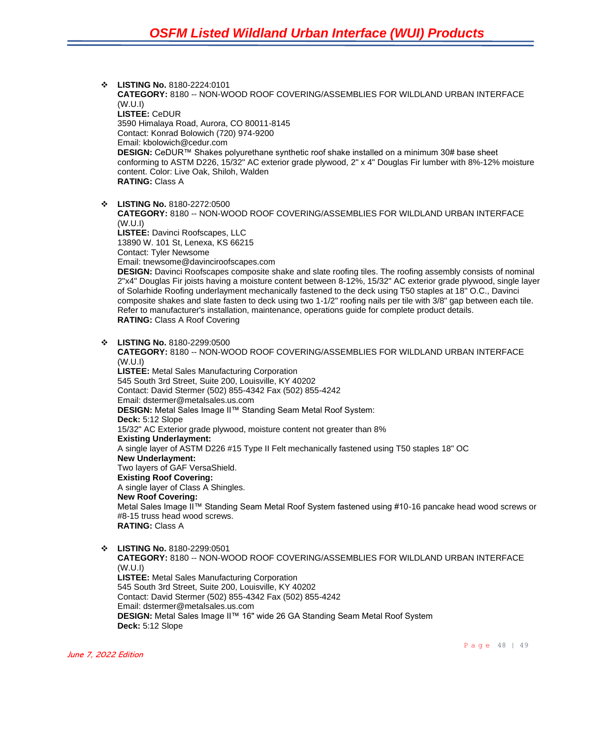❖ **LISTING No.** 8180-2224:0101 **CATEGORY:** 8180 -- NON-WOOD ROOF COVERING/ASSEMBLIES FOR WILDLAND URBAN INTERFACE (W.U.I) **LISTEE:** CeDUR 3590 Himalaya Road, Aurora, CO 80011-8145 Contact: Konrad Bolowich (720) 974-9200 Email: kbolowich@cedur.com **DESIGN:** CeDUR™ Shakes polyurethane synthetic roof shake installed on a minimum 30# base sheet conforming to ASTM D226, 15/32" AC exterior grade plywood, 2" x 4" Douglas Fir lumber with 8%-12% moisture content. Color: Live Oak, Shiloh, Walden **RATING:** Class A ❖ **LISTING No.** 8180-2272:0500 **CATEGORY:** 8180 -- NON-WOOD ROOF COVERING/ASSEMBLIES FOR WILDLAND URBAN INTERFACE (W.U.I)

**LISTEE:** Davinci Roofscapes, LLC 13890 W. 101 St, Lenexa, KS 66215 Contact: Tyler Newsome Email: tnewsome@davinciroofscapes.com **DESIGN:** Davinci Roofscapes composite shake and slate roofing tiles. The roofing assembly consists of nominal 2"x4" Douglas Fir joists having a moisture content between 8-12%, 15/32" AC exterior grade plywood, single layer of Solarhide Roofing underlayment mechanically fastened to the deck using T50 staples at 18" O.C., Davinci composite shakes and slate fasten to deck using two 1-1/2" roofing nails per tile with 3/8" gap between each tile.

**RATING:** Class A Roof Covering ❖ **LISTING No.** 8180-2299:0500 **CATEGORY:** 8180 -- NON-WOOD ROOF COVERING/ASSEMBLIES FOR WILDLAND URBAN INTERFACE (W.U.I) **LISTEE:** Metal Sales Manufacturing Corporation 545 South 3rd Street, Suite 200, Louisville, KY 40202 Contact: David Stermer (502) 855-4342 Fax (502) 855-4242 Email: dstermer@metalsales.us.com **DESIGN:** Metal Sales Image II™ Standing Seam Metal Roof System: **Deck:** 5:12 Slope 15/32" AC Exterior grade plywood, moisture content not greater than 8% **Existing Underlayment:** A single layer of ASTM D226 #15 Type II Felt mechanically fastened using T50 staples 18" OC **New Underlayment:** Two layers of GAF VersaShield. **Existing Roof Covering:** A single layer of Class A Shingles. **New Roof Covering:** Metal Sales Image II™ Standing Seam Metal Roof System fastened using #10-16 pancake head wood screws or #8-15 truss head wood screws. **RATING:** Class A

Refer to manufacturer's installation, maintenance, operations guide for complete product details.

❖ **LISTING No.** 8180-2299:0501 **CATEGORY:** 8180 -- NON-WOOD ROOF COVERING/ASSEMBLIES FOR WILDLAND URBAN INTERFACE (W.U.I) **LISTEE:** Metal Sales Manufacturing Corporation 545 South 3rd Street, Suite 200, Louisville, KY 40202 Contact: David Stermer (502) 855-4342 Fax (502) 855-4242 Email: dstermer@metalsales.us.com **DESIGN:** Metal Sales Image II™ 16" wide 26 GA Standing Seam Metal Roof System **Deck:** 5:12 Slope